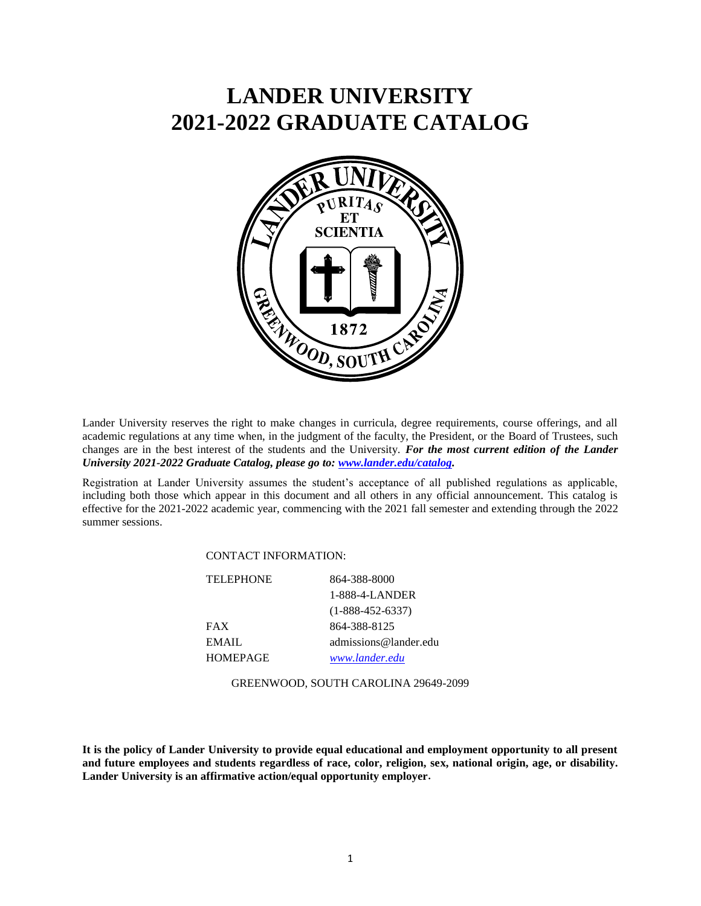## **LANDER UNIVERSITY 2021-2022 GRADUATE CATALOG**



Lander University reserves the right to make changes in curricula, degree requirements, course offerings, and all academic regulations at any time when, in the judgment of the faculty, the President, or the Board of Trustees, such changes are in the best interest of the students and the University. *For the most current edition of the Lander University 2021-2022 Graduate Catalog, please go to: [www.lander.edu/catalog.](http://www.lander.edu/catalog)*

Registration at Lander University assumes the student's acceptance of all published regulations as applicable, including both those which appear in this document and all others in any official announcement. This catalog is effective for the 2021-2022 academic year, commencing with the 2021 fall semester and extending through the 2022 summer sessions.

## CONTACT INFORMATION:

| 864-388-8000          |
|-----------------------|
| 1-888-4-LANDER        |
| $(1-888-452-6337)$    |
| 864-388-8125          |
| admissions@lander.edu |
| www.lander.edu        |
|                       |

GREENWOOD, SOUTH CAROLINA 29649-2099

**It is the policy of Lander University to provide equal educational and employment opportunity to all present and future employees and students regardless of race, color, religion, sex, national origin, age, or disability. Lander University is an affirmative action/equal opportunity employer.**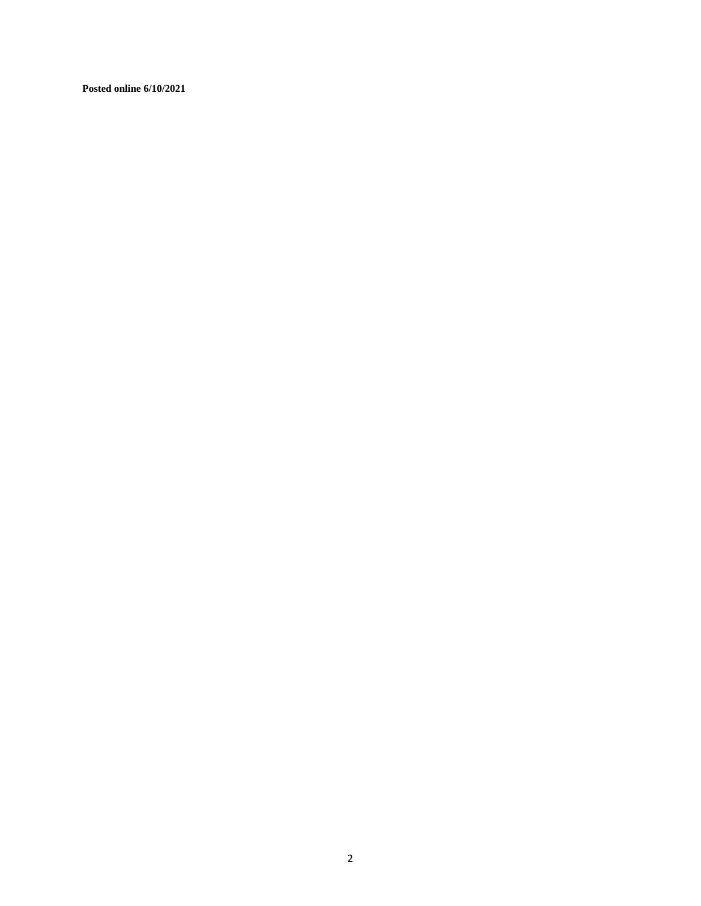**Posted online 6/10/2021**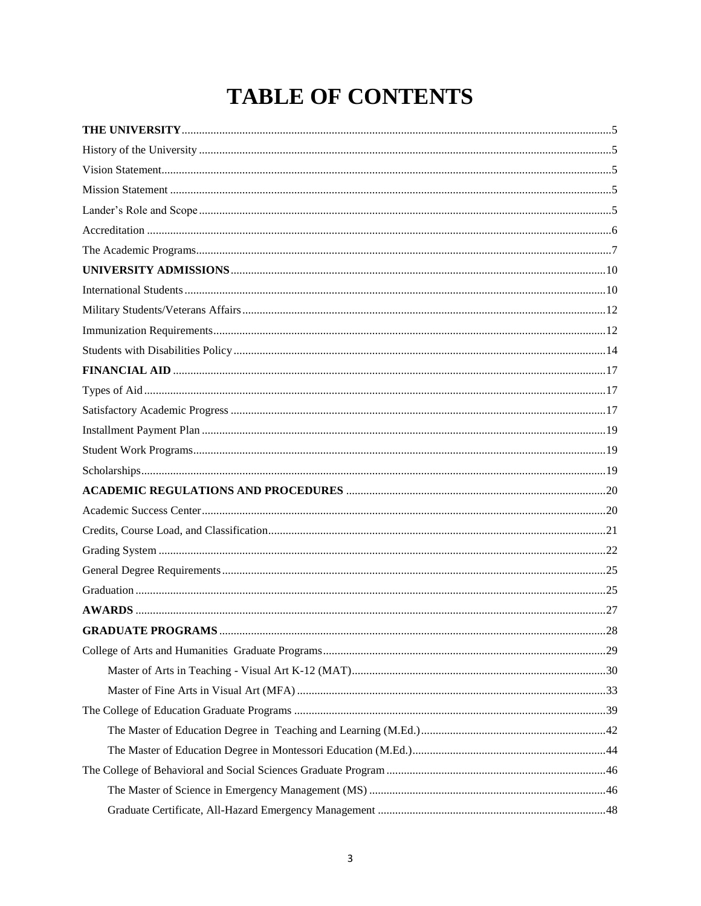# **TABLE OF CONTENTS**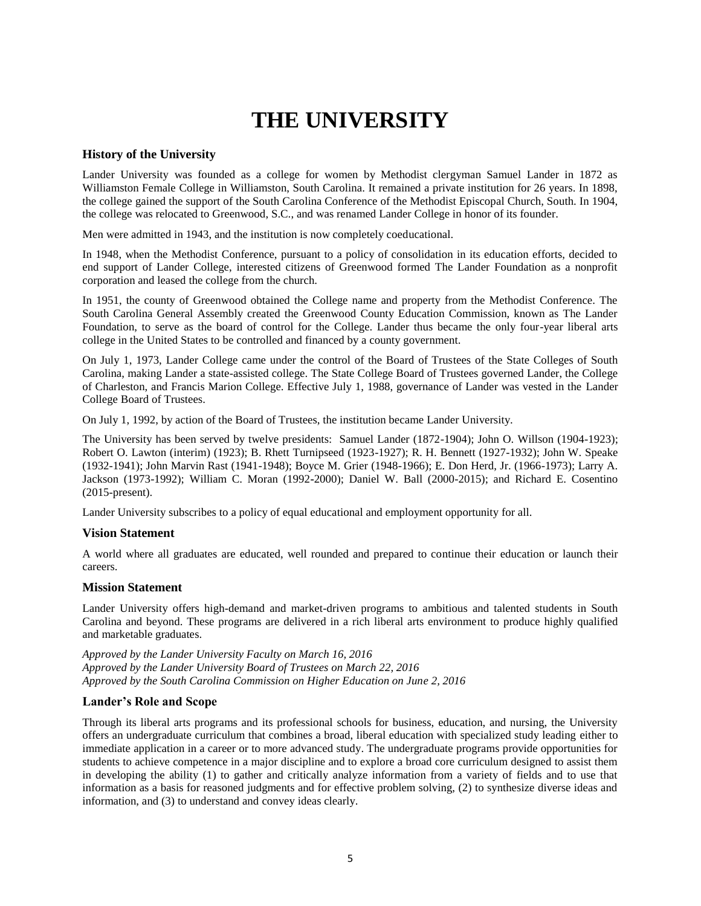## **THE UNIVERSITY**

## <span id="page-4-1"></span><span id="page-4-0"></span>**History of the University**

Lander University was founded as a college for women by Methodist clergyman Samuel Lander in 1872 as Williamston Female College in Williamston, South Carolina. It remained a private institution for 26 years. In 1898, the college gained the support of the South Carolina Conference of the Methodist Episcopal Church, South. In 1904, the college was relocated to Greenwood, S.C., and was renamed Lander College in honor of its founder.

Men were admitted in 1943, and the institution is now completely coeducational.

In 1948, when the Methodist Conference, pursuant to a policy of consolidation in its education efforts, decided to end support of Lander College, interested citizens of Greenwood formed The Lander Foundation as a nonprofit corporation and leased the college from the church.

In 1951, the county of Greenwood obtained the College name and property from the Methodist Conference. The South Carolina General Assembly created the Greenwood County Education Commission, known as The Lander Foundation, to serve as the board of control for the College. Lander thus became the only four-year liberal arts college in the United States to be controlled and financed by a county government.

On July 1, 1973, Lander College came under the control of the Board of Trustees of the State Colleges of South Carolina, making Lander a state-assisted college. The State College Board of Trustees governed Lander, the College of Charleston, and Francis Marion College. Effective July 1, 1988, governance of Lander was vested in the Lander College Board of Trustees.

On July 1, 1992, by action of the Board of Trustees, the institution became Lander University.

The University has been served by twelve presidents: Samuel Lander (1872-1904); John O. Willson (1904-1923); Robert O. Lawton (interim) (1923); B. Rhett Turnipseed (1923-1927); R. H. Bennett (1927-1932); John W. Speake (1932-1941); John Marvin Rast (1941-1948); Boyce M. Grier (1948-1966); E. Don Herd, Jr. (1966-1973); Larry A. Jackson (1973-1992); William C. Moran (1992**-**2000); Daniel W. Ball (2000-2015); and Richard E. Cosentino (2015-present).

Lander University subscribes to a policy of equal educational and employment opportunity for all.

## <span id="page-4-2"></span>**Vision Statement**

A world where all graduates are educated, well rounded and prepared to continue their education or launch their careers.

## <span id="page-4-3"></span>**Mission Statement**

Lander University offers high-demand and market-driven programs to ambitious and talented students in South Carolina and beyond. These programs are delivered in a rich liberal arts environment to produce highly qualified and marketable graduates.

*Approved by the Lander University Faculty on March 16, 2016 Approved by the Lander University Board of Trustees on March 22, 2016 Approved by the South Carolina Commission on Higher Education on June 2, 2016*

## <span id="page-4-4"></span>**Lander's Role and Scope**

Through its liberal arts programs and its professional schools for business, education, and nursing, the University offers an undergraduate curriculum that combines a broad, liberal education with specialized study leading either to immediate application in a career or to more advanced study. The undergraduate programs provide opportunities for students to achieve competence in a major discipline and to explore a broad core curriculum designed to assist them in developing the ability (1) to gather and critically analyze information from a variety of fields and to use that information as a basis for reasoned judgments and for effective problem solving, (2) to synthesize diverse ideas and information, and (3) to understand and convey ideas clearly.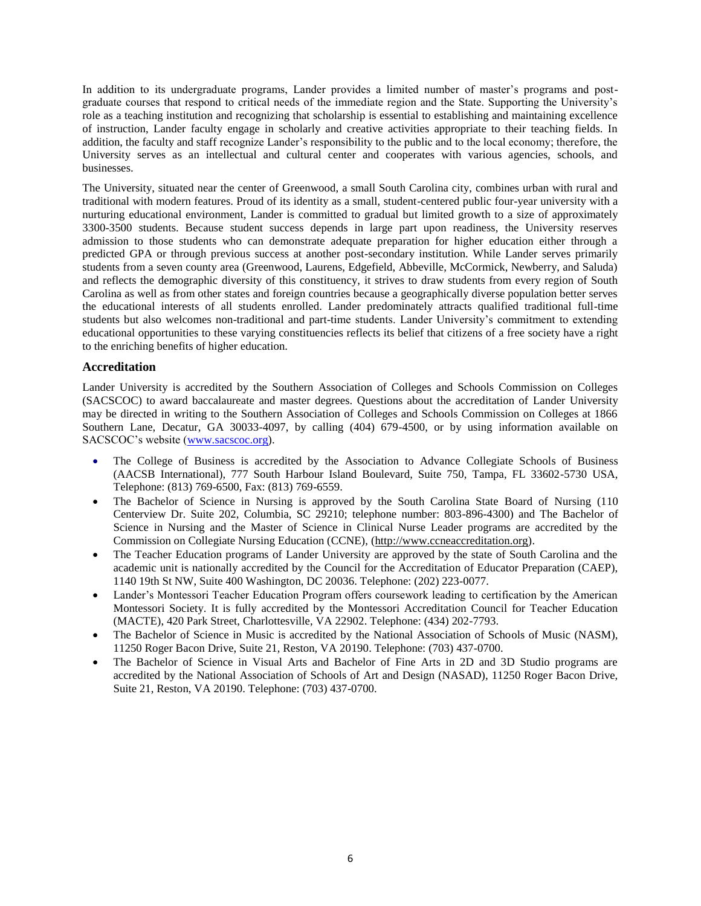In addition to its undergraduate programs, Lander provides a limited number of master's programs and postgraduate courses that respond to critical needs of the immediate region and the State. Supporting the University's role as a teaching institution and recognizing that scholarship is essential to establishing and maintaining excellence of instruction, Lander faculty engage in scholarly and creative activities appropriate to their teaching fields. In addition, the faculty and staff recognize Lander's responsibility to the public and to the local economy; therefore, the University serves as an intellectual and cultural center and cooperates with various agencies, schools, and businesses.

The University, situated near the center of Greenwood, a small South Carolina city, combines urban with rural and traditional with modern features. Proud of its identity as a small, student-centered public four-year university with a nurturing educational environment, Lander is committed to gradual but limited growth to a size of approximately 3300-3500 students. Because student success depends in large part upon readiness, the University reserves admission to those students who can demonstrate adequate preparation for higher education either through a predicted GPA or through previous success at another post-secondary institution. While Lander serves primarily students from a seven county area (Greenwood, Laurens, Edgefield, Abbeville, McCormick, Newberry, and Saluda) and reflects the demographic diversity of this constituency, it strives to draw students from every region of South Carolina as well as from other states and foreign countries because a geographically diverse population better serves the educational interests of all students enrolled. Lander predominately attracts qualified traditional full-time students but also welcomes non-traditional and part-time students. Lander University's commitment to extending educational opportunities to these varying constituencies reflects its belief that citizens of a free society have a right to the enriching benefits of higher education.

## <span id="page-5-0"></span>**Accreditation**

Lander University is accredited by the Southern Association of Colleges and Schools Commission on Colleges (SACSCOC) to award baccalaureate and master degrees. Questions about the accreditation of Lander University may be directed in writing to the Southern Association of Colleges and Schools Commission on Colleges at 1866 Southern Lane, Decatur, GA 30033-4097, by calling (404) 679-4500, or by using information available on SACSCOC's website [\(www.sacscoc.org\)](http://www.sacscoc.org/).

- The College of Business is accredited by the Association to Advance Collegiate Schools of Business (AACSB International), 777 South Harbour Island Boulevard, Suite 750, Tampa, FL 33602-5730 USA, Telephone: (813) 769-6500, Fax: (813) 769-6559.
- The Bachelor of Science in Nursing is approved by the South Carolina State Board of Nursing (110 Centerview Dr. Suite 202, Columbia, SC 29210; telephone number: 803-896-4300) and The Bachelor of Science in Nursing and the Master of Science in Clinical Nurse Leader programs are accredited by the Commission on Collegiate Nursing Education (CCNE), [\(http://www.ccneaccreditation.org\)](http://www.ccneaccreditation.org/).
- The Teacher Education programs of Lander University are approved by the state of South Carolina and the academic unit is nationally accredited by the Council for the Accreditation of Educator Preparation (CAEP), 1140 19th St NW, Suite 400 Washington, DC 20036. Telephone: (202) 223-0077.
- Lander's Montessori Teacher Education Program offers coursework leading to certification by the American Montessori Society. It is fully accredited by the Montessori Accreditation Council for Teacher Education (MACTE), 420 Park Street, Charlottesville, VA 22902. Telephone: (434) 202-7793.
- The Bachelor of Science in Music is accredited by the National Association of Schools of Music (NASM), 11250 Roger Bacon Drive, Suite 21, Reston, VA 20190. Telephone: (703) 437-0700.
- The Bachelor of Science in Visual Arts and Bachelor of Fine Arts in 2D and 3D Studio programs are accredited by the National Association of Schools of Art and Design (NASAD), 11250 Roger Bacon Drive, Suite 21, Reston, VA 20190. Telephone: (703) 437-0700.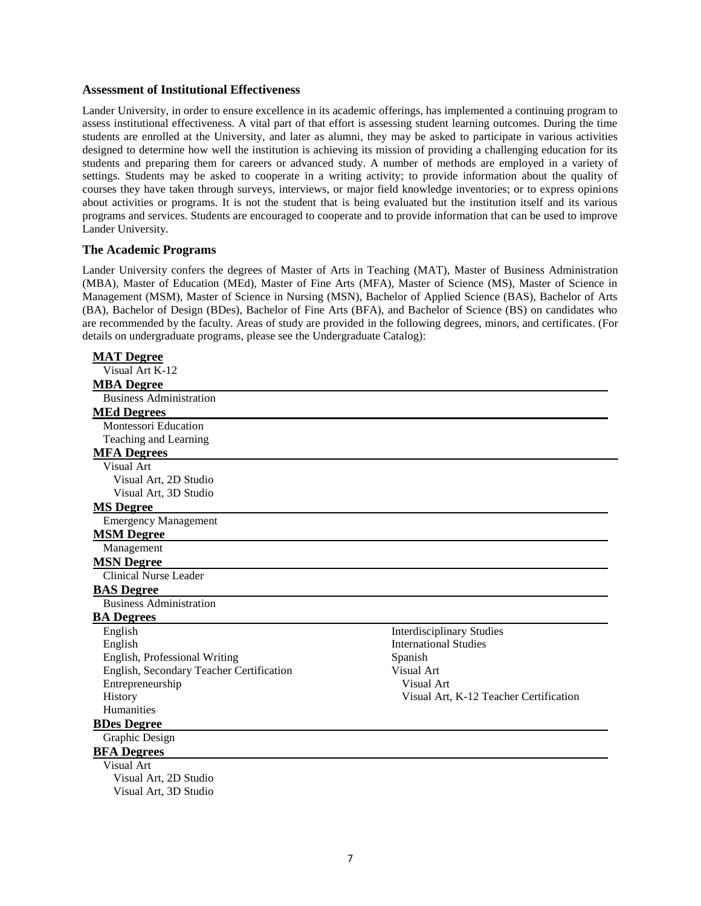#### **Assessment of Institutional Effectiveness**

Lander University, in order to ensure excellence in its academic offerings, has implemented a continuing program to assess institutional effectiveness. A vital part of that effort is assessing student learning outcomes. During the time students are enrolled at the University, and later as alumni, they may be asked to participate in various activities designed to determine how well the institution is achieving its mission of providing a challenging education for its students and preparing them for careers or advanced study. A number of methods are employed in a variety of settings. Students may be asked to cooperate in a writing activity; to provide information about the quality of courses they have taken through surveys, interviews, or major field knowledge inventories; or to express opinions about activities or programs. It is not the student that is being evaluated but the institution itself and its various programs and services. Students are encouraged to cooperate and to provide information that can be used to improve Lander University.

## <span id="page-6-0"></span>**The Academic Programs**

Lander University confers the degrees of Master of Arts in Teaching (MAT), Master of Business Administration (MBA), Master of Education (MEd), Master of Fine Arts (MFA), Master of Science (MS), Master of Science in Management (MSM), Master of Science in Nursing (MSN), Bachelor of Applied Science (BAS), Bachelor of Arts (BA), Bachelor of Design (BDes), Bachelor of Fine Arts (BFA), and Bachelor of Science (BS) on candidates who are recommended by the faculty. Areas of study are provided in the following degrees, minors, and certificates. (For details on undergraduate programs, please see the Undergraduate Catalog):

| <b>MAT</b> Degree                        |                                        |
|------------------------------------------|----------------------------------------|
| Visual Art K-12                          |                                        |
| <b>MBA</b> Degree                        |                                        |
| <b>Business Administration</b>           |                                        |
| <b>MEd Degrees</b>                       |                                        |
| <b>Montessori Education</b>              |                                        |
| Teaching and Learning                    |                                        |
| <b>MFA Degrees</b>                       |                                        |
| Visual Art                               |                                        |
| Visual Art, 2D Studio                    |                                        |
| Visual Art, 3D Studio                    |                                        |
| <b>MS</b> Degree                         |                                        |
| <b>Emergency Management</b>              |                                        |
| <b>MSM Degree</b>                        |                                        |
| Management                               |                                        |
| <b>MSN Degree</b>                        |                                        |
| Clinical Nurse Leader                    |                                        |
| <b>BAS</b> Degree                        |                                        |
| <b>Business Administration</b>           |                                        |
| <b>BA</b> Degrees                        |                                        |
| English                                  | <b>Interdisciplinary Studies</b>       |
| English                                  | <b>International Studies</b>           |
| English, Professional Writing            | Spanish                                |
| English, Secondary Teacher Certification | Visual Art                             |
| Entrepreneurship                         | Visual Art                             |
| History                                  | Visual Art, K-12 Teacher Certification |
| Humanities                               |                                        |
| <b>BDes Degree</b>                       |                                        |
| Graphic Design                           |                                        |
| <b>BFA</b> Degrees                       |                                        |
| Visual Art                               |                                        |
| Visual Art, 2D Studio                    |                                        |
| Visual Art. 3D Studio                    |                                        |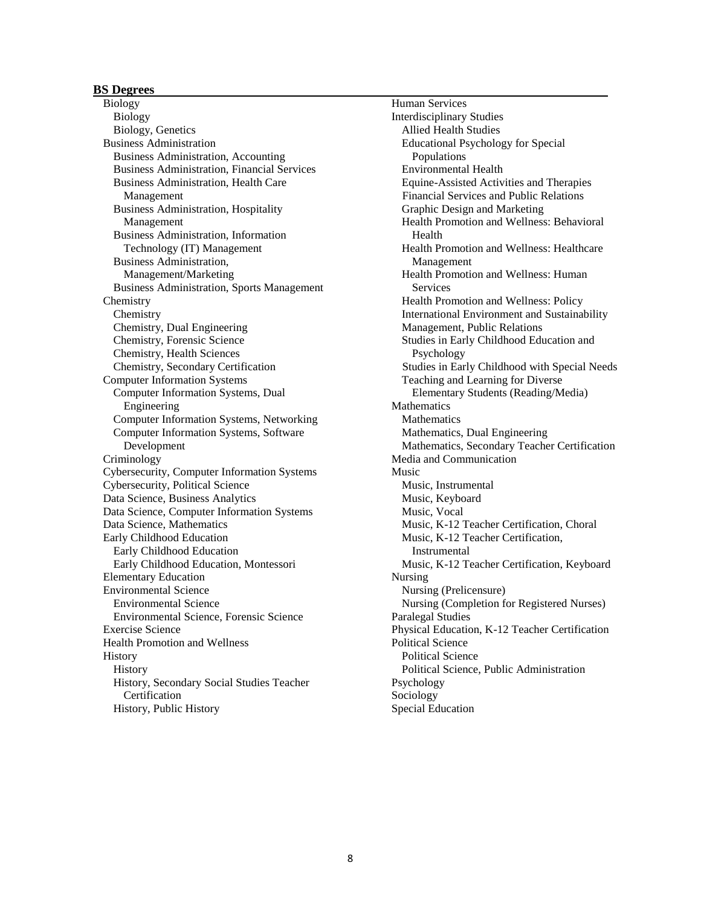## **BS Degrees**

Biology Biology Biology, Genetics Business Administration Business Administration, Accounting Business Administration, Financial Services Business Administration, Health Care Management Business Administration, Hospitality Management Business Administration, Information Technology (IT) Management Business Administration, Management/Marketing Business Administration, Sports Management **Chemistry** Chemistry Chemistry, Dual Engineering Chemistry, Forensic Science Chemistry, Health Sciences Chemistry, Secondary Certification Computer Information Systems Computer Information Systems, Dual Engineering Computer Information Systems, Networking Computer Information Systems, Software Development Criminology Cybersecurity, Computer Information Systems Cybersecurity, Political Science Data Science, Business Analytics Data Science, Computer Information Systems Data Science, Mathematics Early Childhood Education Early Childhood Education Early Childhood Education, Montessori Elementary Education Environmental Science Environmental Science Environmental Science, Forensic Science Exercise Science Health Promotion and Wellness **History** History History, Secondary Social Studies Teacher Certification History, Public History

Human Services Interdisciplinary Studies Allied Health Studies Educational Psychology for Special Populations Environmental Health Equine-Assisted Activities and Therapies Financial Services and Public Relations Graphic Design and Marketing Health Promotion and Wellness: Behavioral Health Health Promotion and Wellness: Healthcare Management Health Promotion and Wellness: Human **Services** Health Promotion and Wellness: Policy International Environment and Sustainability Management, Public Relations Studies in Early Childhood Education and Psychology Studies in Early Childhood with Special Needs Teaching and Learning for Diverse Elementary Students (Reading/Media) **Mathematics Mathematics** Mathematics, Dual Engineering Mathematics, Secondary Teacher Certification Media and Communication Music Music, Instrumental Music, Keyboard Music, Vocal Music, K-12 Teacher Certification, Choral Music, K-12 Teacher Certification, Instrumental Music, K-12 Teacher Certification, Keyboard Nursing Nursing (Prelicensure) Nursing (Completion for Registered Nurses) Paralegal Studies Physical Education, K-12 Teacher Certification Political Science Political Science Political Science, Public Administration Psychology Sociology Special Education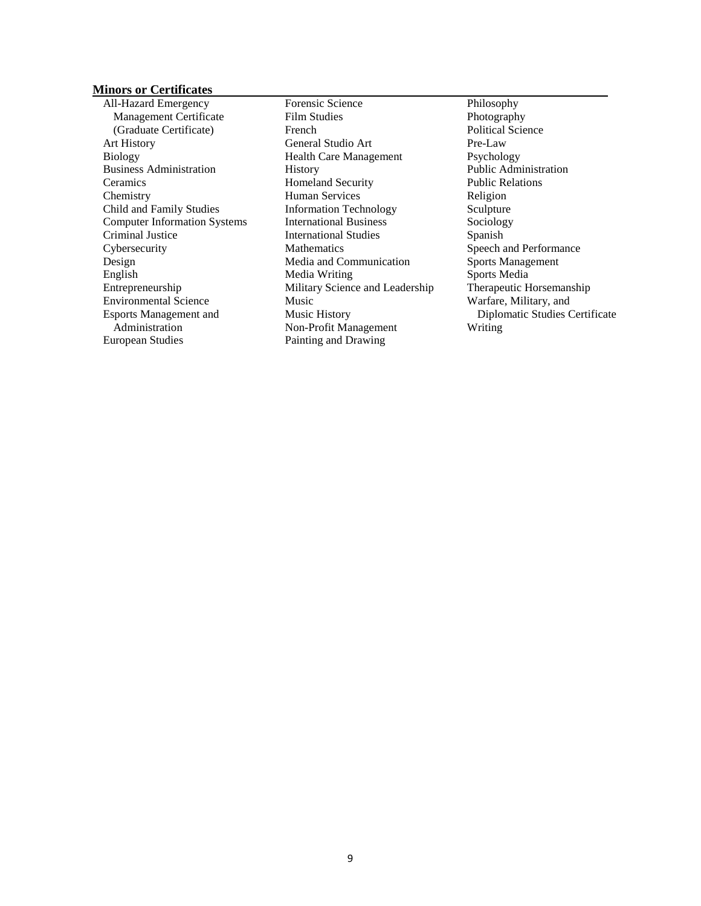## **Minors or Certificates**

All-Hazard Emergency Management Certificate (Graduate Certificate) Art History Biology Business Administration Ceramics **Chemistry** Child and Family Studies Computer Information Systems Criminal Justice **Cybersecurity** Design English Entrepreneurship Environmental Science Esports Management and Administration European Studies

Forensic Science Film Studies French General Studio Art Health Care Management History Homeland Security Human Services Information Technology International Business International Studies **Mathematics** Media and Communication Media Writing Military Science and Leadership Music Music History Non-Profit Management Painting and Drawing

Philosophy Photography Political Science Pre-Law Psychology Public Administration Public Relations Religion Sculpture Sociology Spanish Speech and Performance Sports Management Sports Media Therapeutic Horsemanship Warfare, Military, and Diplomatic Studies Certificate Writing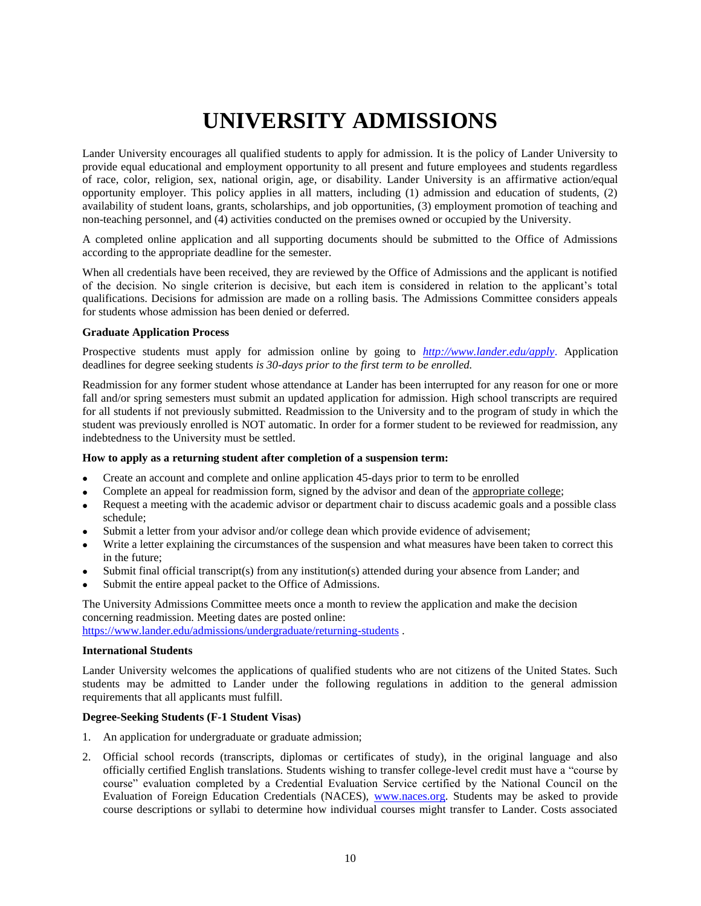# **UNIVERSITY ADMISSIONS**

<span id="page-9-0"></span>Lander University encourages all qualified students to apply for admission. It is the policy of Lander University to provide equal educational and employment opportunity to all present and future employees and students regardless of race, color, religion, sex, national origin, age, or disability. Lander University is an affirmative action/equal opportunity employer. This policy applies in all matters, including (1) admission and education of students, (2) availability of student loans, grants, scholarships, and job opportunities, (3) employment promotion of teaching and non-teaching personnel, and (4) activities conducted on the premises owned or occupied by the University.

A completed online application and all supporting documents should be submitted to the Office of Admissions according to the appropriate deadline for the semester.

When all credentials have been received, they are reviewed by the Office of Admissions and the applicant is notified of the decision. No single criterion is decisive, but each item is considered in relation to the applicant's total qualifications. Decisions for admission are made on a rolling basis. The Admissions Committee considers appeals for students whose admission has been denied or deferred.

### **Graduate Application Process**

Prospective students must apply for admission online by going to *<http://www.lander.edu/apply>*. Application deadlines for degree seeking students *is 30-days prior to the first term to be enrolled.*

Readmission for any former student whose attendance at Lander has been interrupted for any reason for one or more fall and/or spring semesters must submit an updated application for admission. High school transcripts are required for all students if not previously submitted. Readmission to the University and to the program of study in which the student was previously enrolled is NOT automatic. In order for a former student to be reviewed for readmission, any indebtedness to the University must be settled.

### **How to apply as a returning student after completion of a suspension term:**

- Create an account and complete and online application 45-days prior to term to be enrolled
- Complete an appeal for readmission form, signed by the advisor and dean of the appropriate college;
- Request a meeting with the academic advisor or department chair to discuss academic goals and a possible class schedule;
- Submit a letter from your advisor and/or college dean which provide evidence of advisement;
- Write a letter explaining the circumstances of the suspension and what measures have been taken to correct this in the future;
- Submit final official transcript(s) from any institution(s) attended during your absence from Lander; and
- Submit the entire appeal packet to the Office of Admissions.

The University Admissions Committee meets once a month to review the application and make the decision concerning readmission. Meeting dates are posted online: <https://www.lander.edu/admissions/undergraduate/returning-students> .

#### <span id="page-9-1"></span>**International Students**

Lander University welcomes the applications of qualified students who are not citizens of the United States. Such students may be admitted to Lander under the following regulations in addition to the general admission requirements that all applicants must fulfill.

## **Degree-Seeking Students (F-1 Student Visas)**

- 1. An application for undergraduate or graduate admission;
- 2. Official school records (transcripts, diplomas or certificates of study), in the original language and also officially certified English translations. Students wishing to transfer college-level credit must have a "course by course" evaluation completed by a Credential Evaluation Service certified by the National Council on the Evaluation of Foreign Education Credentials (NACES), [www.naces.org.](http://www.naces.org/) Students may be asked to provide course descriptions or syllabi to determine how individual courses might transfer to Lander. Costs associated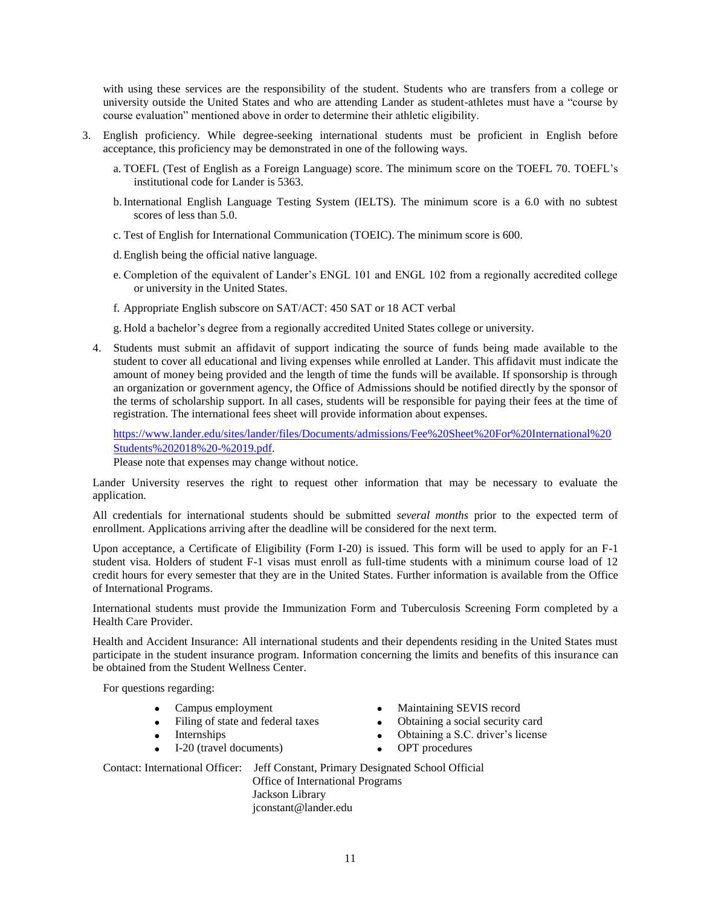with using these services are the responsibility of the student. Students who are transfers from a college or university outside the United States and who are attending Lander as student-athletes must have a "course by course evaluation" mentioned above in order to determine their athletic eligibility.

- 3. English proficiency. While degree-seeking international students must be proficient in English before acceptance, this proficiency may be demonstrated in one of the following ways.
	- a. TOEFL (Test of English as a Foreign Language) score. The minimum score on the TOEFL 70. TOEFL's institutional code for Lander is 5363.
	- b.International English Language Testing System (IELTS). The minimum score is a 6.0 with no subtest scores of less than 5.0.
	- c. Test of English for International Communication (TOEIC). The minimum score is 600.

d.English being the official native language.

- e. Completion of the equivalent of Lander's ENGL 101 and ENGL 102 from a regionally accredited college or university in the United States.
- f. Appropriate English subscore on SAT/ACT: 450 SAT or 18 ACT verbal

g. Hold a bachelor's degree from a regionally accredited United States college or university.

4. Students must submit an affidavit of support indicating the source of funds being made available to the student to cover all educational and living expenses while enrolled at Lander. This affidavit must indicate the amount of money being provided and the length of time the funds will be available. If sponsorship is through an organization or government agency, the Office of Admissions should be notified directly by the sponsor of the terms of scholarship support. In all cases, students will be responsible for paying their fees at the time of registration. The international fees sheet will provide information about expenses.

[https://www.lander.edu/sites/lander/files/Documents/admissions/Fee%20Sheet%20For%20International%20](https://www.lander.edu/sites/lander/files/Documents/admissions/Fee%20Sheet%20For%20International%20Students%202018%20-%2019.pdf) [Students%202018%20-%2019.pdf.](https://www.lander.edu/sites/lander/files/Documents/admissions/Fee%20Sheet%20For%20International%20Students%202018%20-%2019.pdf)

Please note that expenses may change without notice.

Lander University reserves the right to request other information that may be necessary to evaluate the application.

All credentials for international students should be submitted *several months* prior to the expected term of enrollment. Applications arriving after the deadline will be considered for the next term.

Upon acceptance, a Certificate of Eligibility (Form I-20) is issued. This form will be used to apply for an F-1 student visa. Holders of student F-1 visas must enroll as full-time students with a minimum course load of 12 credit hours for every semester that they are in the United States. Further information is available from the Office of International Programs.

International students must provide the Immunization Form and Tuberculosis Screening Form completed by a Health Care Provider.

Health and Accident Insurance: All international students and their dependents residing in the United States must participate in the student insurance program. Information concerning the limits and benefits of this insurance can be obtained from the Student Wellness Center.

For questions regarding:

- Campus employment
- Filing of state and federal taxes
- **Internships**
- I-20 (travel documents)
- Maintaining SEVIS record
- Obtaining a social security card
- Obtaining a S.C. driver's license
- OPT procedures

Contact: International Officer: Jeff Constant, Primary Designated School Official Office of International Programs Jackson Library jconstant@lander.edu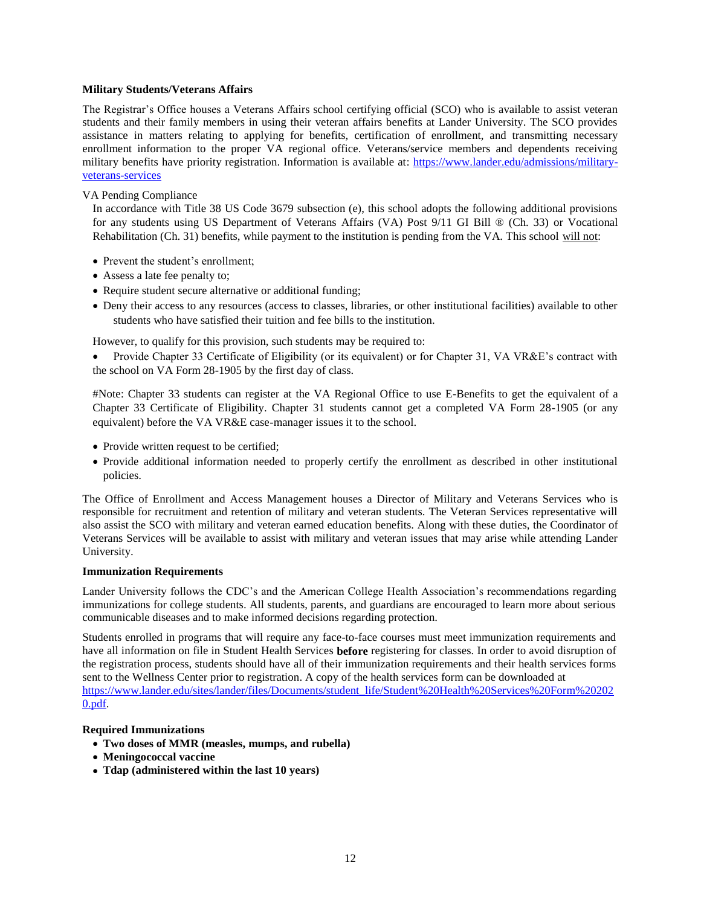## <span id="page-11-0"></span>**Military Students/Veterans Affairs**

The Registrar's Office houses a Veterans Affairs school certifying official (SCO) who is available to assist veteran students and their family members in using their veteran affairs benefits at Lander University. The SCO provides assistance in matters relating to applying for benefits, certification of enrollment, and transmitting necessary enrollment information to the proper VA regional office. Veterans/service members and dependents receiving military benefits have priority registration. Information is available at: [https://www.lander.edu/admissions/military](https://www.lander.edu/admissions/military-veterans-services)[veterans-services](https://www.lander.edu/admissions/military-veterans-services)

## VA Pending Compliance

In accordance with Title 38 US Code 3679 subsection (e), this school adopts the following additional provisions for any students using US Department of Veterans Affairs (VA) Post 9/11 GI Bill ® (Ch. 33) or Vocational Rehabilitation (Ch. 31) benefits, while payment to the institution is pending from the VA. This school will not:

- Prevent the student's enrollment;
- Assess a late fee penalty to;
- Require student secure alternative or additional funding;
- Deny their access to any resources (access to classes, libraries, or other institutional facilities) available to other students who have satisfied their tuition and fee bills to the institution.

However, to qualify for this provision, such students may be required to:

• Provide Chapter 33 Certificate of Eligibility (or its equivalent) or for Chapter 31, VA VR&E's contract with the school on VA Form 28-1905 by the first day of class.

#Note: Chapter 33 students can register at the VA Regional Office to use E-Benefits to get the equivalent of a Chapter 33 Certificate of Eligibility. Chapter 31 students cannot get a completed VA Form 28-1905 (or any equivalent) before the VA VR&E case-manager issues it to the school.

- Provide written request to be certified;
- Provide additional information needed to properly certify the enrollment as described in other institutional policies.

The Office of Enrollment and Access Management houses a Director of Military and Veterans Services who is responsible for recruitment and retention of military and veteran students. The Veteran Services representative will also assist the SCO with military and veteran earned education benefits. Along with these duties, the Coordinator of Veterans Services will be available to assist with military and veteran issues that may arise while attending Lander University.

### <span id="page-11-1"></span>**Immunization Requirements**

Lander University follows the CDC's and the American College Health Association's recommendations regarding immunizations for college students. All students, parents, and guardians are encouraged to learn more about serious communicable diseases and to make informed decisions regarding protection.

Students enrolled in programs that will require any face-to-face courses must meet immunization requirements and have all information on file in Student Health Services **before** registering for classes. In order to avoid disruption of the registration process, students should have all of their immunization requirements and their health services forms sent to the Wellness Center prior to registration. A copy of the health services form can be downloaded at [https://www.lander.edu/sites/lander/files/Documents/student\\_life/Student%20Health%20Services%20Form%20202](https://www.lander.edu/sites/lander/files/Documents/student_life/Student%20Health%20Services%20Form%202020.pdf) [0.pdf.](https://www.lander.edu/sites/lander/files/Documents/student_life/Student%20Health%20Services%20Form%202020.pdf)

## **Required Immunizations**

- **Two doses of MMR (measles, mumps, and rubella)**
- **Meningococcal vaccine**
- **Tdap (administered within the last 10 years)**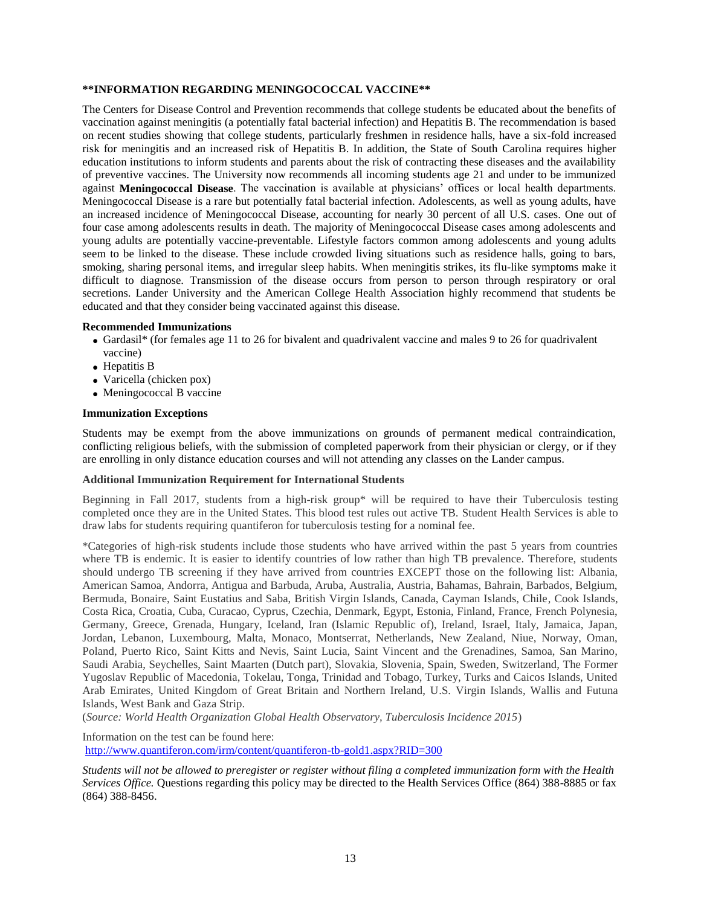## **\*\*INFORMATION REGARDING MENINGOCOCCAL VACCINE\*\***

The Centers for Disease Control and Prevention recommends that college students be educated about the benefits of vaccination against meningitis (a potentially fatal bacterial infection) and Hepatitis B. The recommendation is based on recent studies showing that college students, particularly freshmen in residence halls, have a six-fold increased risk for meningitis and an increased risk of Hepatitis B. In addition, the State of South Carolina requires higher education institutions to inform students and parents about the risk of contracting these diseases and the availability of preventive vaccines. The University now recommends all incoming students age 21 and under to be immunized against **Meningococcal Disease**. The vaccination is available at physicians' offices or local health departments. Meningococcal Disease is a rare but potentially fatal bacterial infection. Adolescents, as well as young adults, have an increased incidence of Meningococcal Disease, accounting for nearly 30 percent of all U.S. cases. One out of four case among adolescents results in death. The majority of Meningococcal Disease cases among adolescents and young adults are potentially vaccine-preventable. Lifestyle factors common among adolescents and young adults seem to be linked to the disease. These include crowded living situations such as residence halls, going to bars, smoking, sharing personal items, and irregular sleep habits. When meningitis strikes, its flu-like symptoms make it difficult to diagnose. Transmission of the disease occurs from person to person through respiratory or oral secretions. Lander University and the American College Health Association highly recommend that students be educated and that they consider being vaccinated against this disease.

### **Recommended Immunizations**

- Gardasil\* (for females age 11 to 26 for bivalent and quadrivalent vaccine and males 9 to 26 for quadrivalent vaccine)
- Hepatitis B
- Varicella (chicken pox)
- Meningococcal B vaccine

### **Immunization Exceptions**

Students may be exempt from the above immunizations on grounds of permanent medical contraindication, conflicting religious beliefs, with the submission of completed paperwork from their physician or clergy, or if they are enrolling in only distance education courses and will not attending any classes on the Lander campus.

### **Additional Immunization Requirement for International Students**

Beginning in Fall 2017, students from a high-risk group\* will be required to have their Tuberculosis testing completed once they are in the United States. This blood test rules out active TB. Student Health Services is able to draw labs for students requiring quantiferon for tuberculosis testing for a nominal fee.

\*Categories of high-risk students include those students who have arrived within the past 5 years from countries where TB is endemic. It is easier to identify countries of low rather than high TB prevalence. Therefore, students should undergo TB screening if they have arrived from countries EXCEPT those on the following list: Albania, American Samoa, Andorra, Antigua and Barbuda, Aruba, Australia, Austria, Bahamas, Bahrain, Barbados, Belgium, Bermuda, Bonaire, Saint Eustatius and Saba, British Virgin Islands, Canada, Cayman Islands, Chile, Cook Islands, Costa Rica, Croatia, Cuba, Curacao, Cyprus, Czechia, Denmark, Egypt, Estonia, Finland, France, French Polynesia, Germany, Greece, Grenada, Hungary, Iceland, Iran (Islamic Republic of), Ireland, Israel, Italy, Jamaica, Japan, Jordan, Lebanon, Luxembourg, Malta, Monaco, Montserrat, Netherlands, New Zealand, Niue, Norway, Oman, Poland, Puerto Rico, Saint Kitts and Nevis, Saint Lucia, Saint Vincent and the Grenadines, Samoa, San Marino, Saudi Arabia, Seychelles, Saint Maarten (Dutch part), Slovakia, Slovenia, Spain, Sweden, Switzerland, The Former Yugoslav Republic of Macedonia, Tokelau, Tonga, Trinidad and Tobago, Turkey, Turks and Caicos Islands, United Arab Emirates, United Kingdom of Great Britain and Northern Ireland, U.S. Virgin Islands, Wallis and Futuna Islands, West Bank and Gaza Strip.

(*Source: World Health Organization Global Health Observatory, Tuberculosis Incidence 2015*)

Information on the test can be found here: <http://www.quantiferon.com/irm/content/quantiferon-tb-gold1.aspx?RID=300>

*Students will not be allowed to preregister or register without filing a completed immunization form with the Health Services Office.* Questions regarding this policy may be directed to the Health Services Office (864) 388-8885 or fax (864) 388-8456.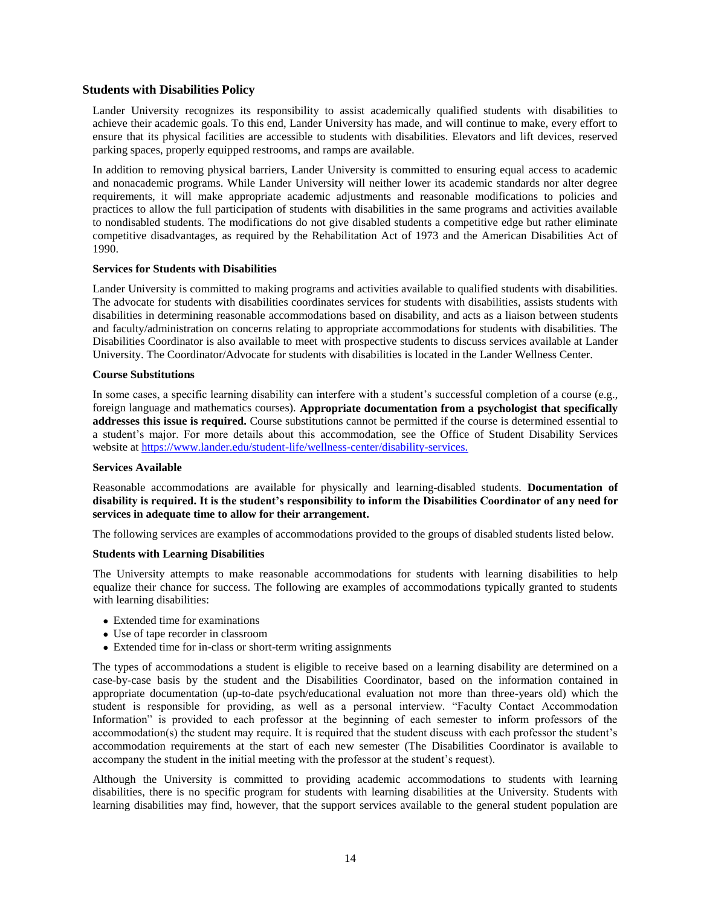## <span id="page-13-0"></span>**Students with Disabilities Policy**

Lander University recognizes its responsibility to assist academically qualified students with disabilities to achieve their academic goals. To this end, Lander University has made, and will continue to make, every effort to ensure that its physical facilities are accessible to students with disabilities. Elevators and lift devices, reserved parking spaces, properly equipped restrooms, and ramps are available.

In addition to removing physical barriers, Lander University is committed to ensuring equal access to academic and nonacademic programs. While Lander University will neither lower its academic standards nor alter degree requirements, it will make appropriate academic adjustments and reasonable modifications to policies and practices to allow the full participation of students with disabilities in the same programs and activities available to nondisabled students. The modifications do not give disabled students a competitive edge but rather eliminate competitive disadvantages, as required by the Rehabilitation Act of 1973 and the American Disabilities Act of 1990.

### **Services for Students with Disabilities**

Lander University is committed to making programs and activities available to qualified students with disabilities. The advocate for students with disabilities coordinates services for students with disabilities, assists students with disabilities in determining reasonable accommodations based on disability, and acts as a liaison between students and faculty/administration on concerns relating to appropriate accommodations for students with disabilities. The Disabilities Coordinator is also available to meet with prospective students to discuss services available at Lander University. The Coordinator/Advocate for students with disabilities is located in the Lander Wellness Center.

#### **Course Substitutions**

In some cases, a specific learning disability can interfere with a student's successful completion of a course (e.g., foreign language and mathematics courses). **Appropriate documentation from a psychologist that specifically addresses this issue is required.** Course substitutions cannot be permitted if the course is determined essential to a student's major. For more details about this accommodation, see the Office of Student Disability Services website at [https://www.lander.edu/student-life/wellness-center/disability-services.](https://www.lander.edu/student-life/wellness-center/disability-services)

### **Services Available**

Reasonable accommodations are available for physically and learning-disabled students. **Documentation of disability is required. It is the student's responsibility to inform the Disabilities Coordinator of any need for services in adequate time to allow for their arrangement.**

The following services are examples of accommodations provided to the groups of disabled students listed below.

### **Students with Learning Disabilities**

The University attempts to make reasonable accommodations for students with learning disabilities to help equalize their chance for success. The following are examples of accommodations typically granted to students with learning disabilities:

- Extended time for examinations
- Use of tape recorder in classroom
- Extended time for in-class or short-term writing assignments

The types of accommodations a student is eligible to receive based on a learning disability are determined on a case-by-case basis by the student and the Disabilities Coordinator, based on the information contained in appropriate documentation (up-to-date psych/educational evaluation not more than three-years old) which the student is responsible for providing, as well as a personal interview. "Faculty Contact Accommodation Information" is provided to each professor at the beginning of each semester to inform professors of the accommodation(s) the student may require. It is required that the student discuss with each professor the student's accommodation requirements at the start of each new semester (The Disabilities Coordinator is available to accompany the student in the initial meeting with the professor at the student's request).

Although the University is committed to providing academic accommodations to students with learning disabilities, there is no specific program for students with learning disabilities at the University. Students with learning disabilities may find, however, that the support services available to the general student population are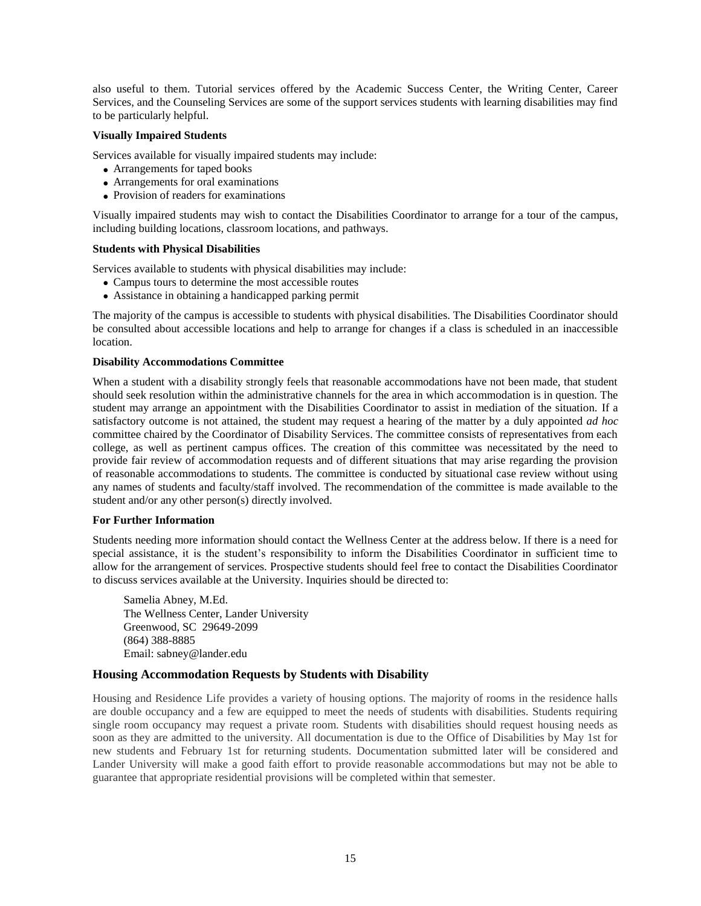also useful to them. Tutorial services offered by the Academic Success Center, the Writing Center, Career Services, and the Counseling Services are some of the support services students with learning disabilities may find to be particularly helpful.

## **Visually Impaired Students**

Services available for visually impaired students may include:

- Arrangements for taped books
- Arrangements for oral examinations
- Provision of readers for examinations

Visually impaired students may wish to contact the Disabilities Coordinator to arrange for a tour of the campus, including building locations, classroom locations, and pathways.

### **Students with Physical Disabilities**

Services available to students with physical disabilities may include:

- Campus tours to determine the most accessible routes
- Assistance in obtaining a handicapped parking permit

The majority of the campus is accessible to students with physical disabilities. The Disabilities Coordinator should be consulted about accessible locations and help to arrange for changes if a class is scheduled in an inaccessible location.

## **Disability Accommodations Committee**

When a student with a disability strongly feels that reasonable accommodations have not been made, that student should seek resolution within the administrative channels for the area in which accommodation is in question. The student may arrange an appointment with the Disabilities Coordinator to assist in mediation of the situation. If a satisfactory outcome is not attained, the student may request a hearing of the matter by a duly appointed *ad hoc* committee chaired by the Coordinator of Disability Services. The committee consists of representatives from each college, as well as pertinent campus offices. The creation of this committee was necessitated by the need to provide fair review of accommodation requests and of different situations that may arise regarding the provision of reasonable accommodations to students. The committee is conducted by situational case review without using any names of students and faculty/staff involved. The recommendation of the committee is made available to the student and/or any other person(s) directly involved.

### **For Further Information**

Students needing more information should contact the Wellness Center at the address below. If there is a need for special assistance, it is the student's responsibility to inform the Disabilities Coordinator in sufficient time to allow for the arrangement of services. Prospective students should feel free to contact the Disabilities Coordinator to discuss services available at the University. Inquiries should be directed to:

Samelia Abney, M.Ed. The Wellness Center, Lander University Greenwood, SC 29649-2099 (864) 388-8885 Email: sabney@lander.edu

## **Housing Accommodation Requests by Students with Disability**

Housing and Residence Life provides a variety of housing options. The majority of rooms in the residence halls are double occupancy and a few are equipped to meet the needs of students with disabilities. Students requiring single room occupancy may request a private room. Students with disabilities should request housing needs as soon as they are admitted to the university. All documentation is due to the Office of Disabilities by May 1st for new students and February 1st for returning students. Documentation submitted later will be considered and Lander University will make a good faith effort to provide reasonable accommodations but may not be able to guarantee that appropriate residential provisions will be completed within that semester.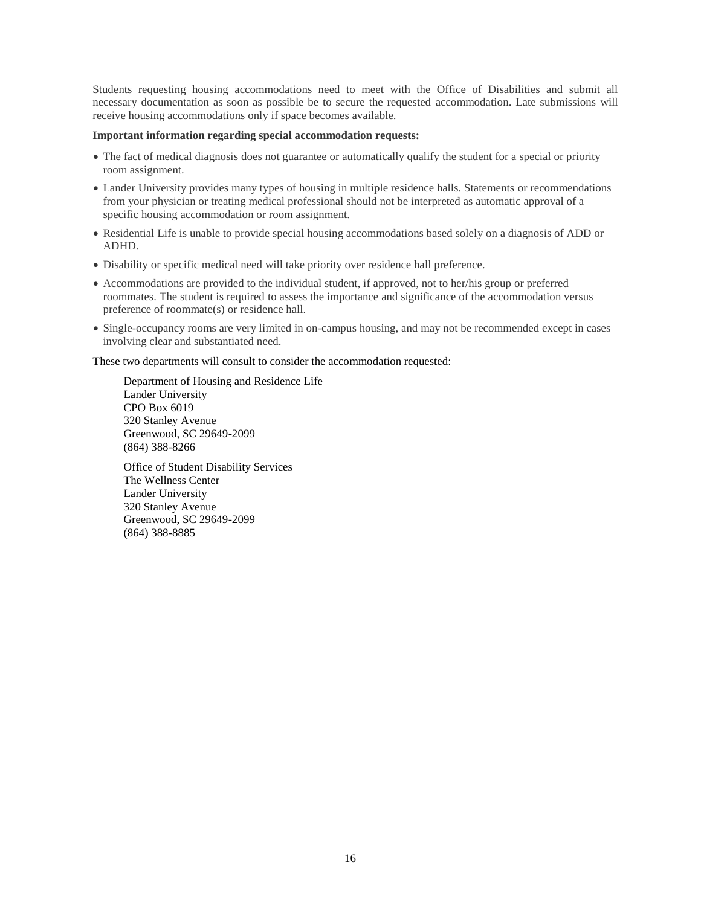Students requesting housing accommodations need to meet with the Office of Disabilities and submit all necessary documentation as soon as possible be to secure the requested accommodation. Late submissions will receive housing accommodations only if space becomes available.

### **Important information regarding special accommodation requests:**

- The fact of medical diagnosis does not guarantee or automatically qualify the student for a special or priority room assignment.
- Lander University provides many types of housing in multiple residence halls. Statements or recommendations from your physician or treating medical professional should not be interpreted as automatic approval of a specific housing accommodation or room assignment.
- Residential Life is unable to provide special housing accommodations based solely on a diagnosis of ADD or ADHD.
- Disability or specific medical need will take priority over residence hall preference.
- Accommodations are provided to the individual student, if approved, not to her/his group or preferred roommates. The student is required to assess the importance and significance of the accommodation versus preference of roommate(s) or residence hall.
- Single-occupancy rooms are very limited in on-campus housing, and may not be recommended except in cases involving clear and substantiated need.

These two departments will consult to consider the accommodation requested:

Department of Housing and Residence Life Lander University CPO Box 6019 320 Stanley Avenue Greenwood, SC 29649-2099 (864) 388-8266

Office of Student Disability Services The Wellness Center Lander University 320 Stanley Avenue Greenwood, SC 29649-2099 (864) 388-8885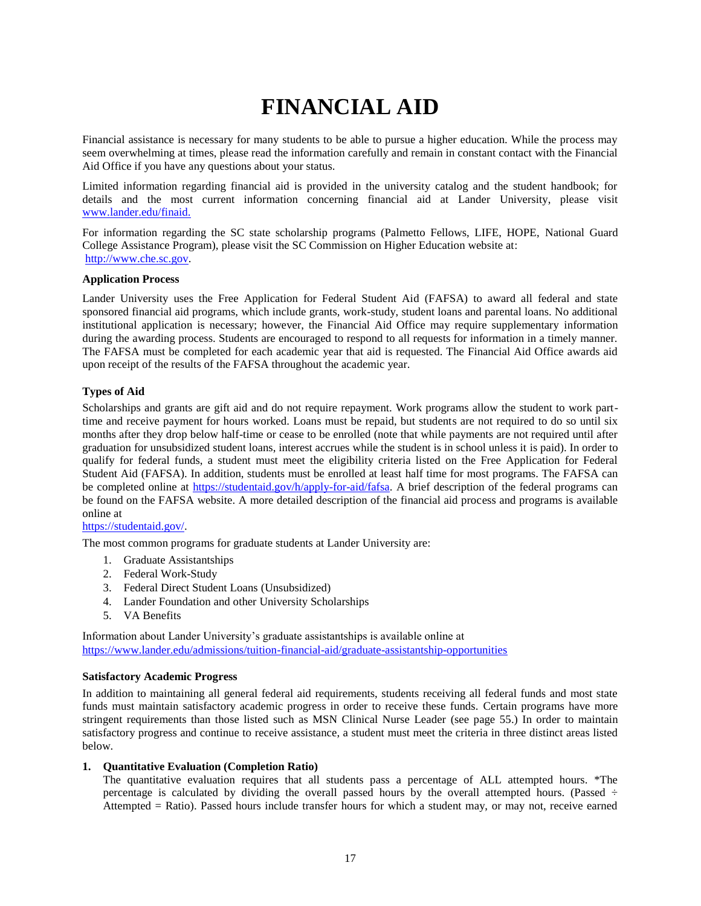# **FINANCIAL AID**

<span id="page-16-0"></span>Financial assistance is necessary for many students to be able to pursue a higher education. While the process may seem overwhelming at times, please read the information carefully and remain in constant contact with the Financial Aid Office if you have any questions about your status.

Limited information regarding financial aid is provided in the university catalog and the student handbook; for details and the most current information concerning financial aid at Lander University, please visit [www.lander.edu/finaid.](http://www.lander.edu/finaid)

For information regarding the SC state scholarship programs (Palmetto Fellows, LIFE, HOPE, National Guard College Assistance Program), please visit the SC Commission on Higher Education website at: [http://www.che.sc.gov.](http://www.che.sc.gov/)

## **Application Process**

Lander University uses the Free Application for Federal Student Aid (FAFSA) to award all federal and state sponsored financial aid programs, which include grants, work-study, student loans and parental loans. No additional institutional application is necessary; however, the Financial Aid Office may require supplementary information during the awarding process. Students are encouraged to respond to all requests for information in a timely manner. The FAFSA must be completed for each academic year that aid is requested. The Financial Aid Office awards aid upon receipt of the results of the FAFSA throughout the academic year.

## <span id="page-16-1"></span>**Types of Aid**

Scholarships and grants are gift aid and do not require repayment. Work programs allow the student to work parttime and receive payment for hours worked. Loans must be repaid, but students are not required to do so until six months after they drop below half-time or cease to be enrolled (note that while payments are not required until after graduation for unsubsidized student loans, interest accrues while the student is in school unless it is paid). In order to qualify for federal funds, a student must meet the eligibility criteria listed on the Free Application for Federal Student Aid (FAFSA). In addition, students must be enrolled at least half time for most programs. The FAFSA can be completed online at [https://studentaid.gov/h/apply-for-aid/fafsa.](https://studentaid.gov/h/apply-for-aid/fafsa) A brief description of the federal programs can be found on the FAFSA website. A more detailed description of the financial aid process and programs is available online at

### [https://studentaid.gov/.](https://studentaid.gov/)

The most common programs for graduate students at Lander University are:

- 1. Graduate Assistantships
- 2. Federal Work-Study
- 3. Federal Direct Student Loans (Unsubsidized)
- 4. Lander Foundation and other University Scholarships
- 5. VA Benefits

Information about Lander University's graduate assistantships is available online at <https://www.lander.edu/admissions/tuition-financial-aid/graduate-assistantship-opportunities>

### <span id="page-16-2"></span>**Satisfactory Academic Progress**

In addition to maintaining all general federal aid requirements, students receiving all federal funds and most state funds must maintain satisfactory academic progress in order to receive these funds. Certain programs have more stringent requirements than those listed such as MSN Clinical Nurse Leader (see page 55.) In order to maintain satisfactory progress and continue to receive assistance, a student must meet the criteria in three distinct areas listed below.

## **1. Quantitative Evaluation (Completion Ratio)**

The quantitative evaluation requires that all students pass a percentage of ALL attempted hours. \*The percentage is calculated by dividing the overall passed hours by the overall attempted hours. (Passed  $\div$ Attempted = Ratio). Passed hours include transfer hours for which a student may, or may not, receive earned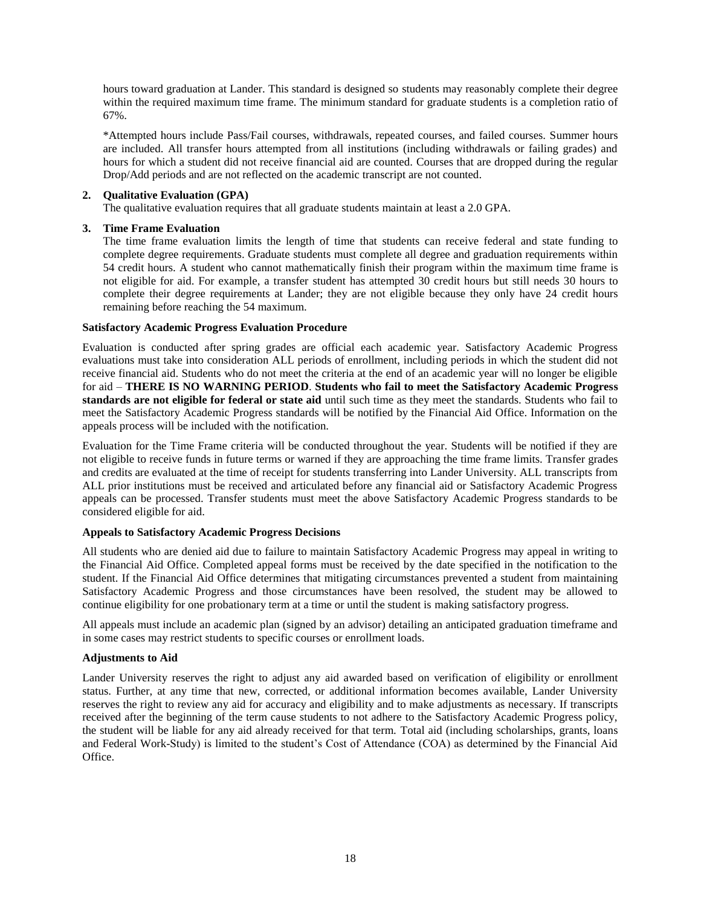hours toward graduation at Lander. This standard is designed so students may reasonably complete their degree within the required maximum time frame. The minimum standard for graduate students is a completion ratio of 67%.

\*Attempted hours include Pass/Fail courses, withdrawals, repeated courses, and failed courses. Summer hours are included. All transfer hours attempted from all institutions (including withdrawals or failing grades) and hours for which a student did not receive financial aid are counted. Courses that are dropped during the regular Drop/Add periods and are not reflected on the academic transcript are not counted.

## **2. Qualitative Evaluation (GPA)**

The qualitative evaluation requires that all graduate students maintain at least a 2.0 GPA.

## **3. Time Frame Evaluation**

The time frame evaluation limits the length of time that students can receive federal and state funding to complete degree requirements. Graduate students must complete all degree and graduation requirements within 54 credit hours. A student who cannot mathematically finish their program within the maximum time frame is not eligible for aid. For example, a transfer student has attempted 30 credit hours but still needs 30 hours to complete their degree requirements at Lander; they are not eligible because they only have 24 credit hours remaining before reaching the 54 maximum.

## **Satisfactory Academic Progress Evaluation Procedure**

Evaluation is conducted after spring grades are official each academic year. Satisfactory Academic Progress evaluations must take into consideration ALL periods of enrollment, including periods in which the student did not receive financial aid. Students who do not meet the criteria at the end of an academic year will no longer be eligible for aid – **THERE IS NO WARNING PERIOD**. **Students who fail to meet the Satisfactory Academic Progress standards are not eligible for federal or state aid** until such time as they meet the standards. Students who fail to meet the Satisfactory Academic Progress standards will be notified by the Financial Aid Office. Information on the appeals process will be included with the notification.

Evaluation for the Time Frame criteria will be conducted throughout the year. Students will be notified if they are not eligible to receive funds in future terms or warned if they are approaching the time frame limits. Transfer grades and credits are evaluated at the time of receipt for students transferring into Lander University. ALL transcripts from ALL prior institutions must be received and articulated before any financial aid or Satisfactory Academic Progress appeals can be processed. Transfer students must meet the above Satisfactory Academic Progress standards to be considered eligible for aid.

### **Appeals to Satisfactory Academic Progress Decisions**

All students who are denied aid due to failure to maintain Satisfactory Academic Progress may appeal in writing to the Financial Aid Office. Completed appeal forms must be received by the date specified in the notification to the student. If the Financial Aid Office determines that mitigating circumstances prevented a student from maintaining Satisfactory Academic Progress and those circumstances have been resolved, the student may be allowed to continue eligibility for one probationary term at a time or until the student is making satisfactory progress.

All appeals must include an academic plan (signed by an advisor) detailing an anticipated graduation timeframe and in some cases may restrict students to specific courses or enrollment loads.

## **Adjustments to Aid**

Lander University reserves the right to adjust any aid awarded based on verification of eligibility or enrollment status. Further, at any time that new, corrected, or additional information becomes available, Lander University reserves the right to review any aid for accuracy and eligibility and to make adjustments as necessary. If transcripts received after the beginning of the term cause students to not adhere to the Satisfactory Academic Progress policy, the student will be liable for any aid already received for that term. Total aid (including scholarships, grants, loans and Federal Work-Study) is limited to the student's Cost of Attendance (COA) as determined by the Financial Aid Office.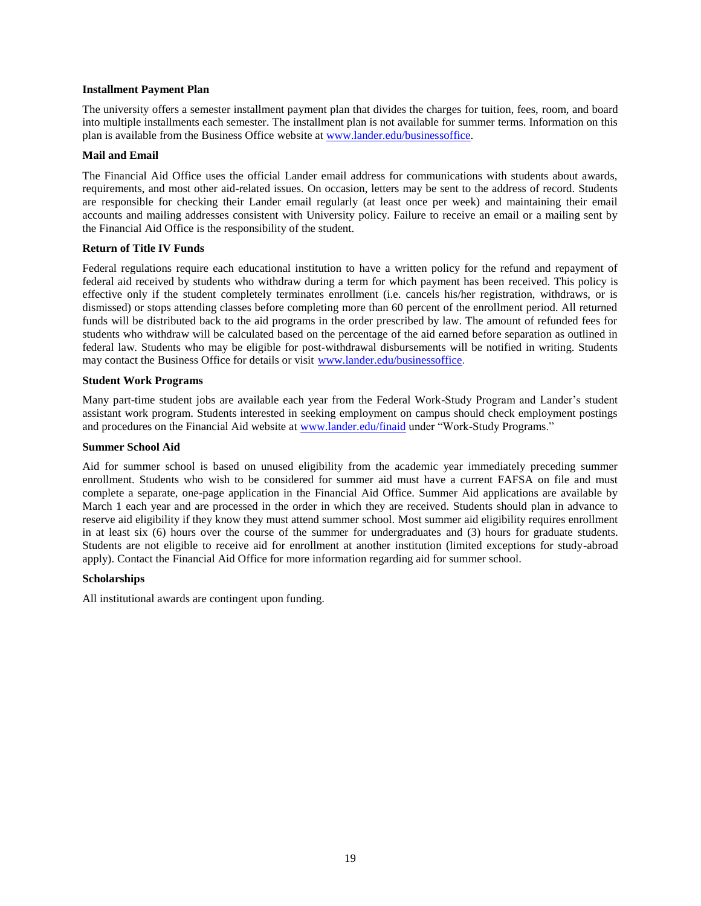## <span id="page-18-0"></span>**Installment Payment Plan**

The university offers a semester installment payment plan that divides the charges for tuition, fees, room, and board into multiple installments each semester. The installment plan is not available for summer terms. Information on this plan is available from the Business Office website at [www.lander.edu/businessoffice.](http://www.lander.edu/businessoffice)

## **Mail and Email**

The Financial Aid Office uses the official Lander email address for communications with students about awards, requirements, and most other aid-related issues. On occasion, letters may be sent to the address of record. Students are responsible for checking their Lander email regularly (at least once per week) and maintaining their email accounts and mailing addresses consistent with University policy. Failure to receive an email or a mailing sent by the Financial Aid Office is the responsibility of the student.

## **Return of Title IV Funds**

Federal regulations require each educational institution to have a written policy for the refund and repayment of federal aid received by students who withdraw during a term for which payment has been received. This policy is effective only if the student completely terminates enrollment (i.e. cancels his/her registration, withdraws, or is dismissed) or stops attending classes before completing more than 60 percent of the enrollment period. All returned funds will be distributed back to the aid programs in the order prescribed by law. The amount of refunded fees for students who withdraw will be calculated based on the percentage of the aid earned before separation as outlined in federal law. Students who may be eligible for post-withdrawal disbursements will be notified in writing. Students may contact the Business Office for details or visit [www.lander.edu/businessoffice.](http://www.lander.edu/businessoffice)

## <span id="page-18-1"></span>**Student Work Programs**

Many part-time student jobs are available each year from the Federal Work-Study Program and Lander's student assistant work program. Students interested in seeking employment on campus should check employment postings and procedures on the Financial Aid website at [www.lander.edu/finaid](http://www.lander.edu/finaid) under "Work-Study Programs."

### **Summer School Aid**

Aid for summer school is based on unused eligibility from the academic year immediately preceding summer enrollment. Students who wish to be considered for summer aid must have a current FAFSA on file and must complete a separate, one-page application in the Financial Aid Office. Summer Aid applications are available by March 1 each year and are processed in the order in which they are received. Students should plan in advance to reserve aid eligibility if they know they must attend summer school. Most summer aid eligibility requires enrollment in at least six (6) hours over the course of the summer for undergraduates and (3) hours for graduate students. Students are not eligible to receive aid for enrollment at another institution (limited exceptions for study-abroad apply). Contact the Financial Aid Office for more information regarding aid for summer school.

### <span id="page-18-2"></span>**Scholarships**

All institutional awards are contingent upon funding.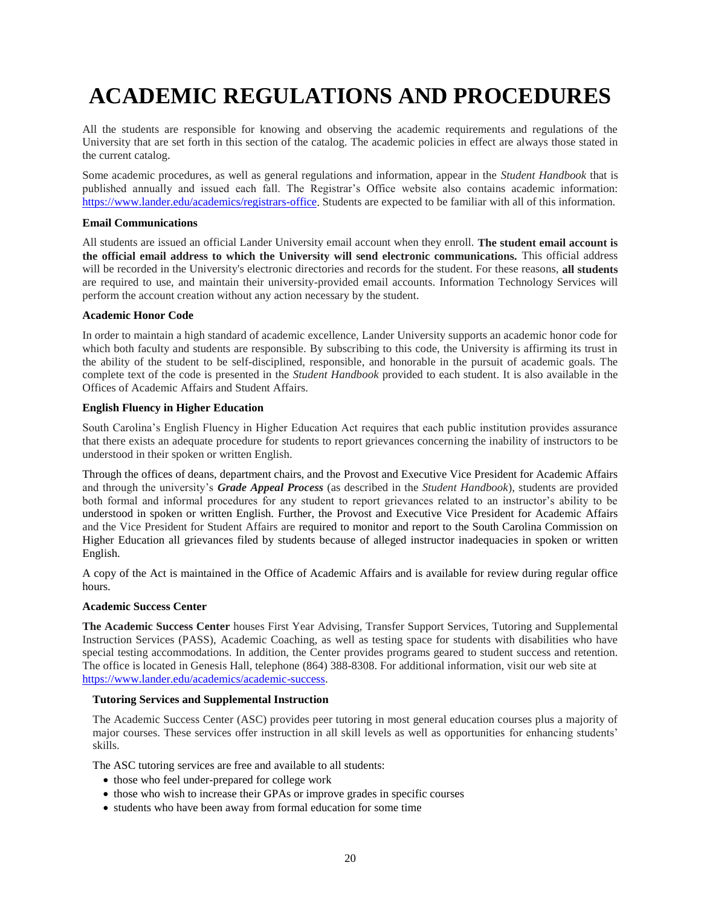# <span id="page-19-0"></span>**ACADEMIC REGULATIONS AND PROCEDURES**

All the students are responsible for knowing and observing the academic requirements and regulations of the University that are set forth in this section of the catalog. The academic policies in effect are always those stated in the current catalog.

Some academic procedures, as well as general regulations and information, appear in the *Student Handbook* that is published annually and issued each fall. The Registrar's Office website also contains academic information: <https://www.lander.edu/academics/registrars-office>. Students are expected to be familiar with all of this information.

## **Email Communications**

All students are issued an official Lander University email account when they enroll. **The student email account is the official email address to which the University will send electronic communications.** This official address will be recorded in the University's electronic directories and records for the student. For these reasons, **all students**  are required to use, and maintain their university-provided email accounts. Information Technology Services will perform the account creation without any action necessary by the student.

## **Academic Honor Code**

In order to maintain a high standard of academic excellence, Lander University supports an academic honor code for which both faculty and students are responsible. By subscribing to this code, the University is affirming its trust in the ability of the student to be self-disciplined, responsible, and honorable in the pursuit of academic goals. The complete text of the code is presented in the *Student Handbook* provided to each student. It is also available in the Offices of Academic Affairs and Student Affairs.

## **English Fluency in Higher Education**

South Carolina's English Fluency in Higher Education Act requires that each public institution provides assurance that there exists an adequate procedure for students to report grievances concerning the inability of instructors to be understood in their spoken or written English.

Through the offices of deans, department chairs, and the Provost and Executive Vice President for Academic Affairs and through the university's *Grade Appeal Process* (as described in the *Student Handbook*), students are provided both formal and informal procedures for any student to report grievances related to an instructor's ability to be understood in spoken or written English. Further, the Provost and Executive Vice President for Academic Affairs and the Vice President for Student Affairs are required to monitor and report to the South Carolina Commission on Higher Education all grievances filed by students because of alleged instructor inadequacies in spoken or written English.

A copy of the Act is maintained in the Office of Academic Affairs and is available for review during regular office hours.

### <span id="page-19-1"></span>**Academic Success Center**

**The Academic Success Center** houses First Year Advising, Transfer Support Services, Tutoring and Supplemental Instruction Services (PASS), Academic Coaching, as well as testing space for students with disabilities who have special testing accommodations. In addition, the Center provides programs geared to student success and retention. The office is located in Genesis Hall, telephone (864) 388-8308. For additional information, visit our web site at [https://www.lander.edu/academics/academic-success.](https://www.lander.edu/academics/academic-success)

## **Tutoring Services and Supplemental Instruction**

The Academic Success Center (ASC) provides peer tutoring in most general education courses plus a majority of major courses. These services offer instruction in all skill levels as well as opportunities for enhancing students' skills.

The ASC tutoring services are free and available to all students:

- those who feel under-prepared for college work
- those who wish to increase their GPAs or improve grades in specific courses
- students who have been away from formal education for some time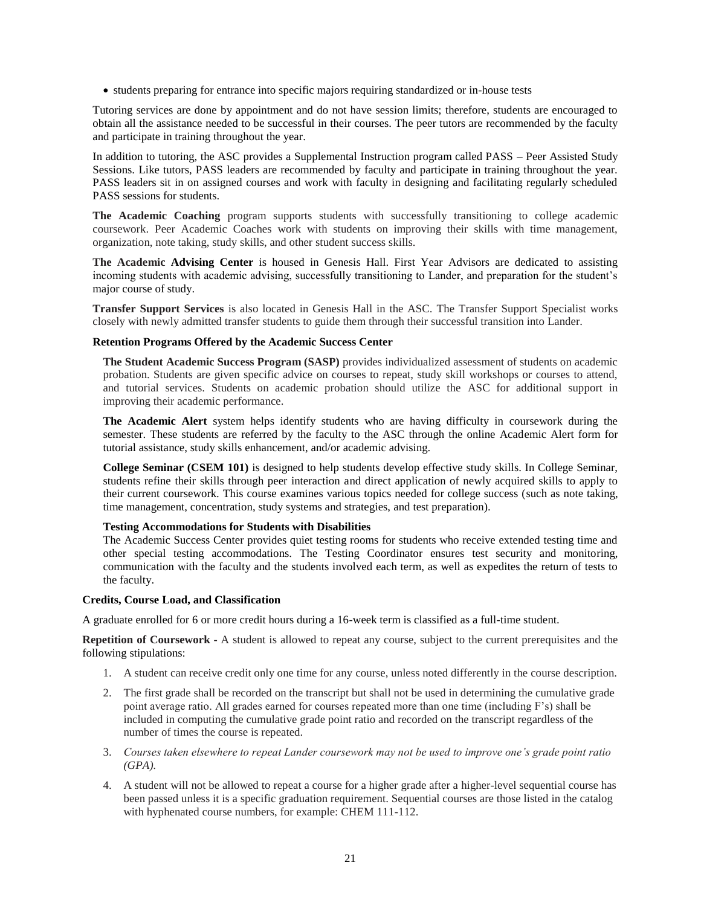• students preparing for entrance into specific majors requiring standardized or in-house tests

Tutoring services are done by appointment and do not have session limits; therefore, students are encouraged to obtain all the assistance needed to be successful in their courses. The peer tutors are recommended by the faculty and participate in training throughout the year.

In addition to tutoring, the ASC provides a Supplemental Instruction program called PASS – Peer Assisted Study Sessions. Like tutors, PASS leaders are recommended by faculty and participate in training throughout the year. PASS leaders sit in on assigned courses and work with faculty in designing and facilitating regularly scheduled PASS sessions for students.

**The Academic Coaching** program supports students with successfully transitioning to college academic coursework. Peer Academic Coaches work with students on improving their skills with time management, organization, note taking, study skills, and other student success skills.

**The Academic Advising Center** is housed in Genesis Hall. First Year Advisors are dedicated to assisting incoming students with academic advising, successfully transitioning to Lander, and preparation for the student's major course of study.

**Transfer Support Services** is also located in Genesis Hall in the ASC. The Transfer Support Specialist works closely with newly admitted transfer students to guide them through their successful transition into Lander.

### **Retention Programs Offered by the Academic Success Center**

**The Student Academic Success Program (SASP)** provides individualized assessment of students on academic probation. Students are given specific advice on courses to repeat, study skill workshops or courses to attend, and tutorial services. Students on academic probation should utilize the ASC for additional support in improving their academic performance.

**The Academic Alert** system helps identify students who are having difficulty in coursework during the semester. These students are referred by the faculty to the ASC through the online Academic Alert form for tutorial assistance, study skills enhancement, and/or academic advising.

**College Seminar (CSEM 101)** is designed to help students develop effective study skills. In College Seminar, students refine their skills through peer interaction and direct application of newly acquired skills to apply to their current coursework. This course examines various topics needed for college success (such as note taking, time management, concentration, study systems and strategies, and test preparation).

### **Testing Accommodations for Students with Disabilities**

The Academic Success Center provides quiet testing rooms for students who receive extended testing time and other special testing accommodations. The Testing Coordinator ensures test security and monitoring, communication with the faculty and the students involved each term, as well as expedites the return of tests to the faculty.

### <span id="page-20-0"></span>**Credits, Course Load, and Classification**

A graduate enrolled for 6 or more credit hours during a 16-week term is classified as a full-time student.

**Repetition of Coursework -** A student is allowed to repeat any course, subject to the current prerequisites and the following stipulations:

- 1. A student can receive credit only one time for any course, unless noted differently in the course description.
- 2. The first grade shall be recorded on the transcript but shall not be used in determining the cumulative grade point average ratio. All grades earned for courses repeated more than one time (including F's) shall be included in computing the cumulative grade point ratio and recorded on the transcript regardless of the number of times the course is repeated.
- 3. *Courses taken elsewhere to repeat Lander coursework may not be used to improve one's grade point ratio (GPA).*
- 4. A student will not be allowed to repeat a course for a higher grade after a higher-level sequential course has been passed unless it is a specific graduation requirement. Sequential courses are those listed in the catalog with hyphenated course numbers, for example: CHEM 111-112.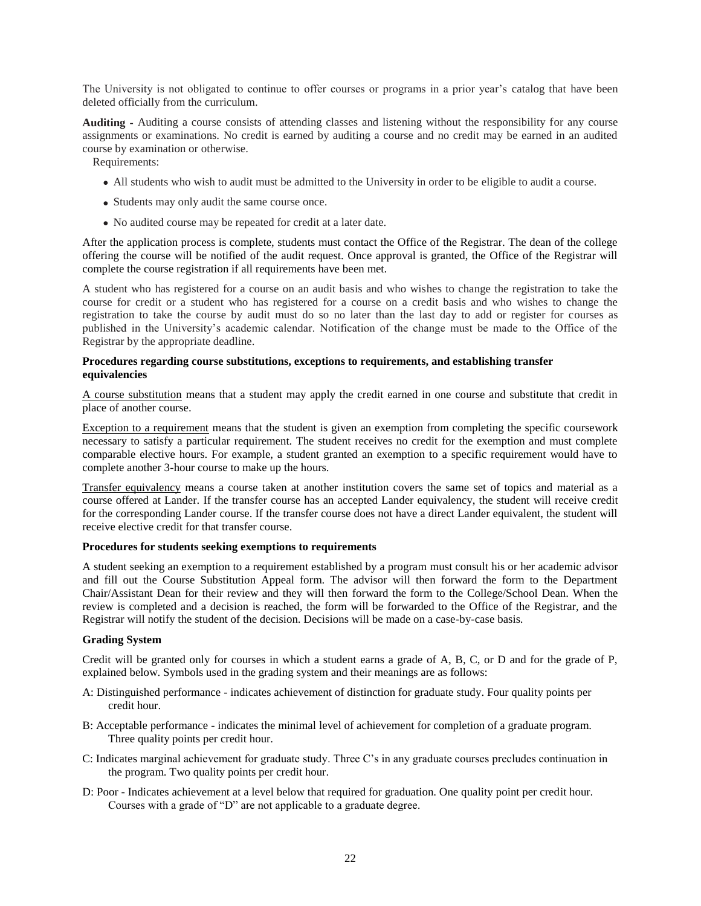The University is not obligated to continue to offer courses or programs in a prior year's catalog that have been deleted officially from the curriculum.

**Auditing -** Auditing a course consists of attending classes and listening without the responsibility for any course assignments or examinations. No credit is earned by auditing a course and no credit may be earned in an audited course by examination or otherwise.

Requirements:

- All students who wish to audit must be admitted to the University in order to be eligible to audit a course.
- Students may only audit the same course once.
- No audited course may be repeated for credit at a later date.

After the application process is complete, students must contact the Office of the Registrar. The dean of the college offering the course will be notified of the audit request. Once approval is granted, the Office of the Registrar will complete the course registration if all requirements have been met.

A student who has registered for a course on an audit basis and who wishes to change the registration to take the course for credit or a student who has registered for a course on a credit basis and who wishes to change the registration to take the course by audit must do so no later than the last day to add or register for courses as published in the University's academic calendar. Notification of the change must be made to the Office of the Registrar by the appropriate deadline.

### **Procedures regarding course substitutions, exceptions to requirements, and establishing transfer equivalencies**

A course substitution means that a student may apply the credit earned in one course and substitute that credit in place of another course.

Exception to a requirement means that the student is given an exemption from completing the specific coursework necessary to satisfy a particular requirement. The student receives no credit for the exemption and must complete comparable elective hours. For example, a student granted an exemption to a specific requirement would have to complete another 3-hour course to make up the hours.

Transfer equivalency means a course taken at another institution covers the same set of topics and material as a course offered at Lander. If the transfer course has an accepted Lander equivalency, the student will receive credit for the corresponding Lander course. If the transfer course does not have a direct Lander equivalent, the student will receive elective credit for that transfer course.

## **Procedures for students seeking exemptions to requirements**

A student seeking an exemption to a requirement established by a program must consult his or her academic advisor and fill out the Course Substitution Appeal form. The advisor will then forward the form to the Department Chair/Assistant Dean for their review and they will then forward the form to the College/School Dean. When the review is completed and a decision is reached, the form will be forwarded to the Office of the Registrar, and the Registrar will notify the student of the decision. Decisions will be made on a case-by-case basis.

### <span id="page-21-0"></span>**Grading System**

Credit will be granted only for courses in which a student earns a grade of A, B, C, or D and for the grade of P, explained below. Symbols used in the grading system and their meanings are as follows:

- A: Distinguished performance indicates achievement of distinction for graduate study. Four quality points per credit hour.
- B: Acceptable performance indicates the minimal level of achievement for completion of a graduate program. Three quality points per credit hour.
- C: Indicates marginal achievement for graduate study. Three C's in any graduate courses precludes continuation in the program. Two quality points per credit hour.
- D: Poor Indicates achievement at a level below that required for graduation. One quality point per credit hour. Courses with a grade of "D" are not applicable to a graduate degree.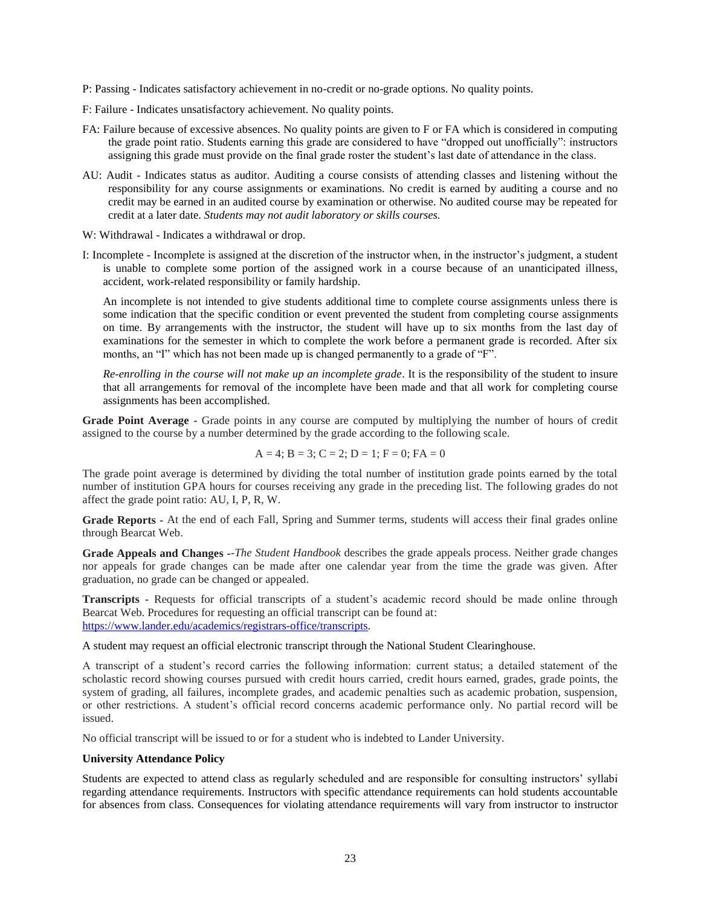- P: Passing Indicates satisfactory achievement in no-credit or no-grade options. No quality points.
- F: Failure Indicates unsatisfactory achievement. No quality points.
- FA: Failure because of excessive absences. No quality points are given to F or FA which is considered in computing the grade point ratio. Students earning this grade are considered to have "dropped out unofficially": instructors assigning this grade must provide on the final grade roster the student's last date of attendance in the class.
- AU: Audit Indicates status as auditor. Auditing a course consists of attending classes and listening without the responsibility for any course assignments or examinations. No credit is earned by auditing a course and no credit may be earned in an audited course by examination or otherwise. No audited course may be repeated for credit at a later date. *Students may not audit laboratory or skills courses.*
- W: Withdrawal Indicates a withdrawal or drop.
- I: Incomplete Incomplete is assigned at the discretion of the instructor when, in the instructor's judgment, a student is unable to complete some portion of the assigned work in a course because of an unanticipated illness, accident, work-related responsibility or family hardship.

An incomplete is not intended to give students additional time to complete course assignments unless there is some indication that the specific condition or event prevented the student from completing course assignments on time. By arrangements with the instructor, the student will have up to six months from the last day of examinations for the semester in which to complete the work before a permanent grade is recorded. After six months, an "I" which has not been made up is changed permanently to a grade of "F".

*Re-enrolling in the course will not make up an incomplete grade*. It is the responsibility of the student to insure that all arrangements for removal of the incomplete have been made and that all work for completing course assignments has been accomplished.

**Grade Point Average -** Grade points in any course are computed by multiplying the number of hours of credit assigned to the course by a number determined by the grade according to the following scale.

$$
A = 4
$$
;  $B = 3$ ;  $C = 2$ ;  $D = 1$ ;  $F = 0$ ;  $FA = 0$ 

The grade point average is determined by dividing the total number of institution grade points earned by the total number of institution GPA hours for courses receiving any grade in the preceding list. The following grades do not affect the grade point ratio: AU, I, P, R, W.

**Grade Reports -** At the end of each Fall, Spring and Summer terms, students will access their final grades online through Bearcat Web.

**Grade Appeals and Changes -**-*The Student Handbook* describes the grade appeals process. Neither grade changes nor appeals for grade changes can be made after one calendar year from the time the grade was given. After graduation, no grade can be changed or appealed.

**Transcripts -** Requests for official transcripts of a student's academic record should be made online through Bearcat Web. Procedures for requesting an official transcript can be found at: [https://www.lander.edu/academics/registrars-office/transcripts.](https://www.lander.edu/academics/registrars-office/transcripts)

A student may request an official electronic transcript through the National Student Clearinghouse.

A transcript of a student's record carries the following information: current status; a detailed statement of the scholastic record showing courses pursued with credit hours carried, credit hours earned, grades, grade points, the system of grading, all failures, incomplete grades, and academic penalties such as academic probation, suspension, or other restrictions. A student's official record concerns academic performance only. No partial record will be issued.

No official transcript will be issued to or for a student who is indebted to Lander University.

### **University Attendance Policy**

Students are expected to attend class as regularly scheduled and are responsible for consulting instructors' syllabi regarding attendance requirements. Instructors with specific attendance requirements can hold students accountable for absences from class. Consequences for violating attendance requirements will vary from instructor to instructor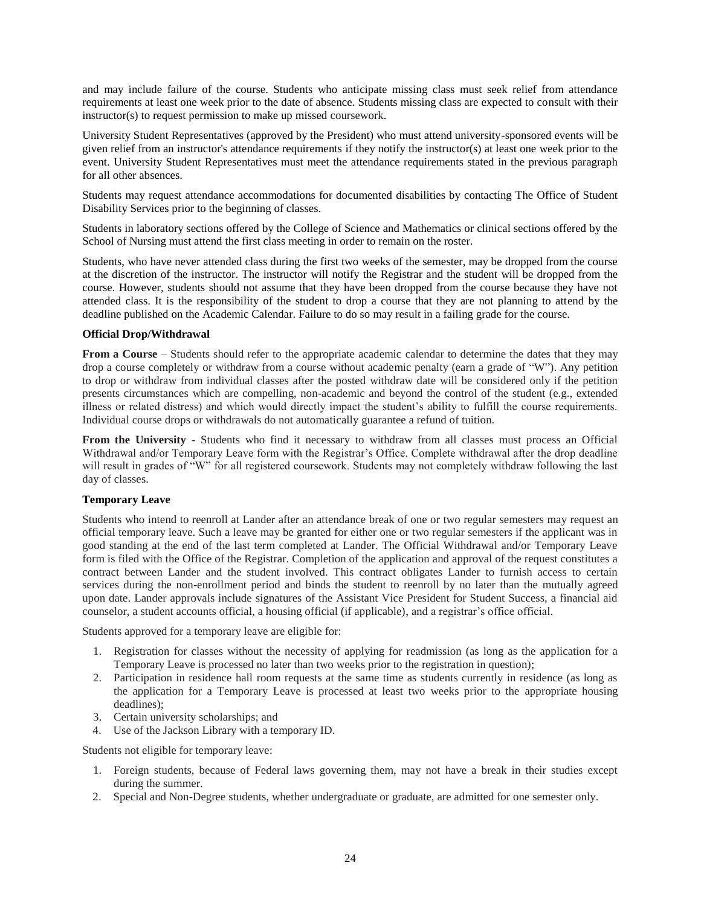and may include failure of the course. Students who anticipate missing class must seek relief from attendance requirements at least one week prior to the date of absence. Students missing class are expected to consult with their instructor(s) to request permission to make up missed coursework.

University Student Representatives (approved by the President) who must attend university-sponsored events will be given relief from an instructor's attendance requirements if they notify the instructor(s) at least one week prior to the event. University Student Representatives must meet the attendance requirements stated in the previous paragraph for all other absences.

Students may request attendance accommodations for documented disabilities by contacting The Office of Student Disability Services prior to the beginning of classes.

Students in laboratory sections offered by the College of Science and Mathematics or clinical sections offered by the School of Nursing must attend the first class meeting in order to remain on the roster.

Students, who have never attended class during the first two weeks of the semester, may be dropped from the course at the discretion of the instructor. The instructor will notify the Registrar and the student will be dropped from the course. However, students should not assume that they have been dropped from the course because they have not attended class. It is the responsibility of the student to drop a course that they are not planning to attend by the deadline published on the Academic Calendar. Failure to do so may result in a failing grade for the course.

## **Official Drop/Withdrawal**

**From a Course** – Students should refer to the appropriate academic calendar to determine the dates that they may drop a course completely or withdraw from a course without academic penalty (earn a grade of "W"). Any petition to drop or withdraw from individual classes after the posted withdraw date will be considered only if the petition presents circumstances which are compelling, non-academic and beyond the control of the student (e.g., extended illness or related distress) and which would directly impact the student's ability to fulfill the course requirements. Individual course drops or withdrawals do not automatically guarantee a refund of tuition.

**From the University -** Students who find it necessary to withdraw from all classes must process an Official Withdrawal and/or Temporary Leave form with the Registrar's Office. Complete withdrawal after the drop deadline will result in grades of "W" for all registered coursework. Students may not completely withdraw following the last day of classes.

### **Temporary Leave**

Students who intend to reenroll at Lander after an attendance break of one or two regular semesters may request an official temporary leave. Such a leave may be granted for either one or two regular semesters if the applicant was in good standing at the end of the last term completed at Lander. The Official Withdrawal and/or Temporary Leave form is filed with the Office of the Registrar. Completion of the application and approval of the request constitutes a contract between Lander and the student involved. This contract obligates Lander to furnish access to certain services during the non-enrollment period and binds the student to reenroll by no later than the mutually agreed upon date. Lander approvals include signatures of the Assistant Vice President for Student Success, a financial aid counselor, a student accounts official, a housing official (if applicable), and a registrar's office official.

Students approved for a temporary leave are eligible for:

- 1. Registration for classes without the necessity of applying for readmission (as long as the application for a Temporary Leave is processed no later than two weeks prior to the registration in question);
- 2. Participation in residence hall room requests at the same time as students currently in residence (as long as the application for a Temporary Leave is processed at least two weeks prior to the appropriate housing deadlines);
- 3. Certain university scholarships; and
- 4. Use of the Jackson Library with a temporary ID.

Students not eligible for temporary leave:

- 1. Foreign students, because of Federal laws governing them, may not have a break in their studies except during the summer.
- 2. Special and Non-Degree students, whether undergraduate or graduate, are admitted for one semester only.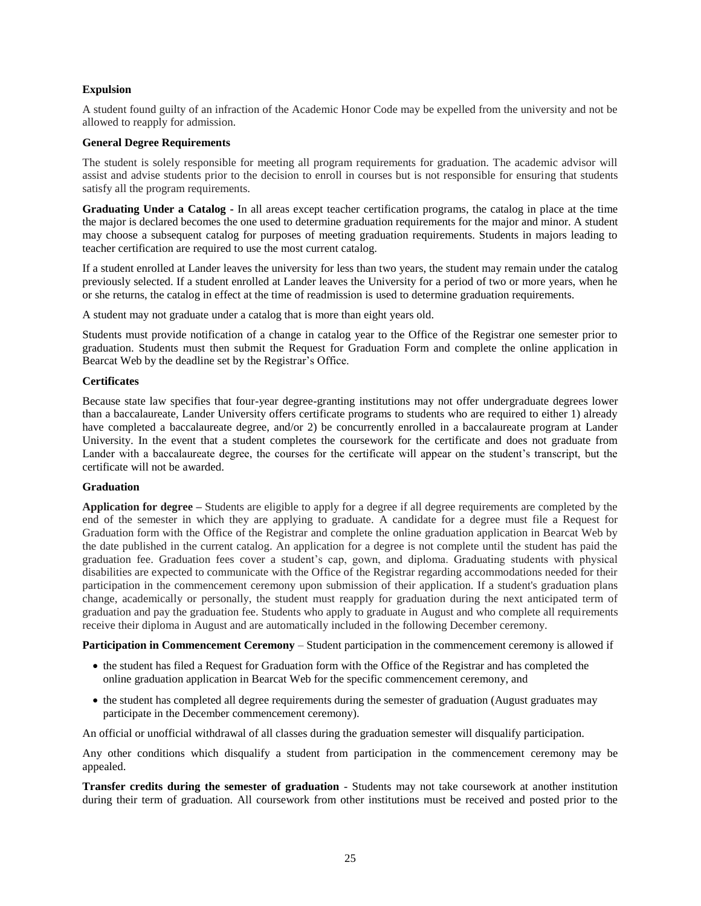## **Expulsion**

A student found guilty of an infraction of the Academic Honor Code may be expelled from the university and not be allowed to reapply for admission.

## <span id="page-24-0"></span>**General Degree Requirements**

The student is solely responsible for meeting all program requirements for graduation. The academic advisor will assist and advise students prior to the decision to enroll in courses but is not responsible for ensuring that students satisfy all the program requirements.

**Graduating Under a Catalog -** In all areas except teacher certification programs, the catalog in place at the time the major is declared becomes the one used to determine graduation requirements for the major and minor. A student may choose a subsequent catalog for purposes of meeting graduation requirements. Students in majors leading to teacher certification are required to use the most current catalog.

If a student enrolled at Lander leaves the university for less than two years, the student may remain under the catalog previously selected. If a student enrolled at Lander leaves the University for a period of two or more years, when he or she returns, the catalog in effect at the time of readmission is used to determine graduation requirements.

A student may not graduate under a catalog that is more than eight years old.

Students must provide notification of a change in catalog year to the Office of the Registrar one semester prior to graduation. Students must then submit the Request for Graduation Form and complete the online application in Bearcat Web by the deadline set by the Registrar's Office.

## **Certificates**

Because state law specifies that four-year degree-granting institutions may not offer undergraduate degrees lower than a baccalaureate, Lander University offers certificate programs to students who are required to either 1) already have completed a baccalaureate degree, and/or 2) be concurrently enrolled in a baccalaureate program at Lander University. In the event that a student completes the coursework for the certificate and does not graduate from Lander with a baccalaureate degree, the courses for the certificate will appear on the student's transcript, but the certificate will not be awarded.

### <span id="page-24-1"></span>**Graduation**

**Application for degree –** Students are eligible to apply for a degree if all degree requirements are completed by the end of the semester in which they are applying to graduate. A candidate for a degree must file a Request for Graduation form with the Office of the Registrar and complete the online graduation application in Bearcat Web by the date published in the current catalog. An application for a degree is not complete until the student has paid the graduation fee. Graduation fees cover a student's cap, gown, and diploma. Graduating students with physical disabilities are expected to communicate with the Office of the Registrar regarding accommodations needed for their participation in the commencement ceremony upon submission of their application. If a student's graduation plans change, academically or personally, the student must reapply for graduation during the next anticipated term of graduation and pay the graduation fee. Students who apply to graduate in August and who complete all requirements receive their diploma in August and are automatically included in the following December ceremony.

**Participation in Commencement Ceremony** – Student participation in the commencement ceremony is allowed if

- the student has filed a Request for Graduation form with the Office of the Registrar and has completed the online graduation application in Bearcat Web for the specific commencement ceremony, and
- the student has completed all degree requirements during the semester of graduation (August graduates may participate in the December commencement ceremony).

An official or unofficial withdrawal of all classes during the graduation semester will disqualify participation.

Any other conditions which disqualify a student from participation in the commencement ceremony may be appealed.

**Transfer credits during the semester of graduation** - Students may not take coursework at another institution during their term of graduation. All coursework from other institutions must be received and posted prior to the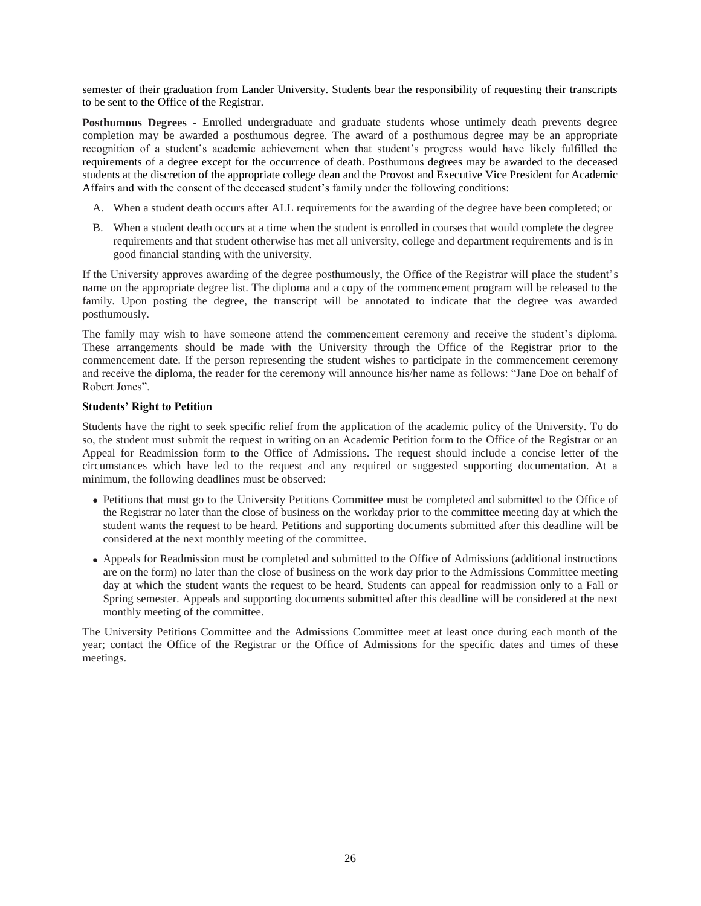semester of their graduation from Lander University. Students bear the responsibility of requesting their transcripts to be sent to the Office of the Registrar.

**Posthumous Degrees -** Enrolled undergraduate and graduate students whose untimely death prevents degree completion may be awarded a posthumous degree. The award of a posthumous degree may be an appropriate recognition of a student's academic achievement when that student's progress would have likely fulfilled the requirements of a degree except for the occurrence of death. Posthumous degrees may be awarded to the deceased students at the discretion of the appropriate college dean and the Provost and Executive Vice President for Academic Affairs and with the consent of the deceased student's family under the following conditions:

- A. When a student death occurs after ALL requirements for the awarding of the degree have been completed; or
- B. When a student death occurs at a time when the student is enrolled in courses that would complete the degree requirements and that student otherwise has met all university, college and department requirements and is in good financial standing with the university.

If the University approves awarding of the degree posthumously, the Office of the Registrar will place the student's name on the appropriate degree list. The diploma and a copy of the commencement program will be released to the family. Upon posting the degree, the transcript will be annotated to indicate that the degree was awarded posthumously.

The family may wish to have someone attend the commencement ceremony and receive the student's diploma. These arrangements should be made with the University through the Office of the Registrar prior to the commencement date. If the person representing the student wishes to participate in the commencement ceremony and receive the diploma, the reader for the ceremony will announce his/her name as follows: "Jane Doe on behalf of Robert Jones".

## **Students' Right to Petition**

Students have the right to seek specific relief from the application of the academic policy of the University. To do so, the student must submit the request in writing on an Academic Petition form to the Office of the Registrar or an Appeal for Readmission form to the Office of Admissions. The request should include a concise letter of the circumstances which have led to the request and any required or suggested supporting documentation. At a minimum, the following deadlines must be observed:

- Petitions that must go to the University Petitions Committee must be completed and submitted to the Office of the Registrar no later than the close of business on the workday prior to the committee meeting day at which the student wants the request to be heard. Petitions and supporting documents submitted after this deadline will be considered at the next monthly meeting of the committee.
- Appeals for Readmission must be completed and submitted to the Office of Admissions (additional instructions are on the form) no later than the close of business on the work day prior to the Admissions Committee meeting day at which the student wants the request to be heard. Students can appeal for readmission only to a Fall or Spring semester. Appeals and supporting documents submitted after this deadline will be considered at the next monthly meeting of the committee.

The University Petitions Committee and the Admissions Committee meet at least once during each month of the year; contact the Office of the Registrar or the Office of Admissions for the specific dates and times of these meetings.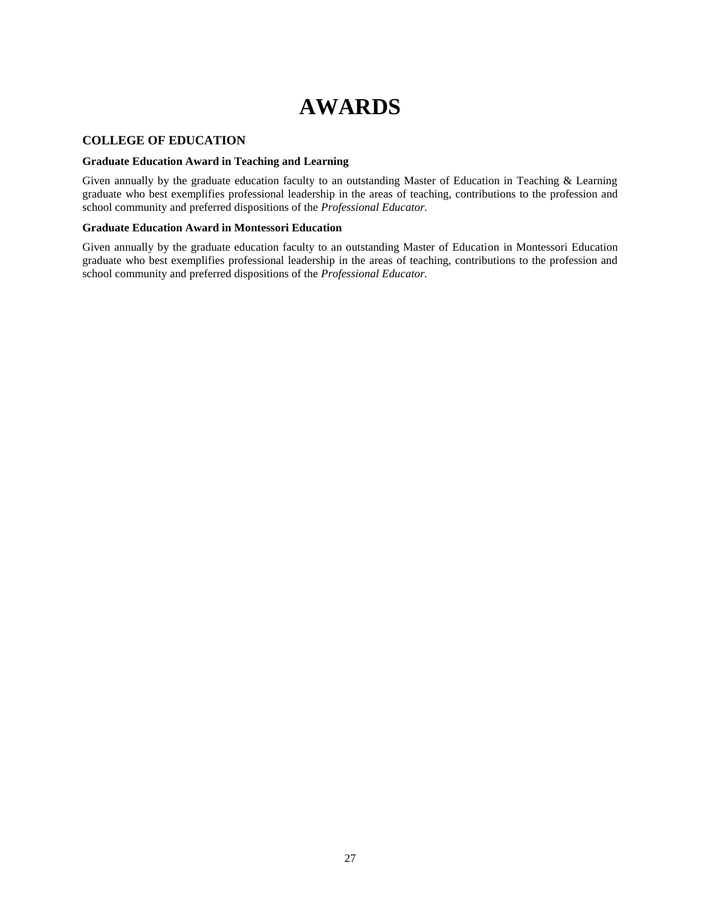# **AWARDS**

## <span id="page-26-0"></span>**COLLEGE OF EDUCATION**

## **Graduate Education Award in Teaching and Learning**

Given annually by the graduate education faculty to an outstanding Master of Education in Teaching & Learning graduate who best exemplifies professional leadership in the areas of teaching, contributions to the profession and school community and preferred dispositions of the *Professional Educator.*

## **Graduate Education Award in Montessori Education**

Given annually by the graduate education faculty to an outstanding Master of Education in Montessori Education graduate who best exemplifies professional leadership in the areas of teaching, contributions to the profession and school community and preferred dispositions of the *Professional Educator.*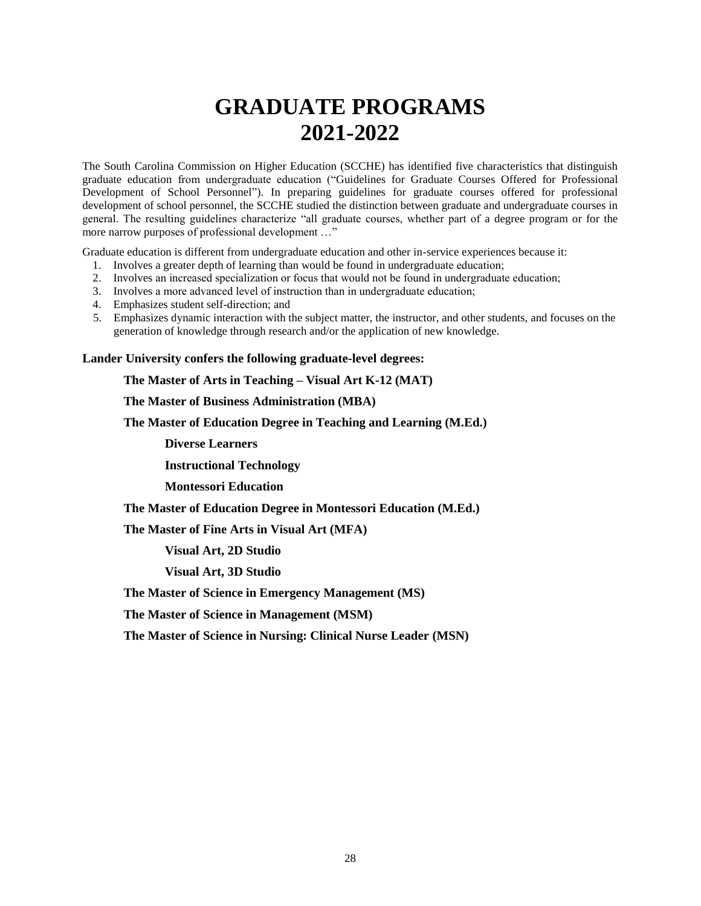# **GRADUATE PROGRAMS 2021-2022**

<span id="page-27-0"></span>The South Carolina Commission on Higher Education (SCCHE) has identified five characteristics that distinguish graduate education from undergraduate education ("Guidelines for Graduate Courses Offered for Professional Development of School Personnel"). In preparing guidelines for graduate courses offered for professional development of school personnel, the SCCHE studied the distinction between graduate and undergraduate courses in general. The resulting guidelines characterize "all graduate courses, whether part of a degree program or for the more narrow purposes of professional development …"

Graduate education is different from undergraduate education and other in-service experiences because it:

- 1. Involves a greater depth of learning than would be found in undergraduate education;
- 2. Involves an increased specialization or focus that would not be found in undergraduate education;
- 3. Involves a more advanced level of instruction than in undergraduate education;
- 4. Emphasizes student self-direction; and
- 5. Emphasizes dynamic interaction with the subject matter, the instructor, and other students, and focuses on the generation of knowledge through research and/or the application of new knowledge.

**Lander University confers the following graduate-level degrees:**

**The Master of Arts in Teaching – Visual Art K-12 (MAT)**

**The Master of Business Administration (MBA)**

**The Master of Education Degree in Teaching and Learning (M.Ed.)**

**Diverse Learners**

**Instructional Technology**

**Montessori Education**

**The Master of Education Degree in Montessori Education (M.Ed.)**

**The Master of Fine Arts in Visual Art (MFA)**

**Visual Art, 2D Studio**

**Visual Art, 3D Studio**

**The Master of Science in Emergency Management (MS)**

**The Master of Science in Management (MSM)**

**The Master of Science in Nursing: Clinical Nurse Leader (MSN)**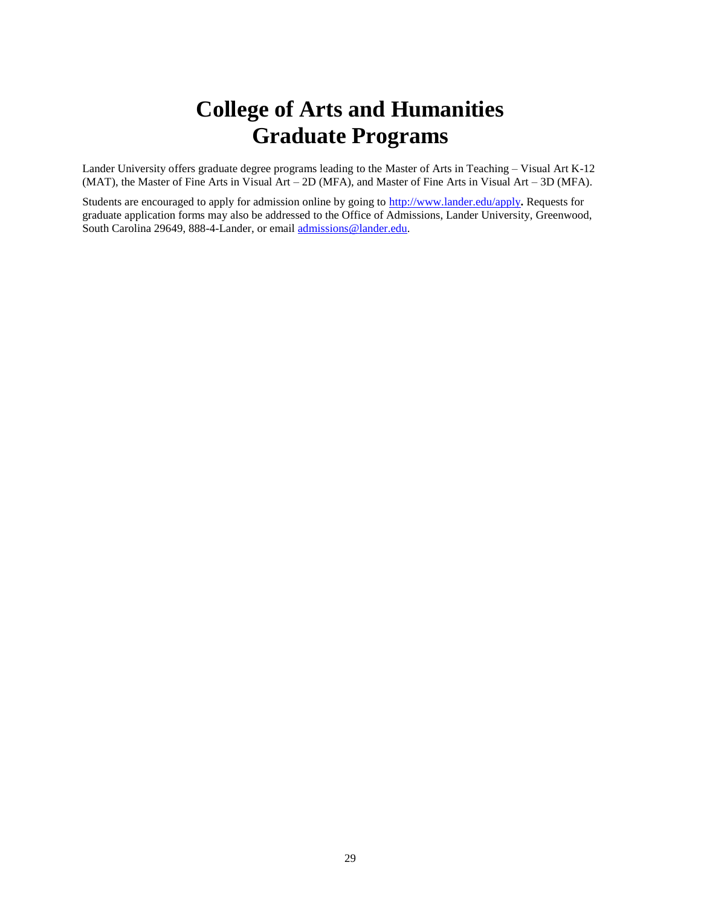## **College of Arts and Humanities Graduate Programs**

<span id="page-28-0"></span>Lander University offers graduate degree programs leading to the Master of Arts in Teaching – Visual Art K-12 (MAT), the Master of Fine Arts in Visual Art – 2D (MFA), and Master of Fine Arts in Visual Art – 3D (MFA).

Students are encouraged to apply for admission online by going to<http://www.lander.edu/apply>**.** Requests for graduate application forms may also be addressed to the Office of Admissions, Lander University, Greenwood, South Carolina 29649, 888-4-Lander, or email [admissions@lander.edu.](mailto:admissions@lander.edu)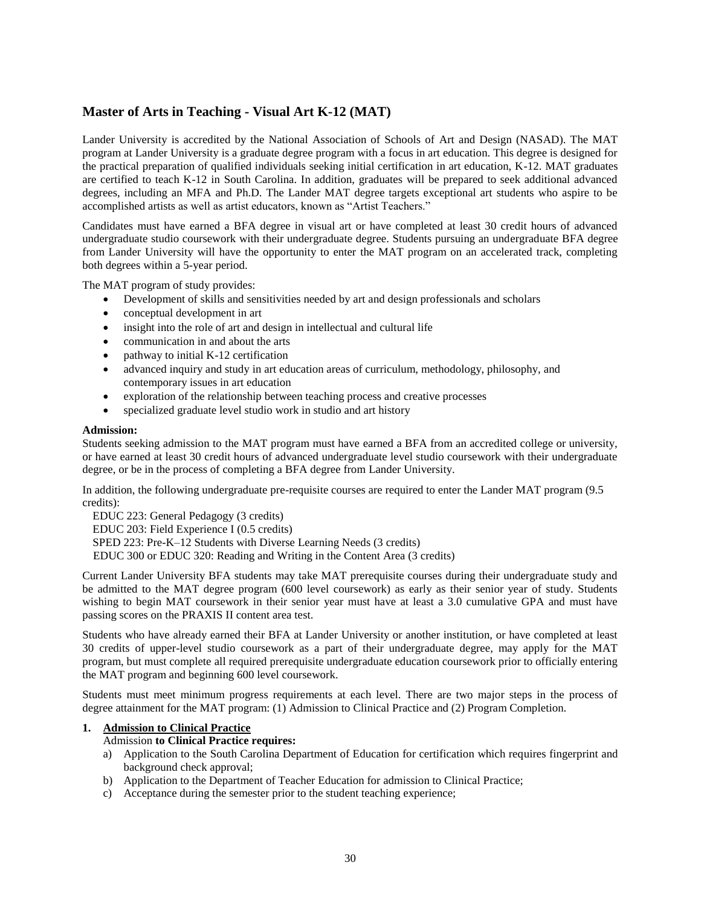## <span id="page-29-0"></span>**Master of Arts in Teaching - Visual Art K-12 (MAT)**

Lander University is accredited by the National Association of Schools of Art and Design (NASAD). The MAT program at Lander University is a graduate degree program with a focus in art education. This degree is designed for the practical preparation of qualified individuals seeking initial certification in art education, K-12. MAT graduates are certified to teach K-12 in South Carolina. In addition, graduates will be prepared to seek additional advanced degrees, including an MFA and Ph.D. The Lander MAT degree targets exceptional art students who aspire to be accomplished artists as well as artist educators, known as "Artist Teachers."

Candidates must have earned a BFA degree in visual art or have completed at least 30 credit hours of advanced undergraduate studio coursework with their undergraduate degree. Students pursuing an undergraduate BFA degree from Lander University will have the opportunity to enter the MAT program on an accelerated track, completing both degrees within a 5-year period.

The MAT program of study provides:

- Development of skills and sensitivities needed by art and design professionals and scholars
- conceptual development in art
- insight into the role of art and design in intellectual and cultural life
- communication in and about the arts
- pathway to initial K-12 certification
- advanced inquiry and study in art education areas of curriculum, methodology, philosophy, and contemporary issues in art education
- exploration of the relationship between teaching process and creative processes
- specialized graduate level studio work in studio and art history

### **Admission:**

Students seeking admission to the MAT program must have earned a BFA from an accredited college or university, or have earned at least 30 credit hours of advanced undergraduate level studio coursework with their undergraduate degree, or be in the process of completing a BFA degree from Lander University.

In addition, the following undergraduate pre-requisite courses are required to enter the Lander MAT program (9.5 credits):

EDUC 223: General Pedagogy (3 credits)

EDUC 203: Field Experience I (0.5 credits)

SPED 223: Pre-K–12 Students with Diverse Learning Needs (3 credits)

EDUC 300 or EDUC 320: Reading and Writing in the Content Area (3 credits)

Current Lander University BFA students may take MAT prerequisite courses during their undergraduate study and be admitted to the MAT degree program (600 level coursework) as early as their senior year of study. Students wishing to begin MAT coursework in their senior year must have at least a 3.0 cumulative GPA and must have passing scores on the PRAXIS II content area test.

Students who have already earned their BFA at Lander University or another institution, or have completed at least 30 credits of upper-level studio coursework as a part of their undergraduate degree, may apply for the MAT program, but must complete all required prerequisite undergraduate education coursework prior to officially entering the MAT program and beginning 600 level coursework.

Students must meet minimum progress requirements at each level. There are two major steps in the process of degree attainment for the MAT program: (1) Admission to Clinical Practice and (2) Program Completion.

## **1. Admission to Clinical Practice**

### Admission **to Clinical Practice requires:**

- a) Application to the South Carolina Department of Education for certification which requires fingerprint and background check approval;
- b) Application to the Department of Teacher Education for admission to Clinical Practice;
- c) Acceptance during the semester prior to the student teaching experience;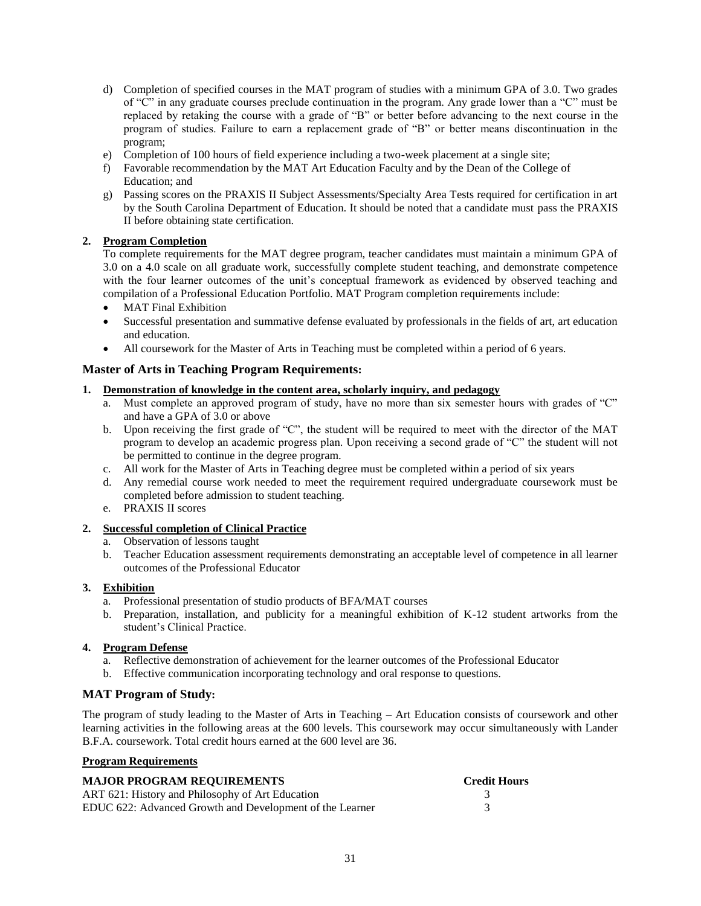- d) Completion of specified courses in the MAT program of studies with a minimum GPA of 3.0. Two grades of "C" in any graduate courses preclude continuation in the program. Any grade lower than a "C" must be replaced by retaking the course with a grade of "B" or better before advancing to the next course in the program of studies. Failure to earn a replacement grade of "B" or better means discontinuation in the program;
- e) Completion of 100 hours of field experience including a two-week placement at a single site;
- f) Favorable recommendation by the MAT Art Education Faculty and by the Dean of the College of Education; and
- g) Passing scores on the PRAXIS II Subject Assessments/Specialty Area Tests required for certification in art by the South Carolina Department of Education. It should be noted that a candidate must pass the PRAXIS II before obtaining state certification.

## **2. Program Completion**

To complete requirements for the MAT degree program, teacher candidates must maintain a minimum GPA of 3.0 on a 4.0 scale on all graduate work, successfully complete student teaching, and demonstrate competence with the four learner outcomes of the unit's conceptual framework as evidenced by observed teaching and compilation of a Professional Education Portfolio. MAT Program completion requirements include:

- MAT Final Exhibition
- Successful presentation and summative defense evaluated by professionals in the fields of art, art education and education.
- All coursework for the Master of Arts in Teaching must be completed within a period of 6 years.

## **Master of Arts in Teaching Program Requirements:**

## **1. Demonstration of knowledge in the content area, scholarly inquiry, and pedagogy**

- a. Must complete an approved program of study, have no more than six semester hours with grades of "C" and have a GPA of 3.0 or above
- b. Upon receiving the first grade of "C", the student will be required to meet with the director of the MAT program to develop an academic progress plan. Upon receiving a second grade of "C" the student will not be permitted to continue in the degree program.
- c. All work for the Master of Arts in Teaching degree must be completed within a period of six years
- d. Any remedial course work needed to meet the requirement required undergraduate coursework must be completed before admission to student teaching.
- e. PRAXIS II scores

## **2. Successful completion of Clinical Practice**

- a. Observation of lessons taught
- b. Teacher Education assessment requirements demonstrating an acceptable level of competence in all learner outcomes of the Professional Educator

## **3. Exhibition**

- a. Professional presentation of studio products of BFA/MAT courses
- b. Preparation, installation, and publicity for a meaningful exhibition of K-12 student artworks from the student's Clinical Practice.

## **4. Program Defense**

- a. Reflective demonstration of achievement for the learner outcomes of the Professional Educator
- b. Effective communication incorporating technology and oral response to questions.

## **MAT Program of Study:**

The program of study leading to the Master of Arts in Teaching – Art Education consists of coursework and other learning activities in the following areas at the 600 levels. This coursework may occur simultaneously with Lander B.F.A. coursework. Total credit hours earned at the 600 level are 36.

## **Program Requirements**

| <b>MAJOR PROGRAM REQUIREMENTS</b>                        | <b>Credit Hours</b> |
|----------------------------------------------------------|---------------------|
| ART 621: History and Philosophy of Art Education         |                     |
| EDUC 622: Advanced Growth and Development of the Learner |                     |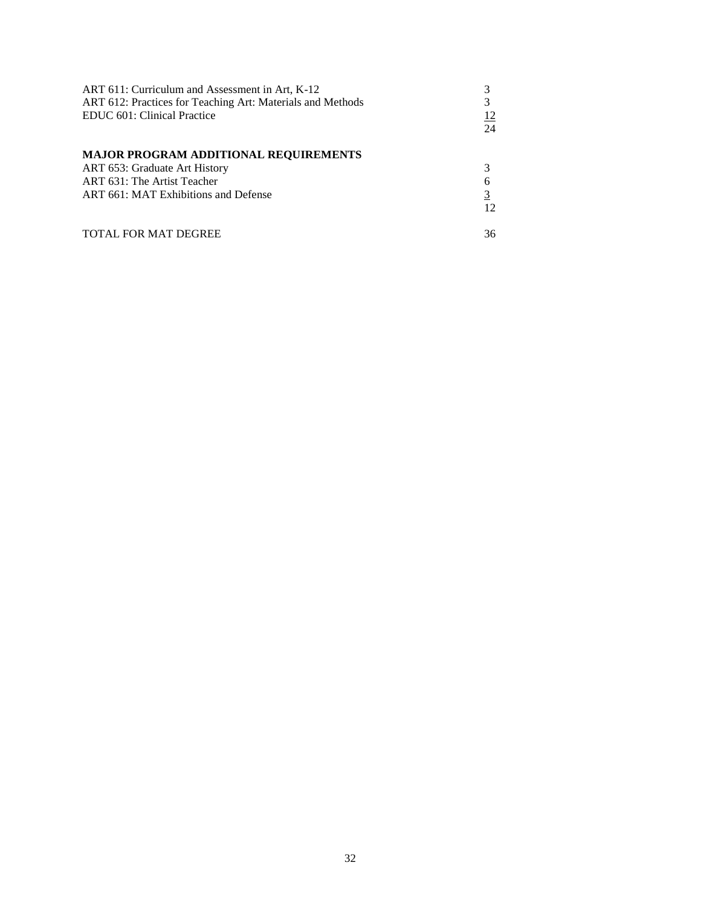| ART 611: Curriculum and Assessment in Art, K-12<br>ART 612: Practices for Teaching Art: Materials and Methods<br>EDUC 601: Clinical Practice         | 24 |
|------------------------------------------------------------------------------------------------------------------------------------------------------|----|
| <b>MAJOR PROGRAM ADDITIONAL REQUIREMENTS</b><br>ART 653: Graduate Art History<br>ART 631: The Artist Teacher<br>ART 661: MAT Exhibitions and Defense | 12 |
| <b>TOTAL FOR MAT DEGREE</b>                                                                                                                          | 36 |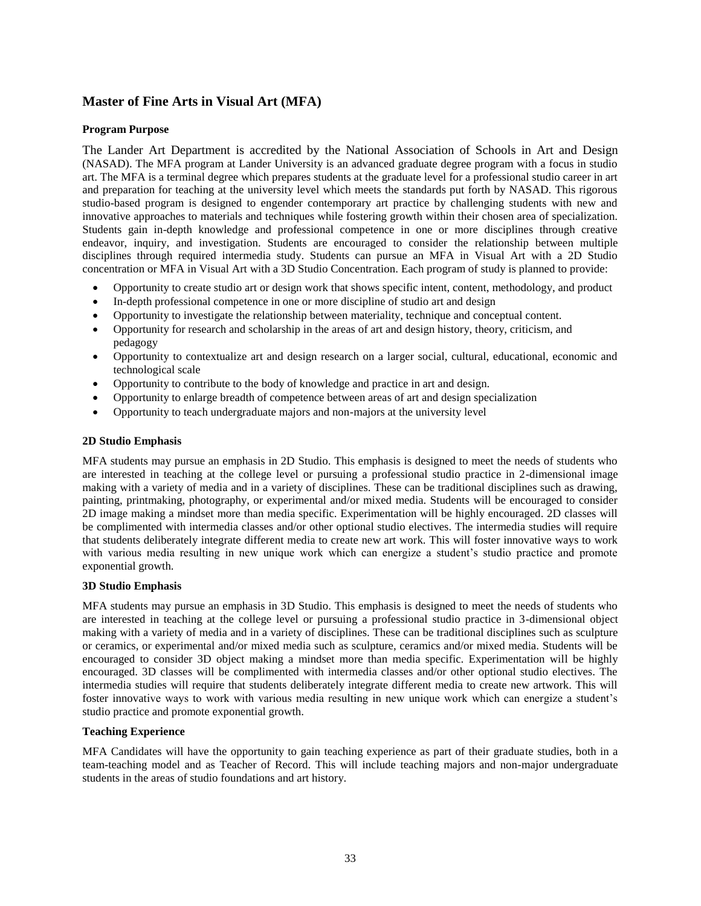## <span id="page-32-0"></span>**Master of Fine Arts in Visual Art (MFA)**

## **Program Purpose**

The Lander Art Department is accredited by the National Association of Schools in Art and Design (NASAD). The MFA program at Lander University is an advanced graduate degree program with a focus in studio art. The MFA is a terminal degree which prepares students at the graduate level for a professional studio career in art and preparation for teaching at the university level which meets the standards put forth by NASAD. This rigorous studio-based program is designed to engender contemporary art practice by challenging students with new and innovative approaches to materials and techniques while fostering growth within their chosen area of specialization. Students gain in-depth knowledge and professional competence in one or more disciplines through creative endeavor, inquiry, and investigation. Students are encouraged to consider the relationship between multiple disciplines through required intermedia study. Students can pursue an MFA in Visual Art with a 2D Studio concentration or MFA in Visual Art with a 3D Studio Concentration. Each program of study is planned to provide:

- Opportunity to create studio art or design work that shows specific intent, content, methodology, and product
- In-depth professional competence in one or more discipline of studio art and design
- Opportunity to investigate the relationship between materiality, technique and conceptual content.
- Opportunity for research and scholarship in the areas of art and design history, theory, criticism, and pedagogy
- Opportunity to contextualize art and design research on a larger social, cultural, educational, economic and technological scale
- Opportunity to contribute to the body of knowledge and practice in art and design.
- Opportunity to enlarge breadth of competence between areas of art and design specialization
- Opportunity to teach undergraduate majors and non-majors at the university level

## **2D Studio Emphasis**

MFA students may pursue an emphasis in 2D Studio. This emphasis is designed to meet the needs of students who are interested in teaching at the college level or pursuing a professional studio practice in 2-dimensional image making with a variety of media and in a variety of disciplines. These can be traditional disciplines such as drawing, painting, printmaking, photography, or experimental and/or mixed media. Students will be encouraged to consider 2D image making a mindset more than media specific. Experimentation will be highly encouraged. 2D classes will be complimented with intermedia classes and/or other optional studio electives. The intermedia studies will require that students deliberately integrate different media to create new art work. This will foster innovative ways to work with various media resulting in new unique work which can energize a student's studio practice and promote exponential growth.

## **3D Studio Emphasis**

MFA students may pursue an emphasis in 3D Studio. This emphasis is designed to meet the needs of students who are interested in teaching at the college level or pursuing a professional studio practice in 3-dimensional object making with a variety of media and in a variety of disciplines. These can be traditional disciplines such as sculpture or ceramics, or experimental and/or mixed media such as sculpture, ceramics and/or mixed media. Students will be encouraged to consider 3D object making a mindset more than media specific. Experimentation will be highly encouraged. 3D classes will be complimented with intermedia classes and/or other optional studio electives. The intermedia studies will require that students deliberately integrate different media to create new artwork. This will foster innovative ways to work with various media resulting in new unique work which can energize a student's studio practice and promote exponential growth.

## **Teaching Experience**

MFA Candidates will have the opportunity to gain teaching experience as part of their graduate studies, both in a team-teaching model and as Teacher of Record. This will include teaching majors and non-major undergraduate students in the areas of studio foundations and art history.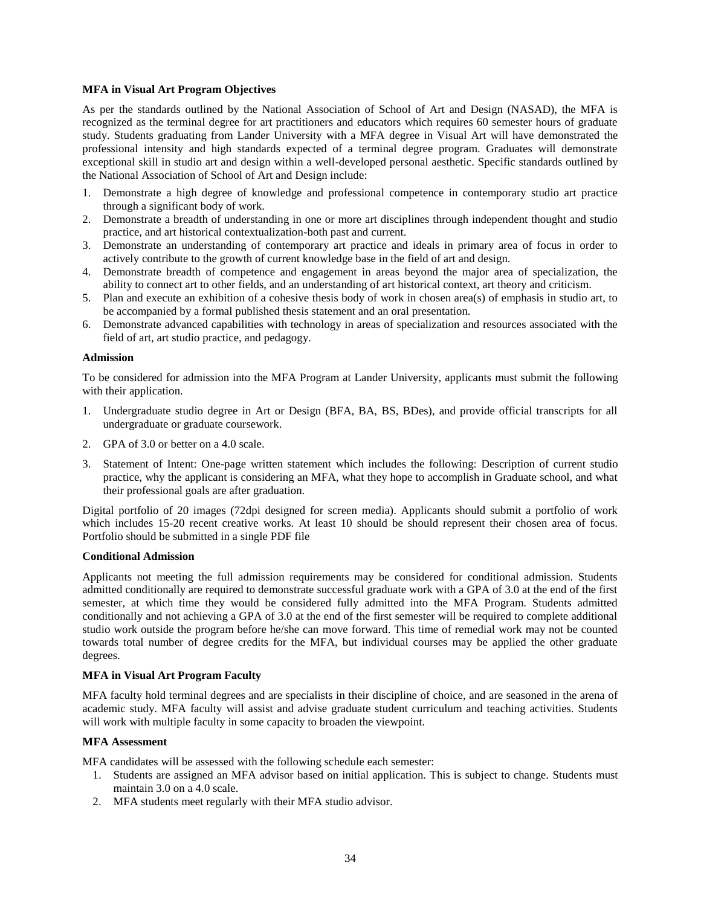## **MFA in Visual Art Program Objectives**

As per the standards outlined by the National Association of School of Art and Design (NASAD), the MFA is recognized as the terminal degree for art practitioners and educators which requires 60 semester hours of graduate study. Students graduating from Lander University with a MFA degree in Visual Art will have demonstrated the professional intensity and high standards expected of a terminal degree program. Graduates will demonstrate exceptional skill in studio art and design within a well-developed personal aesthetic. Specific standards outlined by the National Association of School of Art and Design include:

- 1. Demonstrate a high degree of knowledge and professional competence in contemporary studio art practice through a significant body of work.
- 2. Demonstrate a breadth of understanding in one or more art disciplines through independent thought and studio practice, and art historical contextualization-both past and current.
- 3. Demonstrate an understanding of contemporary art practice and ideals in primary area of focus in order to actively contribute to the growth of current knowledge base in the field of art and design.
- 4. Demonstrate breadth of competence and engagement in areas beyond the major area of specialization, the ability to connect art to other fields, and an understanding of art historical context, art theory and criticism.
- 5. Plan and execute an exhibition of a cohesive thesis body of work in chosen area(s) of emphasis in studio art, to be accompanied by a formal published thesis statement and an oral presentation.
- 6. Demonstrate advanced capabilities with technology in areas of specialization and resources associated with the field of art, art studio practice, and pedagogy.

## **Admission**

To be considered for admission into the MFA Program at Lander University, applicants must submit the following with their application.

- 1. Undergraduate studio degree in Art or Design (BFA, BA, BS, BDes), and provide official transcripts for all undergraduate or graduate coursework.
- 2. GPA of 3.0 or better on a 4.0 scale.
- 3. Statement of Intent: One-page written statement which includes the following: Description of current studio practice, why the applicant is considering an MFA, what they hope to accomplish in Graduate school, and what their professional goals are after graduation.

Digital portfolio of 20 images (72dpi designed for screen media). Applicants should submit a portfolio of work which includes 15-20 recent creative works. At least 10 should be should represent their chosen area of focus. Portfolio should be submitted in a single PDF file

### **Conditional Admission**

Applicants not meeting the full admission requirements may be considered for conditional admission. Students admitted conditionally are required to demonstrate successful graduate work with a GPA of 3.0 at the end of the first semester, at which time they would be considered fully admitted into the MFA Program. Students admitted conditionally and not achieving a GPA of 3.0 at the end of the first semester will be required to complete additional studio work outside the program before he/she can move forward. This time of remedial work may not be counted towards total number of degree credits for the MFA, but individual courses may be applied the other graduate degrees.

### **MFA in Visual Art Program Faculty**

MFA faculty hold terminal degrees and are specialists in their discipline of choice, and are seasoned in the arena of academic study. MFA faculty will assist and advise graduate student curriculum and teaching activities. Students will work with multiple faculty in some capacity to broaden the viewpoint.

### **MFA Assessment**

MFA candidates will be assessed with the following schedule each semester:

- 1. Students are assigned an MFA advisor based on initial application. This is subject to change. Students must maintain 3.0 on a 4.0 scale.
- 2. MFA students meet regularly with their MFA studio advisor.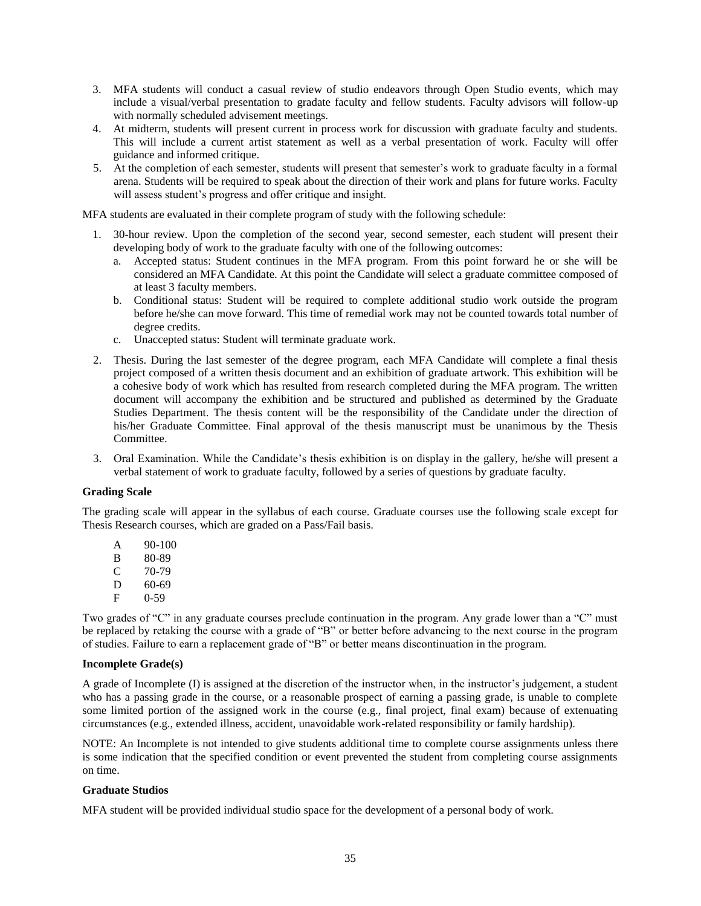- 3. MFA students will conduct a casual review of studio endeavors through Open Studio events, which may include a visual/verbal presentation to gradate faculty and fellow students. Faculty advisors will follow-up with normally scheduled advisement meetings.
- 4. At midterm, students will present current in process work for discussion with graduate faculty and students. This will include a current artist statement as well as a verbal presentation of work. Faculty will offer guidance and informed critique.
- 5. At the completion of each semester, students will present that semester's work to graduate faculty in a formal arena. Students will be required to speak about the direction of their work and plans for future works. Faculty will assess student's progress and offer critique and insight.

MFA students are evaluated in their complete program of study with the following schedule:

- 1. 30-hour review. Upon the completion of the second year, second semester, each student will present their developing body of work to the graduate faculty with one of the following outcomes:
	- a. Accepted status: Student continues in the MFA program. From this point forward he or she will be considered an MFA Candidate. At this point the Candidate will select a graduate committee composed of at least 3 faculty members.
	- b. Conditional status: Student will be required to complete additional studio work outside the program before he/she can move forward. This time of remedial work may not be counted towards total number of degree credits.
	- c. Unaccepted status: Student will terminate graduate work.
- 2. Thesis. During the last semester of the degree program, each MFA Candidate will complete a final thesis project composed of a written thesis document and an exhibition of graduate artwork. This exhibition will be a cohesive body of work which has resulted from research completed during the MFA program. The written document will accompany the exhibition and be structured and published as determined by the Graduate Studies Department. The thesis content will be the responsibility of the Candidate under the direction of his/her Graduate Committee. Final approval of the thesis manuscript must be unanimous by the Thesis Committee.
- 3. Oral Examination. While the Candidate's thesis exhibition is on display in the gallery, he/she will present a verbal statement of work to graduate faculty, followed by a series of questions by graduate faculty.

### **Grading Scale**

The grading scale will appear in the syllabus of each course. Graduate courses use the following scale except for Thesis Research courses, which are graded on a Pass/Fail basis.

A 90-100 B 80-89  $\begin{array}{cc}\n C & 70-79 \\
D & 60-69\n \end{array}$  $\frac{D}{F}$  60-69  $0-59$ 

Two grades of "C" in any graduate courses preclude continuation in the program. Any grade lower than a "C" must be replaced by retaking the course with a grade of "B" or better before advancing to the next course in the program of studies. Failure to earn a replacement grade of "B" or better means discontinuation in the program.

### **Incomplete Grade(s)**

A grade of Incomplete (I) is assigned at the discretion of the instructor when, in the instructor's judgement, a student who has a passing grade in the course, or a reasonable prospect of earning a passing grade, is unable to complete some limited portion of the assigned work in the course (e.g., final project, final exam) because of extenuating circumstances (e.g., extended illness, accident, unavoidable work-related responsibility or family hardship).

NOTE: An Incomplete is not intended to give students additional time to complete course assignments unless there is some indication that the specified condition or event prevented the student from completing course assignments on time.

## **Graduate Studios**

MFA student will be provided individual studio space for the development of a personal body of work.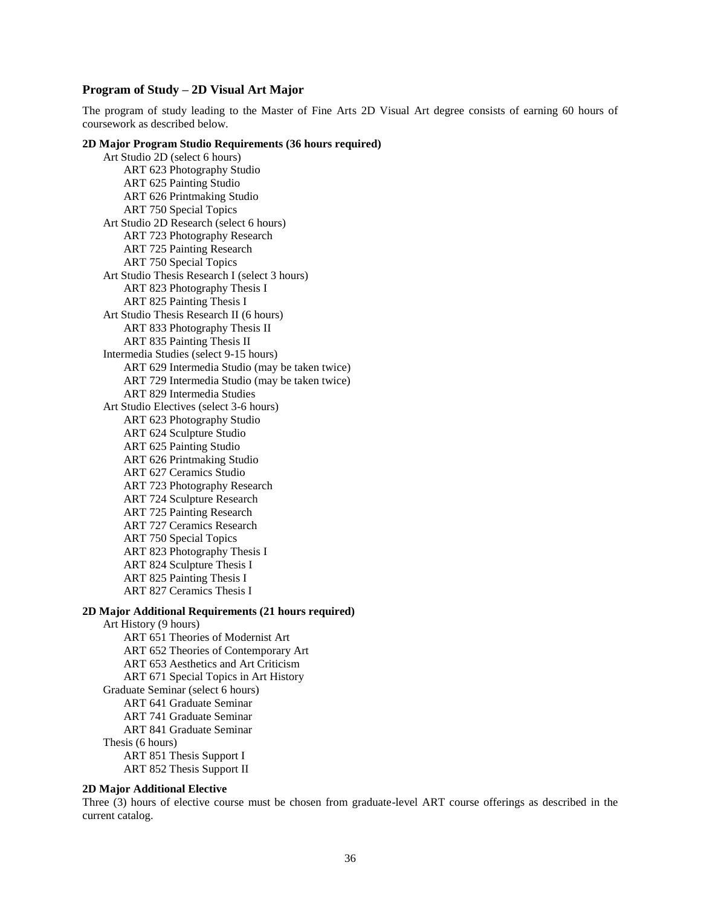## **Program of Study – 2D Visual Art Major**

The program of study leading to the Master of Fine Arts 2D Visual Art degree consists of earning 60 hours of coursework as described below.

## **2D Major Program Studio Requirements (36 hours required)**

Art Studio 2D (select 6 hours) ART 623 Photography Studio ART 625 Painting Studio ART 626 Printmaking Studio ART 750 Special Topics Art Studio 2D Research (select 6 hours) ART 723 Photography Research ART 725 Painting Research ART 750 Special Topics Art Studio Thesis Research I (select 3 hours) ART 823 Photography Thesis I ART 825 Painting Thesis I Art Studio Thesis Research II (6 hours) ART 833 Photography Thesis II ART 835 Painting Thesis II Intermedia Studies (select 9-15 hours) ART 629 Intermedia Studio (may be taken twice) ART 729 Intermedia Studio (may be taken twice) ART 829 Intermedia Studies Art Studio Electives (select 3-6 hours) ART 623 Photography Studio ART 624 Sculpture Studio ART 625 Painting Studio ART 626 Printmaking Studio ART 627 Ceramics Studio ART 723 Photography Research ART 724 Sculpture Research ART 725 Painting Research ART 727 Ceramics Research ART 750 Special Topics ART 823 Photography Thesis I ART 824 Sculpture Thesis I ART 825 Painting Thesis I ART 827 Ceramics Thesis I

### **2D Major Additional Requirements (21 hours required)**

Art History (9 hours) ART 651 Theories of Modernist Art ART 652 Theories of Contemporary Art ART 653 Aesthetics and Art Criticism ART 671 Special Topics in Art History Graduate Seminar (select 6 hours) ART 641 Graduate Seminar ART 741 Graduate Seminar ART 841 Graduate Seminar Thesis (6 hours) ART 851 Thesis Support I ART 852 Thesis Support II

## **2D Major Additional Elective**

Three (3) hours of elective course must be chosen from graduate-level ART course offerings as described in the current catalog.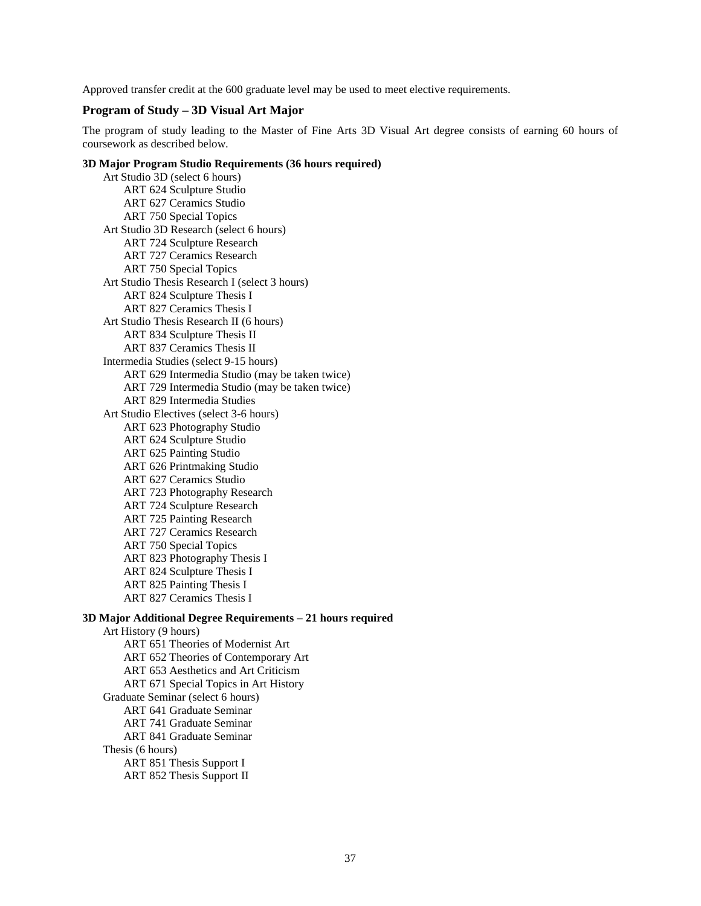Approved transfer credit at the 600 graduate level may be used to meet elective requirements.

## **Program of Study – 3D Visual Art Major**

The program of study leading to the Master of Fine Arts 3D Visual Art degree consists of earning 60 hours of coursework as described below.

### **3D Major Program Studio Requirements (36 hours required)**

Art Studio 3D (select 6 hours) ART 624 Sculpture Studio ART 627 Ceramics Studio ART 750 Special Topics Art Studio 3D Research (select 6 hours) ART 724 Sculpture Research ART 727 Ceramics Research ART 750 Special Topics Art Studio Thesis Research I (select 3 hours) ART 824 Sculpture Thesis I ART 827 Ceramics Thesis I Art Studio Thesis Research II (6 hours) ART 834 Sculpture Thesis II ART 837 Ceramics Thesis II Intermedia Studies (select 9-15 hours) ART 629 Intermedia Studio (may be taken twice) ART 729 Intermedia Studio (may be taken twice) ART 829 Intermedia Studies Art Studio Electives (select 3-6 hours) ART 623 Photography Studio ART 624 Sculpture Studio ART 625 Painting Studio ART 626 Printmaking Studio ART 627 Ceramics Studio ART 723 Photography Research ART 724 Sculpture Research ART 725 Painting Research ART 727 Ceramics Research ART 750 Special Topics ART 823 Photography Thesis I ART 824 Sculpture Thesis I ART 825 Painting Thesis I ART 827 Ceramics Thesis I

#### **3D Major Additional Degree Requirements – 21 hours required**

Art History (9 hours) ART 651 Theories of Modernist Art ART 652 Theories of Contemporary Art ART 653 Aesthetics and Art Criticism ART 671 Special Topics in Art History Graduate Seminar (select 6 hours) ART 641 Graduate Seminar ART 741 Graduate Seminar ART 841 Graduate Seminar Thesis (6 hours) ART 851 Thesis Support I ART 852 Thesis Support II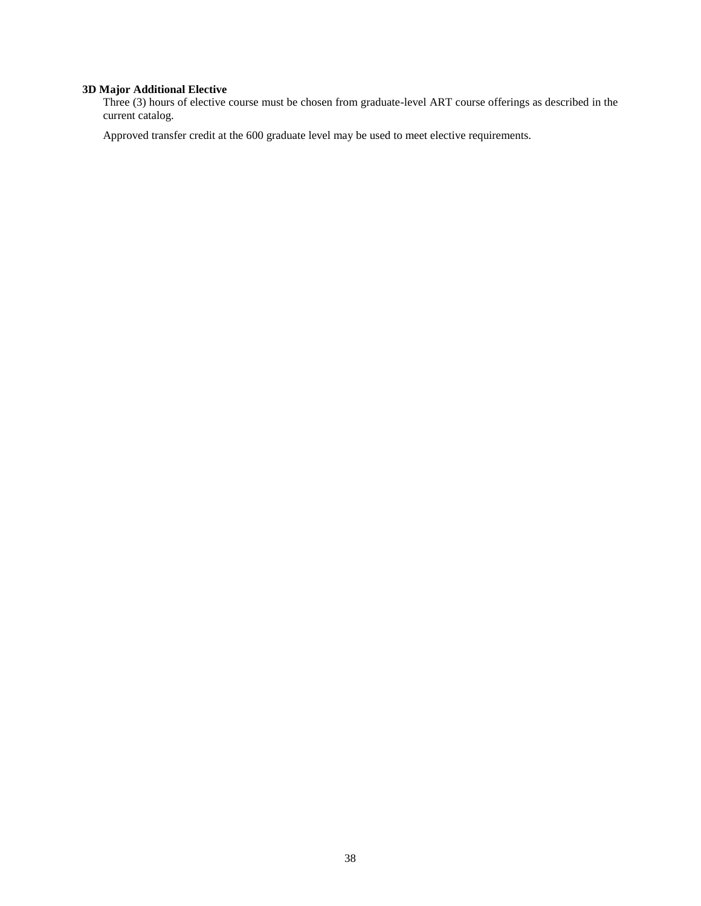## **3D Major Additional Elective**

Three (3) hours of elective course must be chosen from graduate-level ART course offerings as described in the current catalog.

Approved transfer credit at the 600 graduate level may be used to meet elective requirements.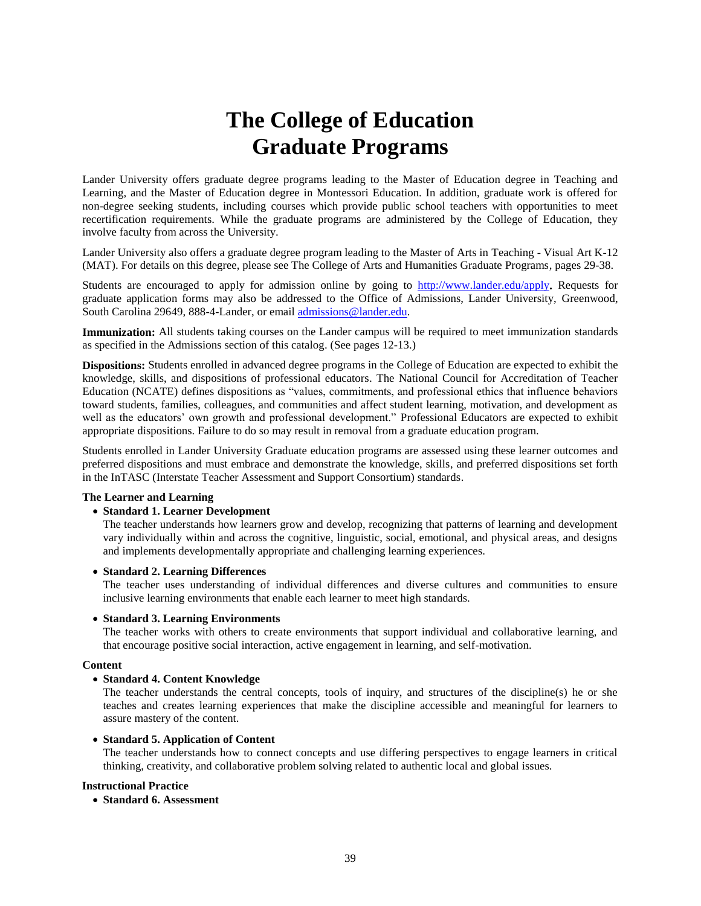# **The College of Education Graduate Programs**

Lander University offers graduate degree programs leading to the Master of Education degree in Teaching and Learning, and the Master of Education degree in Montessori Education. In addition, graduate work is offered for non-degree seeking students, including courses which provide public school teachers with opportunities to meet recertification requirements. While the graduate programs are administered by the College of Education, they involve faculty from across the University.

Lander University also offers a graduate degree program leading to the Master of Arts in Teaching - Visual Art K-12 (MAT). For details on this degree, please see The College of Arts and Humanities Graduate Programs, pages 29-38.

Students are encouraged to apply for admission online by going to <http://www.lander.edu/apply>**.** Requests for graduate application forms may also be addressed to the Office of Admissions, Lander University, Greenwood, South Carolina 29649, 888-4-Lander, or email [admissions@lander.edu.](mailto:admissions@lander.edu)

**Immunization:** All students taking courses on the Lander campus will be required to meet immunization standards as specified in the Admissions section of this catalog. (See pages 12-13.)

**Dispositions:** Students enrolled in advanced degree programs in the College of Education are expected to exhibit the knowledge, skills, and dispositions of professional educators. The National Council for Accreditation of Teacher Education (NCATE) defines dispositions as "values, commitments, and professional ethics that influence behaviors toward students, families, colleagues, and communities and affect student learning, motivation, and development as well as the educators' own growth and professional development." Professional Educators are expected to exhibit appropriate dispositions. Failure to do so may result in removal from a graduate education program.

Students enrolled in Lander University Graduate education programs are assessed using these learner outcomes and preferred dispositions and must embrace and demonstrate the knowledge, skills, and preferred dispositions set forth in the InTASC (Interstate Teacher Assessment and Support Consortium) standards.

#### **The Learner and Learning**

## • **Standard 1. Learner Development**

The teacher understands how learners grow and develop, recognizing that patterns of learning and development vary individually within and across the cognitive, linguistic, social, emotional, and physical areas, and designs and implements developmentally appropriate and challenging learning experiences.

#### • **Standard 2. Learning Differences**

The teacher uses understanding of individual differences and diverse cultures and communities to ensure inclusive learning environments that enable each learner to meet high standards.

#### • **Standard 3. Learning Environments**

The teacher works with others to create environments that support individual and collaborative learning, and that encourage positive social interaction, active engagement in learning, and self-motivation.

#### **Content**

## • **Standard 4. Content Knowledge**

The teacher understands the central concepts, tools of inquiry, and structures of the discipline(s) he or she teaches and creates learning experiences that make the discipline accessible and meaningful for learners to assure mastery of the content.

#### • **Standard 5. Application of Content**

The teacher understands how to connect concepts and use differing perspectives to engage learners in critical thinking, creativity, and collaborative problem solving related to authentic local and global issues.

## **Instructional Practice**

• **Standard 6. Assessment**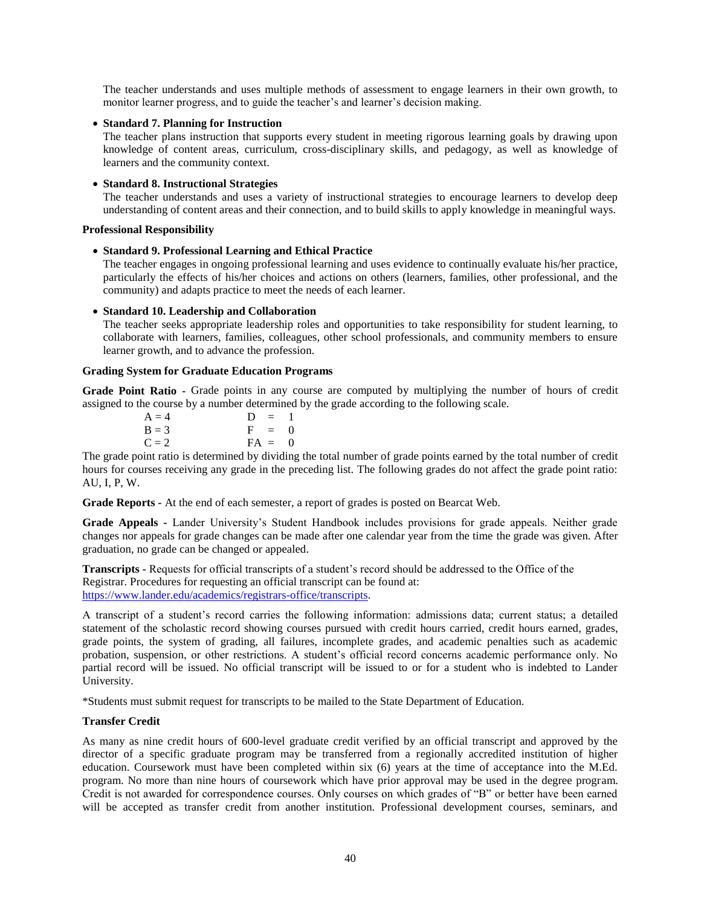The teacher understands and uses multiple methods of assessment to engage learners in their own growth, to monitor learner progress, and to guide the teacher's and learner's decision making.

## • **Standard 7. Planning for Instruction**

The teacher plans instruction that supports every student in meeting rigorous learning goals by drawing upon knowledge of content areas, curriculum, cross-disciplinary skills, and pedagogy, as well as knowledge of learners and the community context.

## • **Standard 8. Instructional Strategies**

The teacher understands and uses a variety of instructional strategies to encourage learners to develop deep understanding of content areas and their connection, and to build skills to apply knowledge in meaningful ways.

#### **Professional Responsibility**

## • **Standard 9. Professional Learning and Ethical Practice**

The teacher engages in ongoing professional learning and uses evidence to continually evaluate his/her practice, particularly the effects of his/her choices and actions on others (learners, families, other professional, and the community) and adapts practice to meet the needs of each learner.

## • **Standard 10. Leadership and Collaboration**

The teacher seeks appropriate leadership roles and opportunities to take responsibility for student learning, to collaborate with learners, families, colleagues, other school professionals, and community members to ensure learner growth, and to advance the profession.

## **Grading System for Graduate Education Programs**

**Grade Point Ratio -** Grade points in any course are computed by multiplying the number of hours of credit assigned to the course by a number determined by the grade according to the following scale.

| $A = 4$ | $D = 1$  |
|---------|----------|
| $B = 3$ | $F = 0$  |
| $C = 2$ | $FA = 0$ |

The grade point ratio is determined by dividing the total number of grade points earned by the total number of credit hours for courses receiving any grade in the preceding list. The following grades do not affect the grade point ratio: AU, I, P, W.

**Grade Reports -** At the end of each semester, a report of grades is posted on Bearcat Web.

**Grade Appeals -** Lander University's Student Handbook includes provisions for grade appeals. Neither grade changes nor appeals for grade changes can be made after one calendar year from the time the grade was given. After graduation, no grade can be changed or appealed.

**Transcripts -** Requests for official transcripts of a student's record should be addressed to the Office of the Registrar. Procedures for requesting an official transcript can be found at: [https://www.lander.edu/academics/registrars-office/transcripts.](https://www.lander.edu/academics/registrars-office/transcripts) 

A transcript of a student's record carries the following information: admissions data; current status; a detailed statement of the scholastic record showing courses pursued with credit hours carried, credit hours earned, grades, grade points, the system of grading, all failures, incomplete grades, and academic penalties such as academic probation, suspension, or other restrictions. A student's official record concerns academic performance only. No partial record will be issued. No official transcript will be issued to or for a student who is indebted to Lander University.

\*Students must submit request for transcripts to be mailed to the State Department of Education.

## **Transfer Credit**

As many as nine credit hours of 600-level graduate credit verified by an official transcript and approved by the director of a specific graduate program may be transferred from a regionally accredited institution of higher education. Coursework must have been completed within six (6) years at the time of acceptance into the M.Ed. program. No more than nine hours of coursework which have prior approval may be used in the degree program. Credit is not awarded for correspondence courses. Only courses on which grades of "B" or better have been earned will be accepted as transfer credit from another institution. Professional development courses, seminars, and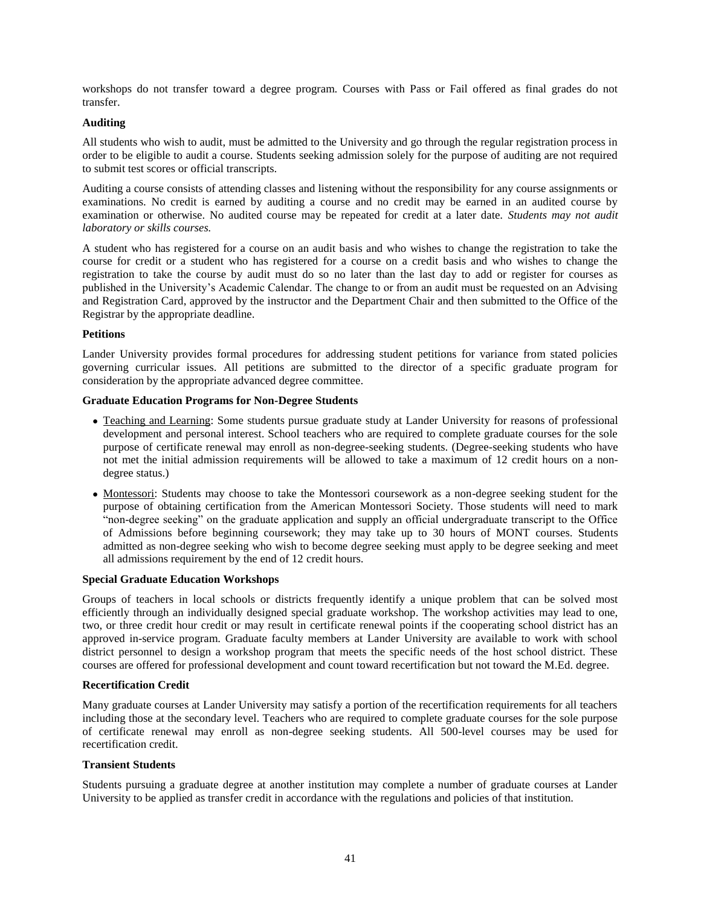workshops do not transfer toward a degree program. Courses with Pass or Fail offered as final grades do not transfer.

## **Auditing**

All students who wish to audit, must be admitted to the University and go through the regular registration process in order to be eligible to audit a course. Students seeking admission solely for the purpose of auditing are not required to submit test scores or official transcripts.

Auditing a course consists of attending classes and listening without the responsibility for any course assignments or examinations. No credit is earned by auditing a course and no credit may be earned in an audited course by examination or otherwise. No audited course may be repeated for credit at a later date. *Students may not audit laboratory or skills courses.*

A student who has registered for a course on an audit basis and who wishes to change the registration to take the course for credit or a student who has registered for a course on a credit basis and who wishes to change the registration to take the course by audit must do so no later than the last day to add or register for courses as published in the University's Academic Calendar. The change to or from an audit must be requested on an Advising and Registration Card, approved by the instructor and the Department Chair and then submitted to the Office of the Registrar by the appropriate deadline.

#### **Petitions**

Lander University provides formal procedures for addressing student petitions for variance from stated policies governing curricular issues. All petitions are submitted to the director of a specific graduate program for consideration by the appropriate advanced degree committee.

## **Graduate Education Programs for Non-Degree Students**

- Teaching and Learning: Some students pursue graduate study at Lander University for reasons of professional development and personal interest. School teachers who are required to complete graduate courses for the sole purpose of certificate renewal may enroll as non-degree-seeking students. (Degree-seeking students who have not met the initial admission requirements will be allowed to take a maximum of 12 credit hours on a nondegree status.)
- Montessori: Students may choose to take the Montessori coursework as a non-degree seeking student for the purpose of obtaining certification from the American Montessori Society. Those students will need to mark "non-degree seeking" on the graduate application and supply an official undergraduate transcript to the Office of Admissions before beginning coursework; they may take up to 30 hours of MONT courses. Students admitted as non-degree seeking who wish to become degree seeking must apply to be degree seeking and meet all admissions requirement by the end of 12 credit hours.

#### **Special Graduate Education Workshops**

Groups of teachers in local schools or districts frequently identify a unique problem that can be solved most efficiently through an individually designed special graduate workshop. The workshop activities may lead to one, two, or three credit hour credit or may result in certificate renewal points if the cooperating school district has an approved in-service program. Graduate faculty members at Lander University are available to work with school district personnel to design a workshop program that meets the specific needs of the host school district. These courses are offered for professional development and count toward recertification but not toward the M.Ed. degree.

#### **Recertification Credit**

Many graduate courses at Lander University may satisfy a portion of the recertification requirements for all teachers including those at the secondary level. Teachers who are required to complete graduate courses for the sole purpose of certificate renewal may enroll as non-degree seeking students. All 500-level courses may be used for recertification credit.

#### **Transient Students**

Students pursuing a graduate degree at another institution may complete a number of graduate courses at Lander University to be applied as transfer credit in accordance with the regulations and policies of that institution.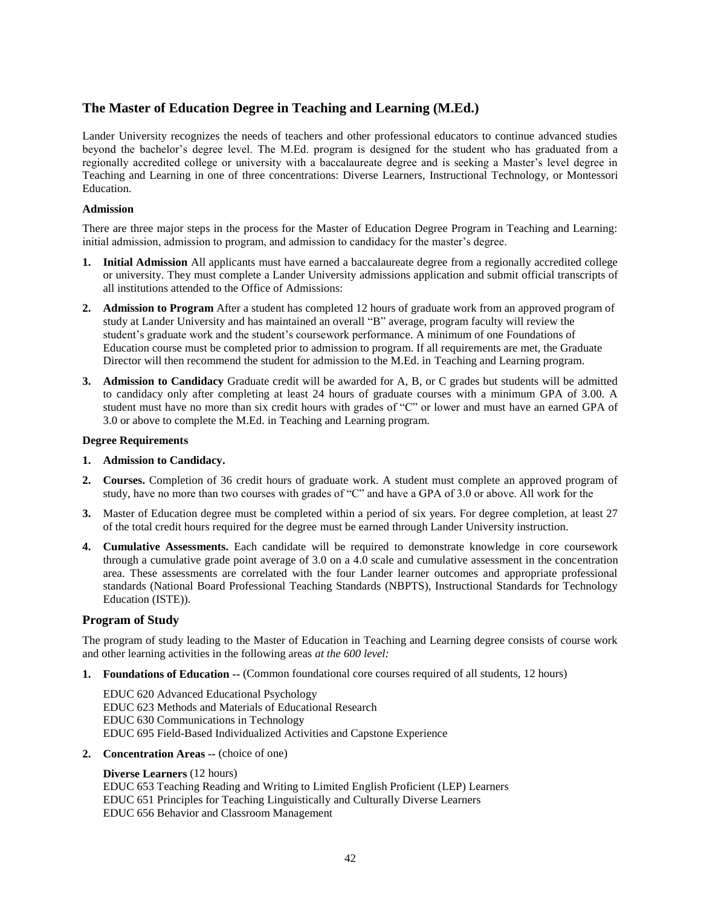# **The Master of Education Degree in Teaching and Learning (M.Ed.)**

Lander University recognizes the needs of teachers and other professional educators to continue advanced studies beyond the bachelor's degree level. The M.Ed. program is designed for the student who has graduated from a regionally accredited college or university with a baccalaureate degree and is seeking a Master's level degree in Teaching and Learning in one of three concentrations: Diverse Learners, Instructional Technology, or Montessori Education.

## **Admission**

There are three major steps in the process for the Master of Education Degree Program in Teaching and Learning: initial admission, admission to program, and admission to candidacy for the master's degree.

- **1. Initial Admission** All applicants must have earned a baccalaureate degree from a regionally accredited college or university. They must complete a Lander University admissions application and submit official transcripts of all institutions attended to the Office of Admissions:
- **2. Admission to Program** After a student has completed 12 hours of graduate work from an approved program of study at Lander University and has maintained an overall "B" average, program faculty will review the student's graduate work and the student's coursework performance. A minimum of one Foundations of Education course must be completed prior to admission to program. If all requirements are met, the Graduate Director will then recommend the student for admission to the M.Ed. in Teaching and Learning program.
- **3. Admission to Candidacy** Graduate credit will be awarded for A, B, or C grades but students will be admitted to candidacy only after completing at least 24 hours of graduate courses with a minimum GPA of 3.00. A student must have no more than six credit hours with grades of "C" or lower and must have an earned GPA of 3.0 or above to complete the M.Ed. in Teaching and Learning program.

#### **Degree Requirements**

## **1. Admission to Candidacy.**

- **2. Courses.** Completion of 36 credit hours of graduate work. A student must complete an approved program of study, have no more than two courses with grades of "C" and have a GPA of 3.0 or above. All work for the
- **3.** Master of Education degree must be completed within a period of six years. For degree completion, at least 27 of the total credit hours required for the degree must be earned through Lander University instruction.
- **4. Cumulative Assessments.** Each candidate will be required to demonstrate knowledge in core coursework through a cumulative grade point average of 3.0 on a 4.0 scale and cumulative assessment in the concentration area. These assessments are correlated with the four Lander learner outcomes and appropriate professional standards (National Board Professional Teaching Standards (NBPTS), Instructional Standards for Technology Education (ISTE)).

## **Program of Study**

The program of study leading to the Master of Education in Teaching and Learning degree consists of course work and other learning activities in the following areas *at the 600 level:*

**1. Foundations of Education --** (Common foundational core courses required of all students, 12 hours)

EDUC 620 Advanced Educational Psychology EDUC 623 Methods and Materials of Educational Research EDUC 630 Communications in Technology EDUC 695 Field-Based Individualized Activities and Capstone Experience

**2. Concentration Areas --** (choice of one)

## **Diverse Learners** (12 hours)

EDUC 653 Teaching Reading and Writing to Limited English Proficient (LEP) Learners EDUC 651 Principles for Teaching Linguistically and Culturally Diverse Learners EDUC 656 Behavior and Classroom Management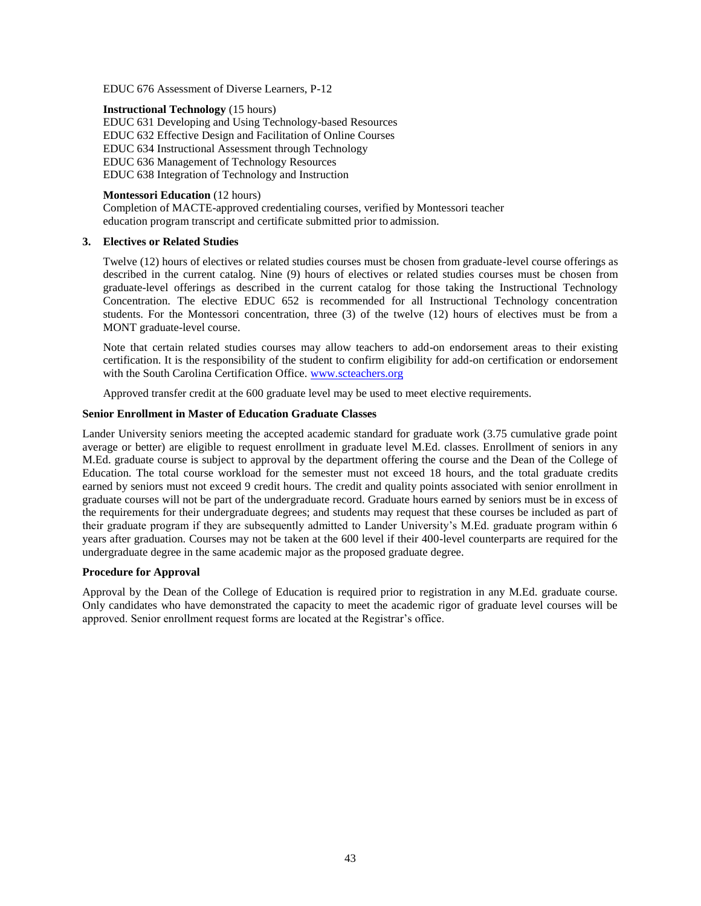EDUC 676 Assessment of Diverse Learners, P-12

#### **Instructional Technology** (15 hours)

EDUC 631 Developing and Using Technology-based Resources EDUC 632 Effective Design and Facilitation of Online Courses EDUC 634 Instructional Assessment through Technology EDUC 636 Management of Technology Resources EDUC 638 Integration of Technology and Instruction

## **Montessori Education** (12 hours)

Completion of MACTE-approved credentialing courses, verified by Montessori teacher education program transcript and certificate submitted prior to admission.

#### **3. Electives or Related Studies**

Twelve (12) hours of electives or related studies courses must be chosen from graduate-level course offerings as described in the current catalog. Nine (9) hours of electives or related studies courses must be chosen from graduate-level offerings as described in the current catalog for those taking the Instructional Technology Concentration. The elective EDUC 652 is recommended for all Instructional Technology concentration students. For the Montessori concentration, three (3) of the twelve (12) hours of electives must be from a MONT graduate-level course.

Note that certain related studies courses may allow teachers to add-on endorsement areas to their existing certification. It is the responsibility of the student to confirm eligibility for add-on certification or endorsement with the South Carolina Certification Office. [www.scteachers.org](http://www.scteachers.org/)

Approved transfer credit at the 600 graduate level may be used to meet elective requirements.

#### **Senior Enrollment in Master of Education Graduate Classes**

Lander University seniors meeting the accepted academic standard for graduate work (3.75 cumulative grade point average or better) are eligible to request enrollment in graduate level M.Ed. classes. Enrollment of seniors in any M.Ed. graduate course is subject to approval by the department offering the course and the Dean of the College of Education. The total course workload for the semester must not exceed 18 hours, and the total graduate credits earned by seniors must not exceed 9 credit hours. The credit and quality points associated with senior enrollment in graduate courses will not be part of the undergraduate record. Graduate hours earned by seniors must be in excess of the requirements for their undergraduate degrees; and students may request that these courses be included as part of their graduate program if they are subsequently admitted to Lander University's M.Ed. graduate program within 6 years after graduation. Courses may not be taken at the 600 level if their 400-level counterparts are required for the undergraduate degree in the same academic major as the proposed graduate degree.

## **Procedure for Approval**

Approval by the Dean of the College of Education is required prior to registration in any M.Ed. graduate course. Only candidates who have demonstrated the capacity to meet the academic rigor of graduate level courses will be approved. Senior enrollment request forms are located at the Registrar's office.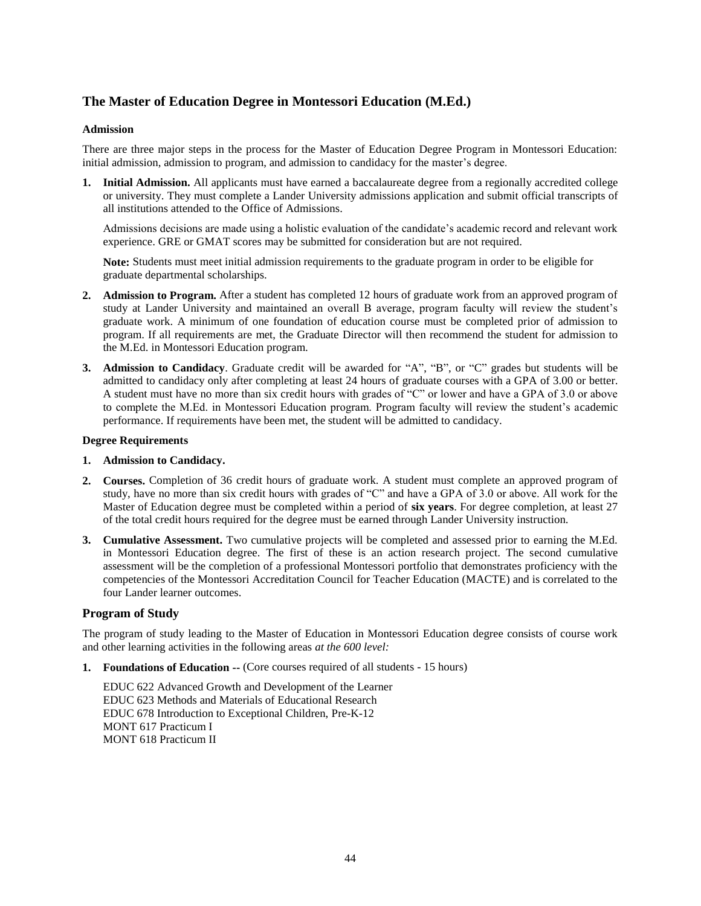# **The Master of Education Degree in Montessori Education (M.Ed.)**

## **Admission**

There are three major steps in the process for the Master of Education Degree Program in Montessori Education: initial admission, admission to program, and admission to candidacy for the master's degree.

**1. Initial Admission.** All applicants must have earned a baccalaureate degree from a regionally accredited college or university. They must complete a Lander University admissions application and submit official transcripts of all institutions attended to the Office of Admissions.

Admissions decisions are made using a holistic evaluation of the candidate's academic record and relevant work experience. GRE or GMAT scores may be submitted for consideration but are not required.

**Note:** Students must meet initial admission requirements to the graduate program in order to be eligible for graduate departmental scholarships.

- **2. Admission to Program.** After a student has completed 12 hours of graduate work from an approved program of study at Lander University and maintained an overall B average, program faculty will review the student's graduate work. A minimum of one foundation of education course must be completed prior of admission to program. If all requirements are met, the Graduate Director will then recommend the student for admission to the M.Ed. in Montessori Education program.
- **3. Admission to Candidacy**. Graduate credit will be awarded for "A", "B", or "C" grades but students will be admitted to candidacy only after completing at least 24 hours of graduate courses with a GPA of 3.00 or better. A student must have no more than six credit hours with grades of "C" or lower and have a GPA of 3.0 or above to complete the M.Ed. in Montessori Education program. Program faculty will review the student's academic performance. If requirements have been met, the student will be admitted to candidacy.

## **Degree Requirements**

- **1. Admission to Candidacy.**
- **2. Courses.** Completion of 36 credit hours of graduate work. A student must complete an approved program of study, have no more than six credit hours with grades of "C" and have a GPA of 3.0 or above. All work for the Master of Education degree must be completed within a period of **six years**. For degree completion, at least 27 of the total credit hours required for the degree must be earned through Lander University instruction.
- **3. Cumulative Assessment.** Two cumulative projects will be completed and assessed prior to earning the M.Ed. in Montessori Education degree. The first of these is an action research project. The second cumulative assessment will be the completion of a professional Montessori portfolio that demonstrates proficiency with the competencies of the Montessori Accreditation Council for Teacher Education (MACTE) and is correlated to the four Lander learner outcomes.

## **Program of Study**

The program of study leading to the Master of Education in Montessori Education degree consists of course work and other learning activities in the following areas *at the 600 level:*

**1. Foundations of Education --** (Core courses required of all students - 15 hours)

EDUC 622 Advanced Growth and Development of the Learner EDUC 623 Methods and Materials of Educational Research EDUC 678 Introduction to Exceptional Children, Pre-K-12 MONT 617 Practicum I MONT 618 Practicum II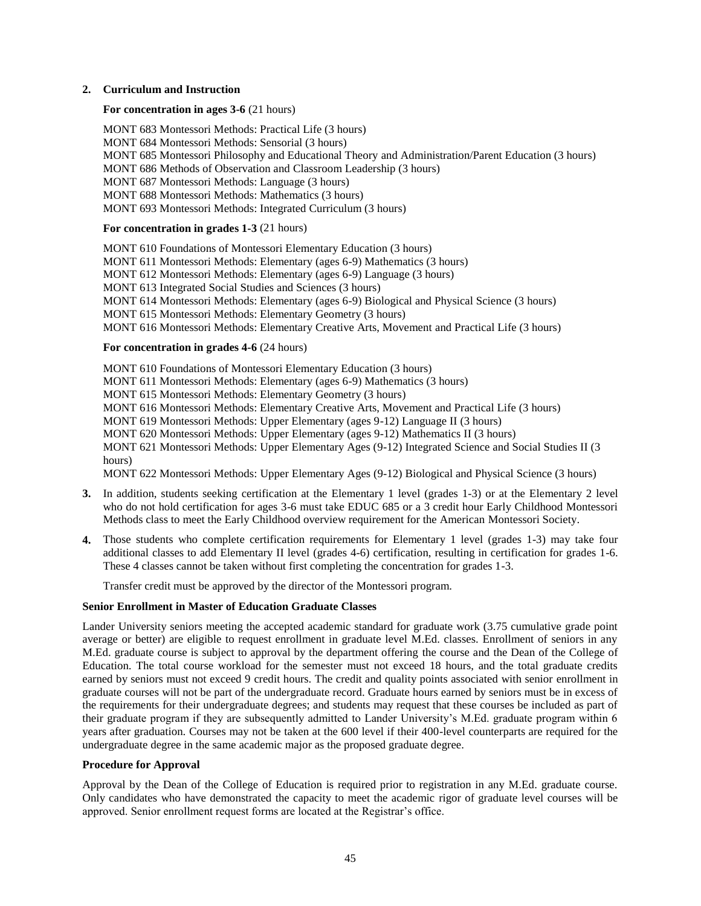#### **2. Curriculum and Instruction**

## **For concentration in ages 3-6** (21 hours)

MONT 683 Montessori Methods: Practical Life (3 hours) MONT 684 Montessori Methods: Sensorial (3 hours) MONT 685 Montessori Philosophy and Educational Theory and Administration/Parent Education (3 hours) MONT 686 Methods of Observation and Classroom Leadership (3 hours) MONT 687 Montessori Methods: Language (3 hours) MONT 688 Montessori Methods: Mathematics (3 hours) MONT 693 Montessori Methods: Integrated Curriculum (3 hours)

#### **For concentration in grades 1-3** (21 hours)

MONT 610 Foundations of Montessori Elementary Education (3 hours) MONT 611 Montessori Methods: Elementary (ages 6-9) Mathematics (3 hours) MONT 612 Montessori Methods: Elementary (ages 6-9) Language (3 hours) MONT 613 Integrated Social Studies and Sciences (3 hours) MONT 614 Montessori Methods: Elementary (ages 6-9) Biological and Physical Science (3 hours) MONT 615 Montessori Methods: Elementary Geometry (3 hours) MONT 616 Montessori Methods: Elementary Creative Arts, Movement and Practical Life (3 hours)

#### **For concentration in grades 4-6** (24 hours)

MONT 610 Foundations of Montessori Elementary Education (3 hours) MONT 611 Montessori Methods: Elementary (ages 6-9) Mathematics (3 hours) MONT 615 Montessori Methods: Elementary Geometry (3 hours) MONT 616 Montessori Methods: Elementary Creative Arts, Movement and Practical Life (3 hours) MONT 619 Montessori Methods: Upper Elementary (ages 9-12) Language II (3 hours) MONT 620 Montessori Methods: Upper Elementary (ages 9-12) Mathematics II (3 hours) MONT 621 Montessori Methods: Upper Elementary Ages (9-12) Integrated Science and Social Studies II (3 hours) MONT 622 Montessori Methods: Upper Elementary Ages (9-12) Biological and Physical Science (3 hours)

- **3.** In addition, students seeking certification at the Elementary 1 level (grades 1-3) or at the Elementary 2 level who do not hold certification for ages 3-6 must take EDUC 685 or a 3 credit hour Early Childhood Montessori Methods class to meet the Early Childhood overview requirement for the American Montessori Society.
- **4.** Those students who complete certification requirements for Elementary 1 level (grades 1-3) may take four additional classes to add Elementary II level (grades 4-6) certification, resulting in certification for grades 1-6. These 4 classes cannot be taken without first completing the concentration for grades 1-3.

Transfer credit must be approved by the director of the Montessori program.

#### **Senior Enrollment in Master of Education Graduate Classes**

Lander University seniors meeting the accepted academic standard for graduate work (3.75 cumulative grade point average or better) are eligible to request enrollment in graduate level M.Ed. classes. Enrollment of seniors in any M.Ed. graduate course is subject to approval by the department offering the course and the Dean of the College of Education. The total course workload for the semester must not exceed 18 hours, and the total graduate credits earned by seniors must not exceed 9 credit hours. The credit and quality points associated with senior enrollment in graduate courses will not be part of the undergraduate record. Graduate hours earned by seniors must be in excess of the requirements for their undergraduate degrees; and students may request that these courses be included as part of their graduate program if they are subsequently admitted to Lander University's M.Ed. graduate program within 6 years after graduation. Courses may not be taken at the 600 level if their 400-level counterparts are required for the undergraduate degree in the same academic major as the proposed graduate degree.

#### **Procedure for Approval**

Approval by the Dean of the College of Education is required prior to registration in any M.Ed. graduate course. Only candidates who have demonstrated the capacity to meet the academic rigor of graduate level courses will be approved. Senior enrollment request forms are located at the Registrar's office.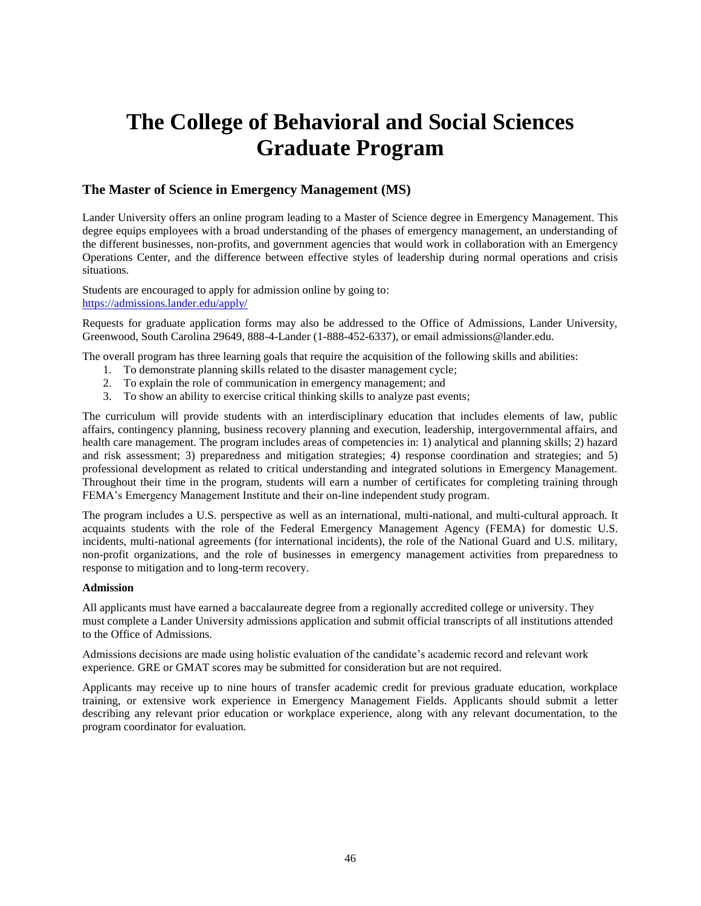# **The College of Behavioral and Social Sciences Graduate Program**

# **The Master of Science in Emergency Management (MS)**

Lander University offers an online program leading to a Master of Science degree in Emergency Management. This degree equips employees with a broad understanding of the phases of emergency management, an understanding of the different businesses, non-profits, and government agencies that would work in collaboration with an Emergency Operations Center, and the difference between effective styles of leadership during normal operations and crisis situations.

Students are encouraged to apply for admission online by going to: <https://admissions.lander.edu/apply/>

Requests for graduate application forms may also be addressed to the Office of Admissions, Lander University, Greenwood, South Carolina 29649, 888-4-Lander (1-888-452-6337), or email admissions@lander.edu.

The overall program has three learning goals that require the acquisition of the following skills and abilities:

- 1. To demonstrate planning skills related to the disaster management cycle;
- 2. To explain the role of communication in emergency management; and
- 3. To show an ability to exercise critical thinking skills to analyze past events;

The curriculum will provide students with an interdisciplinary education that includes elements of law, public affairs, contingency planning, business recovery planning and execution, leadership, intergovernmental affairs, and health care management. The program includes areas of competencies in: 1) analytical and planning skills; 2) hazard and risk assessment; 3) preparedness and mitigation strategies; 4) response coordination and strategies; and 5) professional development as related to critical understanding and integrated solutions in Emergency Management. Throughout their time in the program, students will earn a number of certificates for completing training through FEMA's Emergency Management Institute and their on-line independent study program.

The program includes a U.S. perspective as well as an international, multi-national, and multi-cultural approach. It acquaints students with the role of the Federal Emergency Management Agency (FEMA) for domestic U.S. incidents, multi-national agreements (for international incidents), the role of the National Guard and U.S. military, non-profit organizations, and the role of businesses in emergency management activities from preparedness to response to mitigation and to long-term recovery.

#### **Admission**

All applicants must have earned a baccalaureate degree from a regionally accredited college or university. They must complete a Lander University admissions application and submit official transcripts of all institutions attended to the Office of Admissions.

Admissions decisions are made using holistic evaluation of the candidate's academic record and relevant work experience. GRE or GMAT scores may be submitted for consideration but are not required.

Applicants may receive up to nine hours of transfer academic credit for previous graduate education, workplace training, or extensive work experience in Emergency Management Fields. Applicants should submit a letter describing any relevant prior education or workplace experience, along with any relevant documentation, to the program coordinator for evaluation.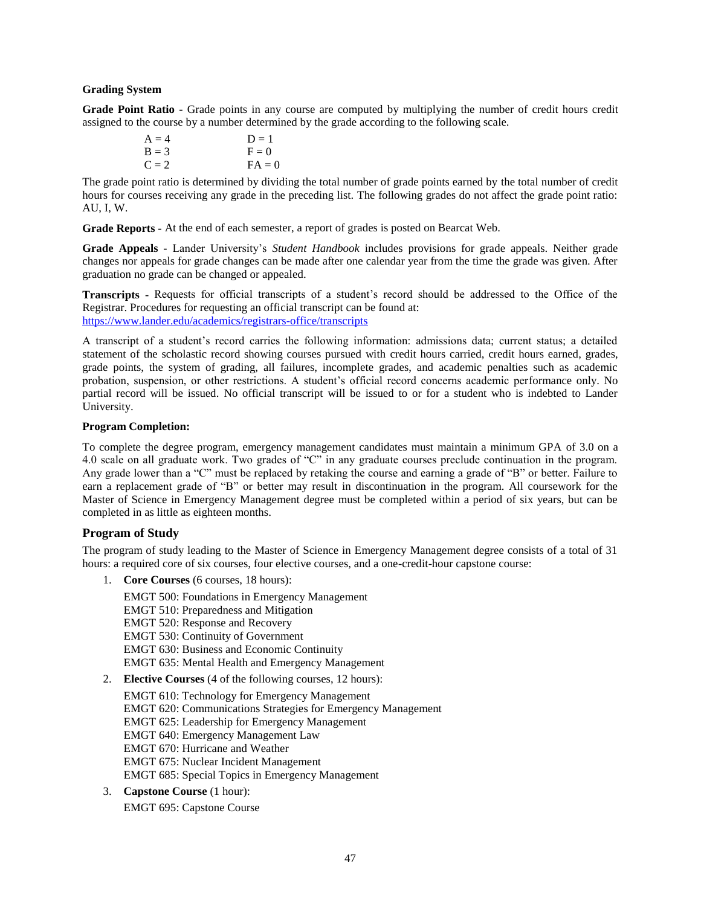#### **Grading System**

**Grade Point Ratio -** Grade points in any course are computed by multiplying the number of credit hours credit assigned to the course by a number determined by the grade according to the following scale.

| $A = 4$ | $D = 1$  |
|---------|----------|
| $B = 3$ | $F = 0$  |
| $C = 2$ | $FA = 0$ |

The grade point ratio is determined by dividing the total number of grade points earned by the total number of credit hours for courses receiving any grade in the preceding list. The following grades do not affect the grade point ratio: AU, I, W.

**Grade Reports -** At the end of each semester, a report of grades is posted on Bearcat Web.

**Grade Appeals -** Lander University's *Student Handbook* includes provisions for grade appeals. Neither grade changes nor appeals for grade changes can be made after one calendar year from the time the grade was given. After graduation no grade can be changed or appealed.

**Transcripts -** Requests for official transcripts of a student's record should be addressed to the Office of the Registrar. Procedures for requesting an official transcript can be found at: <https://www.lander.edu/academics/registrars-office/transcripts>

A transcript of a student's record carries the following information: admissions data; current status; a detailed statement of the scholastic record showing courses pursued with credit hours carried, credit hours earned, grades, grade points, the system of grading, all failures, incomplete grades, and academic penalties such as academic probation, suspension, or other restrictions. A student's official record concerns academic performance only. No partial record will be issued. No official transcript will be issued to or for a student who is indebted to Lander University.

## **Program Completion:**

To complete the degree program, emergency management candidates must maintain a minimum GPA of 3.0 on a 4.0 scale on all graduate work. Two grades of "C" in any graduate courses preclude continuation in the program. Any grade lower than a "C" must be replaced by retaking the course and earning a grade of "B" or better. Failure to earn a replacement grade of "B" or better may result in discontinuation in the program. All coursework for the Master of Science in Emergency Management degree must be completed within a period of six years, but can be completed in as little as eighteen months.

## **Program of Study**

The program of study leading to the Master of Science in Emergency Management degree consists of a total of 31 hours: a required core of six courses, four elective courses, and a one-credit-hour capstone course:

1. **Core Courses** (6 courses, 18 hours):

EMGT 500: Foundations in Emergency Management EMGT 510: Preparedness and Mitigation EMGT 520: Response and Recovery EMGT 530: Continuity of Government EMGT 630: Business and Economic Continuity EMGT 635: Mental Health and Emergency Management

2. **Elective Courses** (4 of the following courses, 12 hours):

EMGT 610: Technology for Emergency Management EMGT 620: Communications Strategies for Emergency Management EMGT 625: Leadership for Emergency Management EMGT 640: Emergency Management Law EMGT 670: Hurricane and Weather EMGT 675: Nuclear Incident Management EMGT 685: Special Topics in Emergency Management

3. **Capstone Course** (1 hour):

EMGT 695: Capstone Course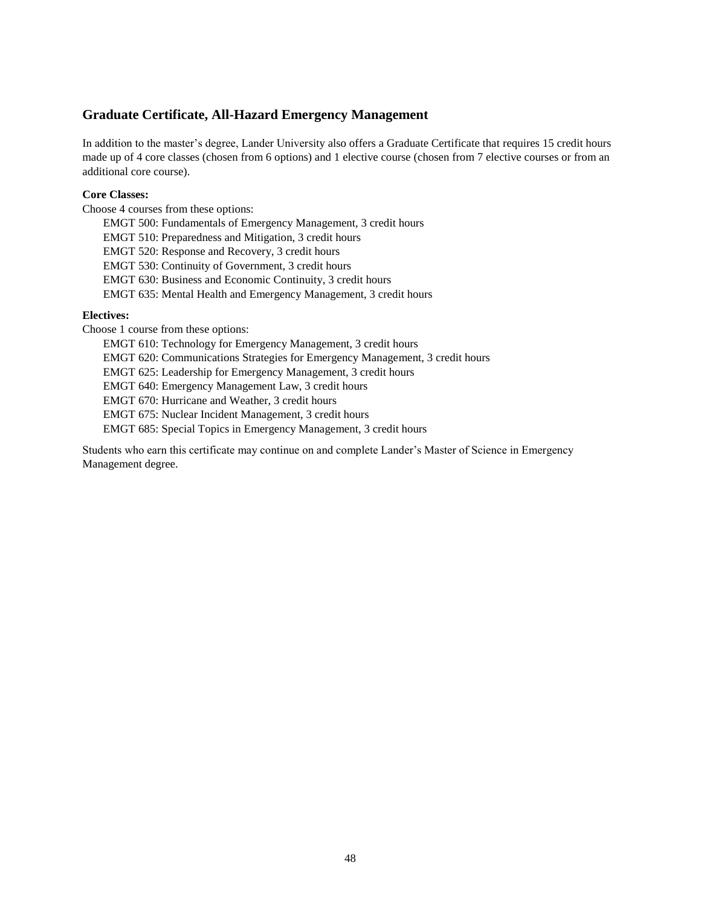## **Graduate Certificate, All-Hazard Emergency Management**

In addition to the master's degree, Lander University also offers a Graduate Certificate that requires 15 credit hours made up of 4 core classes (chosen from 6 options) and 1 elective course (chosen from 7 elective courses or from an additional core course).

## **Core Classes:**

Choose 4 courses from these options:

EMGT 500: Fundamentals of Emergency Management, 3 credit hours EMGT 510: Preparedness and Mitigation, 3 credit hours EMGT 520: Response and Recovery, 3 credit hours EMGT 530: Continuity of Government, 3 credit hours EMGT 630: Business and Economic Continuity, 3 credit hours EMGT 635: Mental Health and Emergency Management, 3 credit hours

## **Electives:**

Choose 1 course from these options:

EMGT 610: Technology for Emergency Management, 3 credit hours

EMGT 620: Communications Strategies for Emergency Management, 3 credit hours

EMGT 625: Leadership for Emergency Management, 3 credit hours

EMGT 640: Emergency Management Law, 3 credit hours

EMGT 670: Hurricane and Weather, 3 credit hours

EMGT 675: Nuclear Incident Management, 3 credit hours

EMGT 685: Special Topics in Emergency Management, 3 credit hours

Students who earn this certificate may continue on and complete Lander's Master of Science in Emergency Management degree.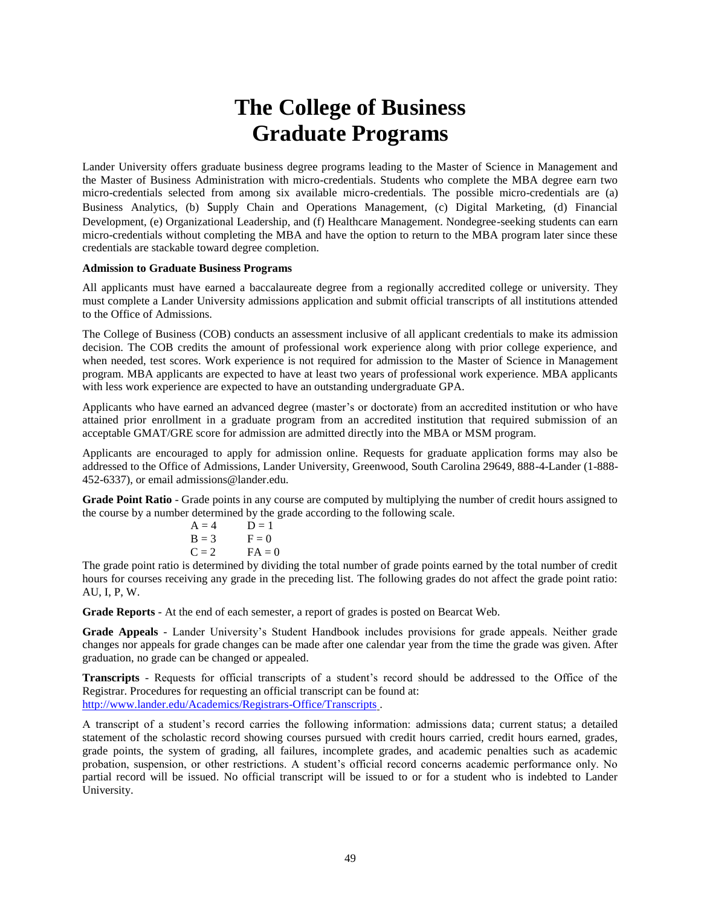# **The College of Business Graduate Programs**

Lander University offers graduate business degree programs leading to the Master of Science in Management and the Master of Business Administration with micro-credentials. Students who complete the MBA degree earn two micro-credentials selected from among six available micro-credentials. The possible micro-credentials are (a) Business Analytics, (b) Supply Chain and Operations Management, (c) Digital Marketing, (d) Financial Development, (e) Organizational Leadership, and (f) Healthcare Management. Nondegree-seeking students can earn micro-credentials without completing the MBA and have the option to return to the MBA program later since these credentials are stackable toward degree completion.

#### **Admission to Graduate Business Programs**

All applicants must have earned a baccalaureate degree from a regionally accredited college or university. They must complete a Lander University admissions application and submit official transcripts of all institutions attended to the Office of Admissions.

The College of Business (COB) conducts an assessment inclusive of all applicant credentials to make its admission decision. The COB credits the amount of professional work experience along with prior college experience, and when needed, test scores. Work experience is not required for admission to the Master of Science in Management program. MBA applicants are expected to have at least two years of professional work experience. MBA applicants with less work experience are expected to have an outstanding undergraduate GPA.

Applicants who have earned an advanced degree (master's or doctorate) from an accredited institution or who have attained prior enrollment in a graduate program from an accredited institution that required submission of an acceptable GMAT/GRE score for admission are admitted directly into the MBA or MSM program.

Applicants are encouraged to apply for admission online. Requests for graduate application forms may also be addressed to the Office of Admissions, Lander University, Greenwood, South Carolina 29649, 888-4-Lander (1-888- 452-6337), or email admissions@lander.edu.

**Grade Point Ratio** - Grade points in any course are computed by multiplying the number of credit hours assigned to the course by a number determined by the grade according to the following scale.

| $A = 4$             | $D = 1$  |
|---------------------|----------|
| $B = 3$             | $F = 0$  |
| $C = 2$             | $FA = 0$ |
| dotomoined by divid |          |

The grade point ratio is determined by dividing the total number of grade points earned by the total number of credit hours for courses receiving any grade in the preceding list. The following grades do not affect the grade point ratio: AU, I, P, W.

**Grade Reports** - At the end of each semester, a report of grades is posted on Bearcat Web.

**Grade Appeals** - Lander University's Student Handbook includes provisions for grade appeals. Neither grade changes nor appeals for grade changes can be made after one calendar year from the time the grade was given. After graduation, no grade can be changed or appealed.

**Transcripts** - Requests for official transcripts of a student's record should be addressed to the Office of the Registrar. Procedures for requesting an official transcript can be found at: <http://www.lander.edu/Academics/Registrars-Office/Transcripts> .

A transcript of a student's record carries the following information: admissions data; current status; a detailed statement of the scholastic record showing courses pursued with credit hours carried, credit hours earned, grades, grade points, the system of grading, all failures, incomplete grades, and academic penalties such as academic probation, suspension, or other restrictions. A student's official record concerns academic performance only. No partial record will be issued. No official transcript will be issued to or for a student who is indebted to Lander University.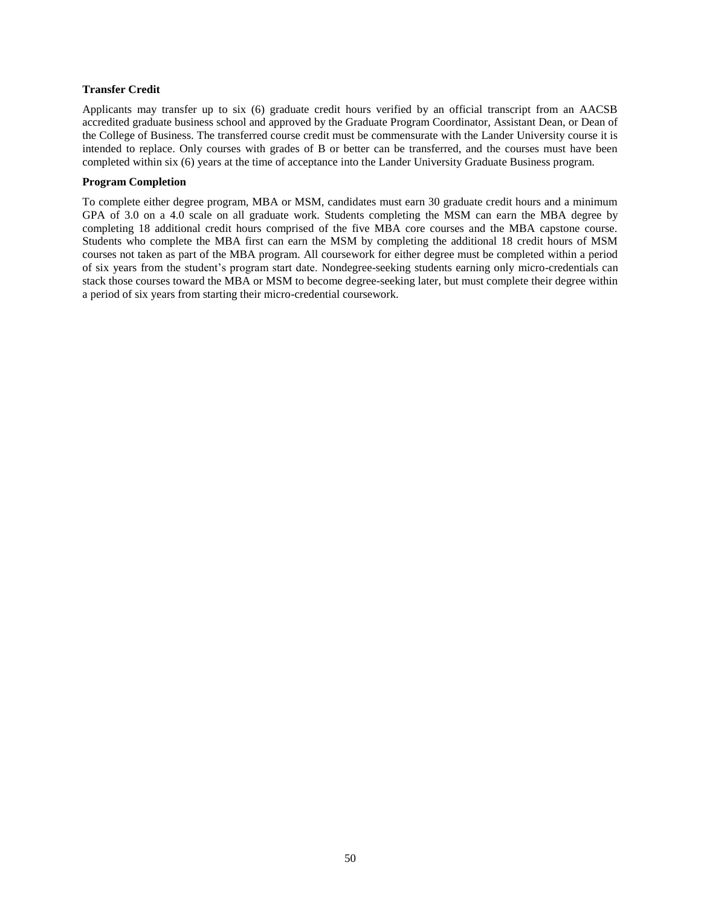## **Transfer Credit**

Applicants may transfer up to six (6) graduate credit hours verified by an official transcript from an AACSB accredited graduate business school and approved by the Graduate Program Coordinator, Assistant Dean, or Dean of the College of Business. The transferred course credit must be commensurate with the Lander University course it is intended to replace. Only courses with grades of B or better can be transferred, and the courses must have been completed within six (6) years at the time of acceptance into the Lander University Graduate Business program.

## **Program Completion**

To complete either degree program, MBA or MSM, candidates must earn 30 graduate credit hours and a minimum GPA of 3.0 on a 4.0 scale on all graduate work. Students completing the MSM can earn the MBA degree by completing 18 additional credit hours comprised of the five MBA core courses and the MBA capstone course. Students who complete the MBA first can earn the MSM by completing the additional 18 credit hours of MSM courses not taken as part of the MBA program. All coursework for either degree must be completed within a period of six years from the student's program start date. Nondegree-seeking students earning only micro-credentials can stack those courses toward the MBA or MSM to become degree-seeking later, but must complete their degree within a period of six years from starting their micro-credential coursework.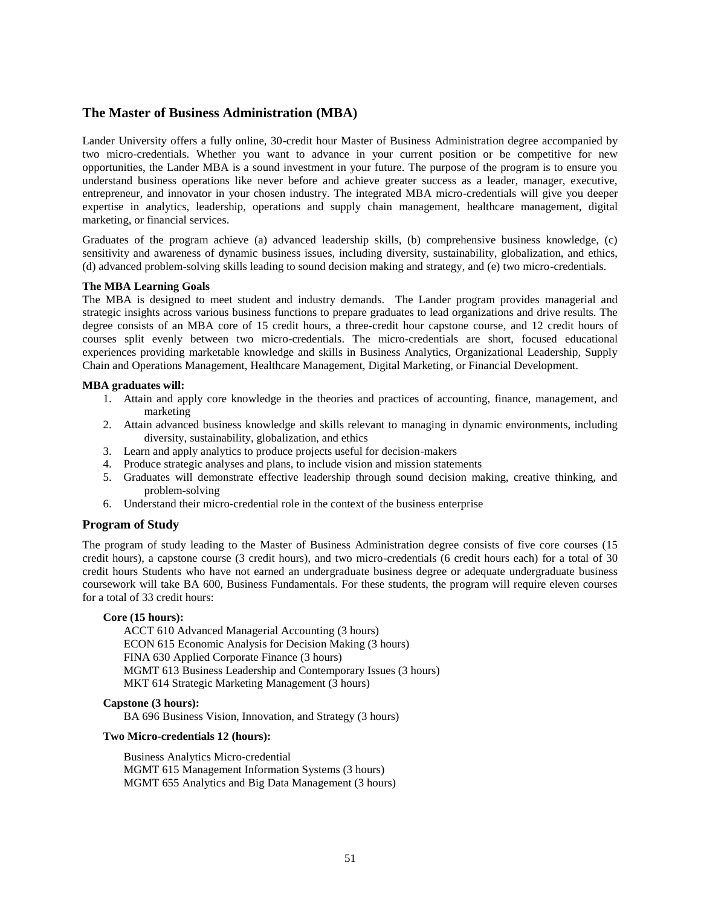## **The Master of Business Administration (MBA)**

Lander University offers a fully online, 30-credit hour Master of Business Administration degree accompanied by two micro-credentials. Whether you want to advance in your current position or be competitive for new opportunities, the Lander MBA is a sound investment in your future. The purpose of the program is to ensure you understand business operations like never before and achieve greater success as a leader, manager, executive, entrepreneur, and innovator in your chosen industry. The integrated MBA micro-credentials will give you deeper expertise in analytics, leadership, operations and supply chain management, healthcare management, digital marketing, or financial services.

Graduates of the program achieve (a) advanced leadership skills, (b) comprehensive business knowledge, (c) sensitivity and awareness of dynamic business issues, including diversity, sustainability, globalization, and ethics, (d) advanced problem-solving skills leading to sound decision making and strategy, and (e) two micro-credentials.

## **The MBA Learning Goals**

The MBA is designed to meet student and industry demands. The Lander program provides managerial and strategic insights across various business functions to prepare graduates to lead organizations and drive results. The degree consists of an MBA core of 15 credit hours, a three-credit hour capstone course, and 12 credit hours of courses split evenly between two micro-credentials. The micro-credentials are short, focused educational experiences providing marketable knowledge and skills in Business Analytics, Organizational Leadership, Supply Chain and Operations Management, Healthcare Management, Digital Marketing, or Financial Development.

## **MBA graduates will:**

- 1. Attain and apply core knowledge in the theories and practices of accounting, finance, management, and marketing
- 2. Attain advanced business knowledge and skills relevant to managing in dynamic environments, including diversity, sustainability, globalization, and ethics
- 3. Learn and apply analytics to produce projects useful for decision-makers
- 4. Produce strategic analyses and plans, to include vision and mission statements
- 5. Graduates will demonstrate effective leadership through sound decision making, creative thinking, and problem-solving
- 6. Understand their micro-credential role in the context of the business enterprise

## **Program of Study**

The program of study leading to the Master of Business Administration degree consists of five core courses (15 credit hours), a capstone course (3 credit hours), and two micro-credentials (6 credit hours each) for a total of 30 credit hours Students who have not earned an undergraduate business degree or adequate undergraduate business coursework will take BA 600, Business Fundamentals. For these students, the program will require eleven courses for a total of 33 credit hours:

#### **Core (15 hours):**

ACCT 610 Advanced Managerial Accounting (3 hours) ECON 615 Economic Analysis for Decision Making (3 hours) FINA 630 Applied Corporate Finance (3 hours) MGMT 613 Business Leadership and Contemporary Issues (3 hours) MKT 614 Strategic Marketing Management (3 hours)

#### **Capstone (3 hours):**

BA 696 Business Vision, Innovation, and Strategy (3 hours)

#### **Two Micro-credentials 12 (hours):**

Business Analytics Micro-credential MGMT 615 Management Information Systems (3 hours) MGMT 655 Analytics and Big Data Management (3 hours)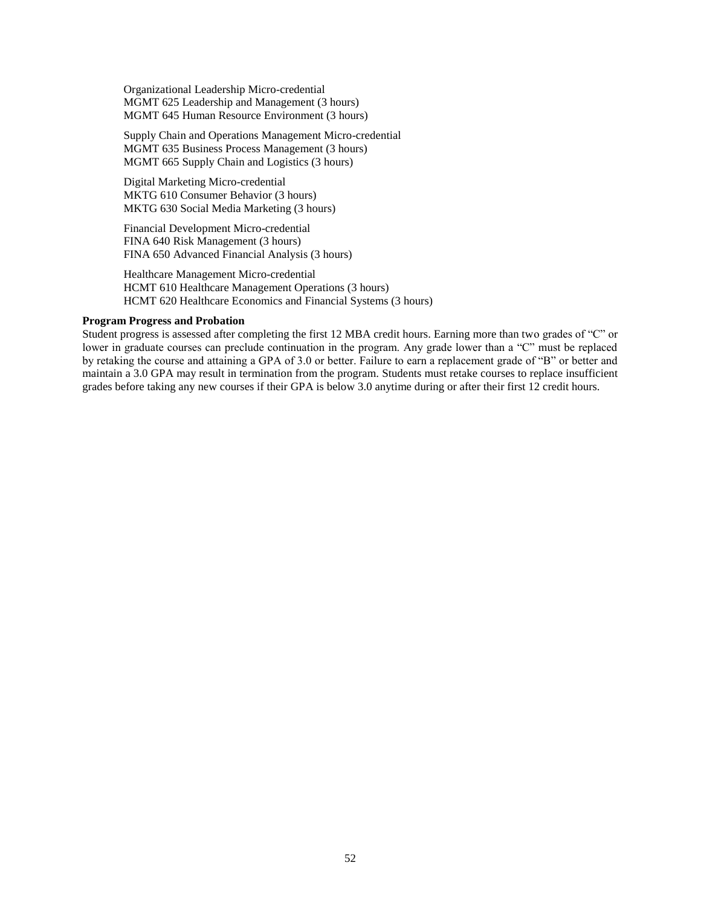Organizational Leadership Micro-credential MGMT 625 Leadership and Management (3 hours) MGMT 645 Human Resource Environment (3 hours)

Supply Chain and Operations Management Micro-credential MGMT 635 Business Process Management (3 hours) MGMT 665 Supply Chain and Logistics (3 hours)

Digital Marketing Micro-credential MKTG 610 Consumer Behavior (3 hours) MKTG 630 Social Media Marketing (3 hours)

Financial Development Micro-credential FINA 640 Risk Management (3 hours) FINA 650 Advanced Financial Analysis (3 hours)

Healthcare Management Micro-credential HCMT 610 Healthcare Management Operations (3 hours) HCMT 620 Healthcare Economics and Financial Systems (3 hours)

#### **Program Progress and Probation**

Student progress is assessed after completing the first 12 MBA credit hours. Earning more than two grades of "C" or lower in graduate courses can preclude continuation in the program. Any grade lower than a "C" must be replaced by retaking the course and attaining a GPA of 3.0 or better. Failure to earn a replacement grade of "B" or better and maintain a 3.0 GPA may result in termination from the program. Students must retake courses to replace insufficient grades before taking any new courses if their GPA is below 3.0 anytime during or after their first 12 credit hours.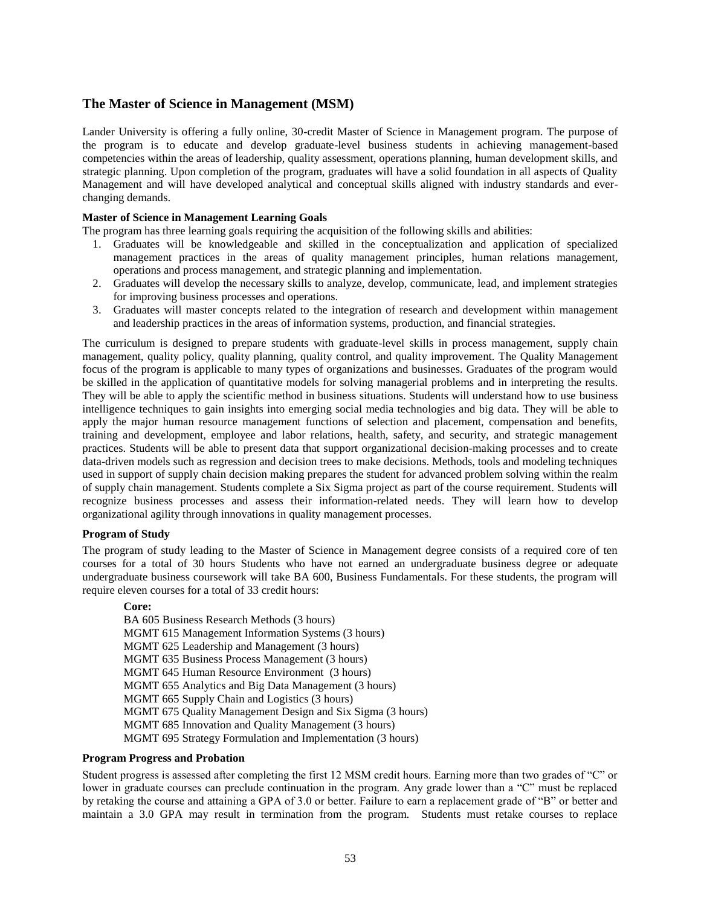## **The Master of Science in Management (MSM)**

Lander University is offering a fully online, 30-credit Master of Science in Management program. The purpose of the program is to educate and develop graduate-level business students in achieving management-based competencies within the areas of leadership, quality assessment, operations planning, human development skills, and strategic planning. Upon completion of the program, graduates will have a solid foundation in all aspects of Quality Management and will have developed analytical and conceptual skills aligned with industry standards and everchanging demands.

## **Master of Science in Management Learning Goals**

The program has three learning goals requiring the acquisition of the following skills and abilities:

- 1. Graduates will be knowledgeable and skilled in the conceptualization and application of specialized management practices in the areas of quality management principles, human relations management, operations and process management, and strategic planning and implementation.
- 2. Graduates will develop the necessary skills to analyze, develop, communicate, lead, and implement strategies for improving business processes and operations.
- 3. Graduates will master concepts related to the integration of research and development within management and leadership practices in the areas of information systems, production, and financial strategies.

The curriculum is designed to prepare students with graduate-level skills in process management, supply chain management, quality policy, quality planning, quality control, and quality improvement. The Quality Management focus of the program is applicable to many types of organizations and businesses. Graduates of the program would be skilled in the application of quantitative models for solving managerial problems and in interpreting the results. They will be able to apply the scientific method in business situations. Students will understand how to use business intelligence techniques to gain insights into emerging social media technologies and big data. They will be able to apply the major human resource management functions of selection and placement, compensation and benefits, training and development, employee and labor relations, health, safety, and security, and strategic management practices. Students will be able to present data that support organizational decision-making processes and to create data-driven models such as regression and decision trees to make decisions. Methods, tools and modeling techniques used in support of supply chain decision making prepares the student for advanced problem solving within the realm of supply chain management. Students complete a Six Sigma project as part of the course requirement. Students will recognize business processes and assess their information-related needs. They will learn how to develop organizational agility through innovations in quality management processes.

## **Program of Study**

The program of study leading to the Master of Science in Management degree consists of a required core of ten courses for a total of 30 hours Students who have not earned an undergraduate business degree or adequate undergraduate business coursework will take BA 600, Business Fundamentals. For these students, the program will require eleven courses for a total of 33 credit hours:

## **Core:**

BA 605 Business Research Methods (3 hours) MGMT 615 Management Information Systems (3 hours) MGMT 625 Leadership and Management (3 hours) MGMT 635 Business Process Management (3 hours) MGMT 645 Human Resource Environment (3 hours) MGMT 655 Analytics and Big Data Management (3 hours) MGMT 665 Supply Chain and Logistics (3 hours) MGMT 675 Quality Management Design and Six Sigma (3 hours) MGMT 685 Innovation and Quality Management (3 hours) MGMT 695 Strategy Formulation and Implementation (3 hours)

#### **Program Progress and Probation**

Student progress is assessed after completing the first 12 MSM credit hours. Earning more than two grades of "C" or lower in graduate courses can preclude continuation in the program. Any grade lower than a "C" must be replaced by retaking the course and attaining a GPA of 3.0 or better. Failure to earn a replacement grade of "B" or better and maintain a 3.0 GPA may result in termination from the program. Students must retake courses to replace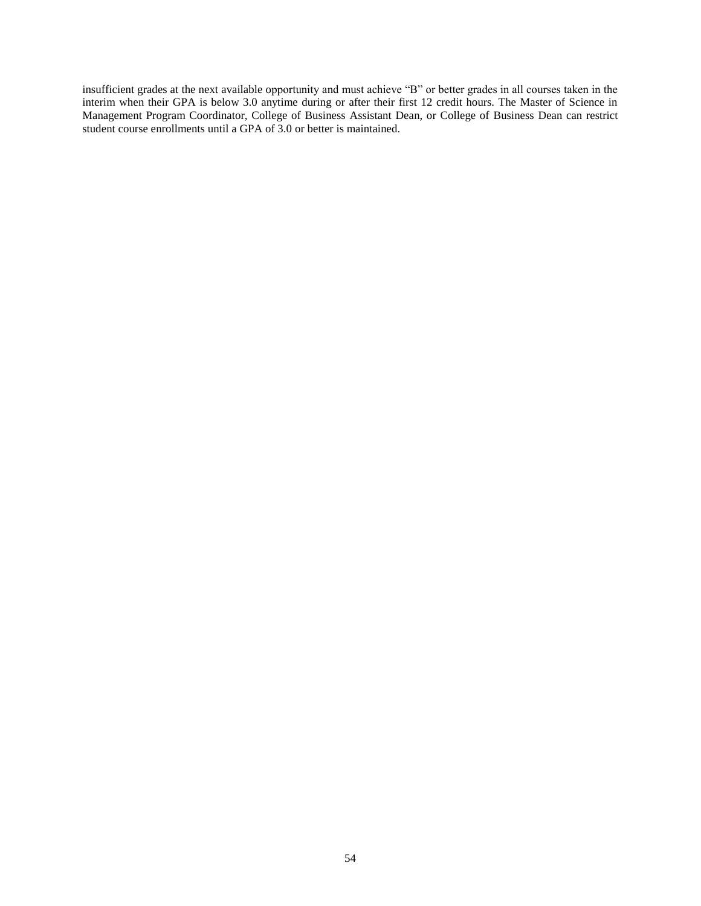insufficient grades at the next available opportunity and must achieve "B" or better grades in all courses taken in the interim when their GPA is below 3.0 anytime during or after their first 12 credit hours. The Master of Science in Management Program Coordinator, College of Business Assistant Dean, or College of Business Dean can restrict student course enrollments until a GPA of 3.0 or better is maintained.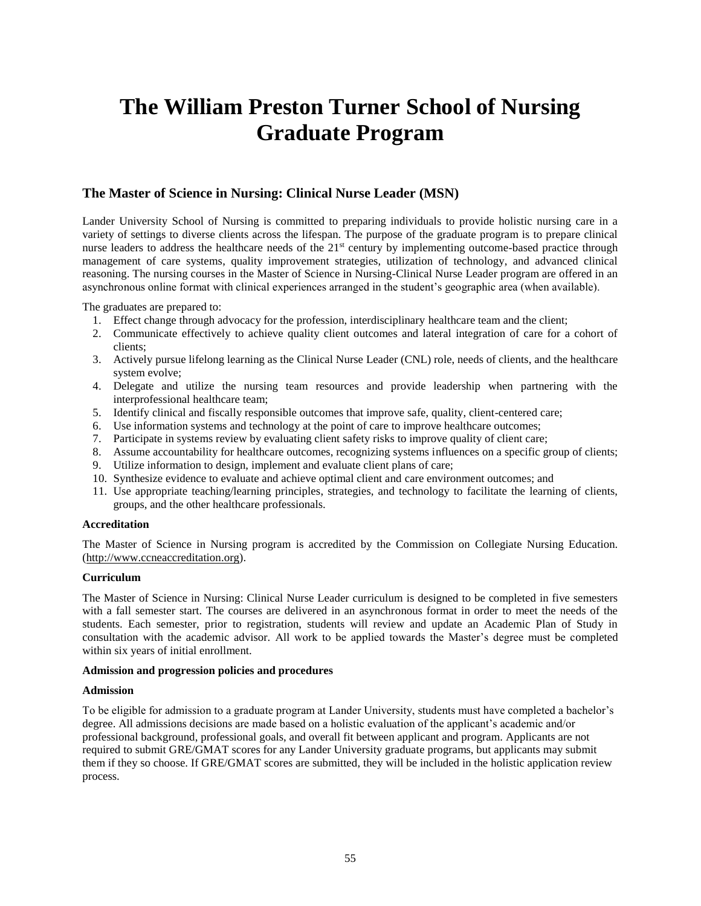# **The William Preston Turner School of Nursing Graduate Program**

# **The Master of Science in Nursing: Clinical Nurse Leader (MSN)**

Lander University School of Nursing is committed to preparing individuals to provide holistic nursing care in a variety of settings to diverse clients across the lifespan. The purpose of the graduate program is to prepare clinical nurse leaders to address the healthcare needs of the 21<sup>st</sup> century by implementing outcome-based practice through management of care systems, quality improvement strategies, utilization of technology, and advanced clinical reasoning. The nursing courses in the Master of Science in Nursing-Clinical Nurse Leader program are offered in an asynchronous online format with clinical experiences arranged in the student's geographic area (when available).

The graduates are prepared to:

- 1. Effect change through advocacy for the profession, interdisciplinary healthcare team and the client;
- 2. Communicate effectively to achieve quality client outcomes and lateral integration of care for a cohort of clients;
- 3. Actively pursue lifelong learning as the Clinical Nurse Leader (CNL) role, needs of clients, and the healthcare system evolve;
- 4. Delegate and utilize the nursing team resources and provide leadership when partnering with the interprofessional healthcare team;
- 5. Identify clinical and fiscally responsible outcomes that improve safe, quality, client-centered care;
- 6. Use information systems and technology at the point of care to improve healthcare outcomes;
- 7. Participate in systems review by evaluating client safety risks to improve quality of client care;
- 8. Assume accountability for healthcare outcomes, recognizing systems influences on a specific group of clients;
- 9. Utilize information to design, implement and evaluate client plans of care;
- 10. Synthesize evidence to evaluate and achieve optimal client and care environment outcomes; and
- 11. Use appropriate teaching/learning principles, strategies, and technology to facilitate the learning of clients, groups, and the other healthcare professionals.

## **Accreditation**

The Master of Science in Nursing program is accredited by the Commission on Collegiate Nursing Education. [\(http://www.ccneaccreditation.org\)](http://www.ccneaccreditation.org/).

## **Curriculum**

The Master of Science in Nursing: Clinical Nurse Leader curriculum is designed to be completed in five semesters with a fall semester start. The courses are delivered in an asynchronous format in order to meet the needs of the students. Each semester, prior to registration, students will review and update an Academic Plan of Study in consultation with the academic advisor. All work to be applied towards the Master's degree must be completed within six years of initial enrollment.

#### **Admission and progression policies and procedures**

#### **Admission**

To be eligible for admission to a graduate program at Lander University, students must have completed a bachelor's degree. All admissions decisions are made based on a holistic evaluation of the applicant's academic and/or professional background, professional goals, and overall fit between applicant and program. Applicants are not required to submit GRE/GMAT scores for any Lander University graduate programs, but applicants may submit them if they so choose. If GRE/GMAT scores are submitted, they will be included in the holistic application review process.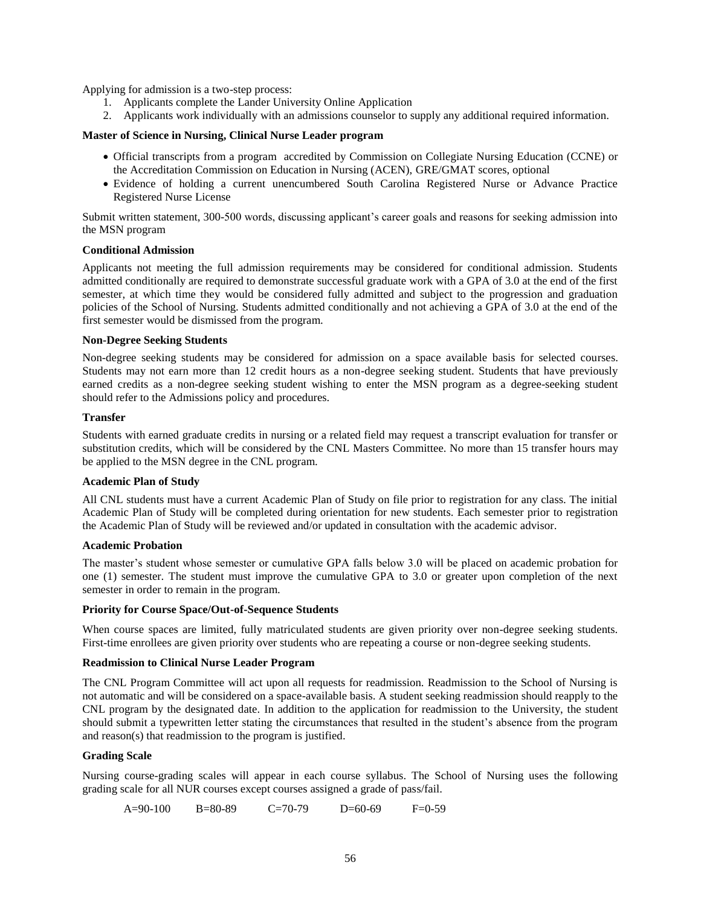Applying for admission is a two-step process:

- 1. Applicants complete the Lander University Online Application
- 2. Applicants work individually with an admissions counselor to supply any additional required information.

#### **Master of Science in Nursing, Clinical Nurse Leader program**

- Official transcripts from a program accredited by Commission on Collegiate Nursing Education (CCNE) or the Accreditation Commission on Education in Nursing (ACEN), GRE/GMAT scores, optional
- Evidence of holding a current unencumbered South Carolina Registered Nurse or Advance Practice Registered Nurse License

Submit written statement, 300-500 words, discussing applicant's career goals and reasons for seeking admission into the MSN program

#### **Conditional Admission**

Applicants not meeting the full admission requirements may be considered for conditional admission. Students admitted conditionally are required to demonstrate successful graduate work with a GPA of 3.0 at the end of the first semester, at which time they would be considered fully admitted and subject to the progression and graduation policies of the School of Nursing. Students admitted conditionally and not achieving a GPA of 3.0 at the end of the first semester would be dismissed from the program.

## **Non-Degree Seeking Students**

Non-degree seeking students may be considered for admission on a space available basis for selected courses. Students may not earn more than 12 credit hours as a non-degree seeking student. Students that have previously earned credits as a non-degree seeking student wishing to enter the MSN program as a degree-seeking student should refer to the Admissions policy and procedures.

## **Transfer**

Students with earned graduate credits in nursing or a related field may request a transcript evaluation for transfer or substitution credits, which will be considered by the CNL Masters Committee. No more than 15 transfer hours may be applied to the MSN degree in the CNL program.

## **Academic Plan of Study**

All CNL students must have a current Academic Plan of Study on file prior to registration for any class. The initial Academic Plan of Study will be completed during orientation for new students. Each semester prior to registration the Academic Plan of Study will be reviewed and/or updated in consultation with the academic advisor.

#### **Academic Probation**

The master's student whose semester or cumulative GPA falls below 3.0 will be placed on academic probation for one (1) semester. The student must improve the cumulative GPA to 3.0 or greater upon completion of the next semester in order to remain in the program.

#### **Priority for Course Space/Out-of-Sequence Students**

When course spaces are limited, fully matriculated students are given priority over non-degree seeking students. First-time enrollees are given priority over students who are repeating a course or non-degree seeking students.

## **Readmission to Clinical Nurse Leader Program**

The CNL Program Committee will act upon all requests for readmission. Readmission to the School of Nursing is not automatic and will be considered on a space-available basis. A student seeking readmission should reapply to the CNL program by the designated date. In addition to the application for readmission to the University, the student should submit a typewritten letter stating the circumstances that resulted in the student's absence from the program and reason(s) that readmission to the program is justified.

## **Grading Scale**

Nursing course-grading scales will appear in each course syllabus. The School of Nursing uses the following grading scale for all NUR courses except courses assigned a grade of pass/fail.

A=90-100 B=80-89 C=70-79 D=60-69 F=0-59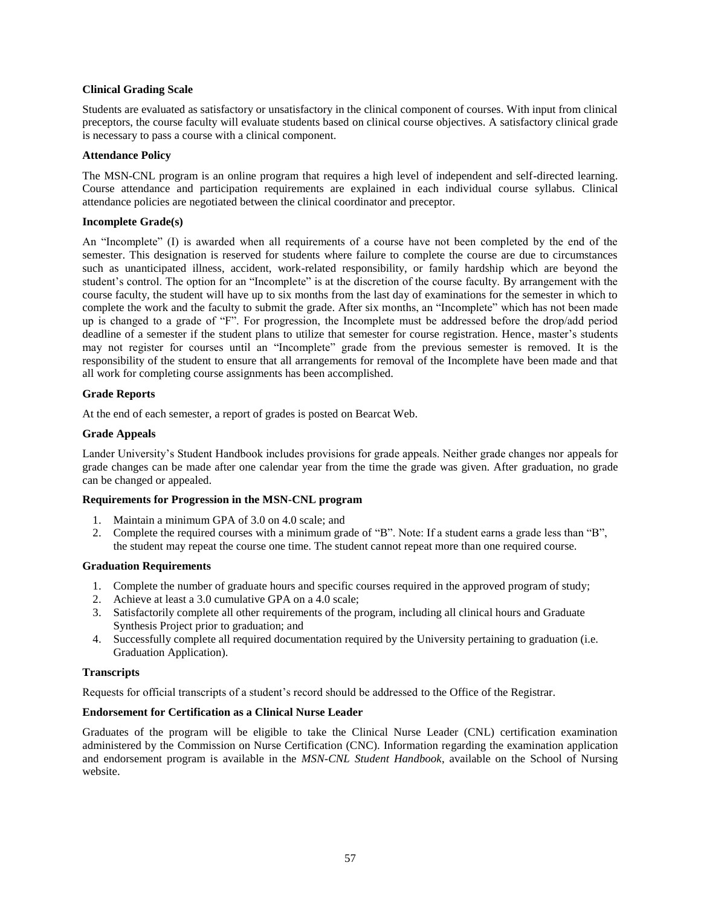## **Clinical Grading Scale**

Students are evaluated as satisfactory or unsatisfactory in the clinical component of courses. With input from clinical preceptors, the course faculty will evaluate students based on clinical course objectives. A satisfactory clinical grade is necessary to pass a course with a clinical component.

#### **Attendance Policy**

The MSN-CNL program is an online program that requires a high level of independent and self-directed learning. Course attendance and participation requirements are explained in each individual course syllabus. Clinical attendance policies are negotiated between the clinical coordinator and preceptor.

## **Incomplete Grade(s)**

An "Incomplete" (I) is awarded when all requirements of a course have not been completed by the end of the semester. This designation is reserved for students where failure to complete the course are due to circumstances such as unanticipated illness, accident, work-related responsibility, or family hardship which are beyond the student's control. The option for an "Incomplete" is at the discretion of the course faculty. By arrangement with the course faculty, the student will have up to six months from the last day of examinations for the semester in which to complete the work and the faculty to submit the grade. After six months, an "Incomplete" which has not been made up is changed to a grade of "F". For progression, the Incomplete must be addressed before the drop/add period deadline of a semester if the student plans to utilize that semester for course registration. Hence, master's students may not register for courses until an "Incomplete" grade from the previous semester is removed. It is the responsibility of the student to ensure that all arrangements for removal of the Incomplete have been made and that all work for completing course assignments has been accomplished.

## **Grade Reports**

At the end of each semester, a report of grades is posted on Bearcat Web.

#### **Grade Appeals**

Lander University's Student Handbook includes provisions for grade appeals. Neither grade changes nor appeals for grade changes can be made after one calendar year from the time the grade was given. After graduation, no grade can be changed or appealed.

## **Requirements for Progression in the MSN-CNL program**

- 1. Maintain a minimum GPA of 3.0 on 4.0 scale; and
- 2. Complete the required courses with a minimum grade of "B". Note: If a student earns a grade less than "B", the student may repeat the course one time. The student cannot repeat more than one required course.

#### **Graduation Requirements**

- 1. Complete the number of graduate hours and specific courses required in the approved program of study;
- 2. Achieve at least a 3.0 cumulative GPA on a 4.0 scale;
- 3. Satisfactorily complete all other requirements of the program, including all clinical hours and Graduate Synthesis Project prior to graduation; and
- 4. Successfully complete all required documentation required by the University pertaining to graduation (i.e. Graduation Application).

#### **Transcripts**

Requests for official transcripts of a student's record should be addressed to the Office of the Registrar.

#### **Endorsement for Certification as a Clinical Nurse Leader**

Graduates of the program will be eligible to take the Clinical Nurse Leader (CNL) certification examination administered by the Commission on Nurse Certification (CNC). Information regarding the examination application and endorsement program is available in the *MSN-CNL Student Handbook*, available on the School of Nursing website.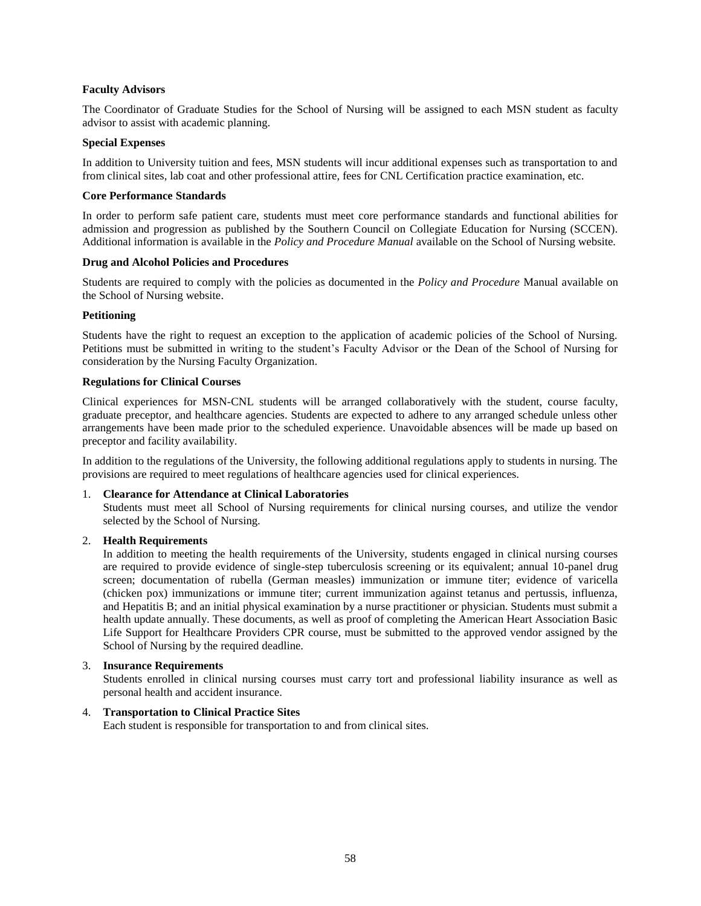## **Faculty Advisors**

The Coordinator of Graduate Studies for the School of Nursing will be assigned to each MSN student as faculty advisor to assist with academic planning.

## **Special Expenses**

In addition to University tuition and fees, MSN students will incur additional expenses such as transportation to and from clinical sites, lab coat and other professional attire, fees for CNL Certification practice examination, etc.

## **Core Performance Standards**

In order to perform safe patient care, students must meet core performance standards and functional abilities for admission and progression as published by the Southern Council on Collegiate Education for Nursing (SCCEN). Additional information is available in the *Policy and Procedure Manual* available on the School of Nursing website*.*

#### **Drug and Alcohol Policies and Procedures**

Students are required to comply with the policies as documented in the *Policy and Procedure* Manual available on the School of Nursing website.

## **Petitioning**

Students have the right to request an exception to the application of academic policies of the School of Nursing. Petitions must be submitted in writing to the student's Faculty Advisor or the Dean of the School of Nursing for consideration by the Nursing Faculty Organization.

#### **Regulations for Clinical Courses**

Clinical experiences for MSN-CNL students will be arranged collaboratively with the student, course faculty, graduate preceptor, and healthcare agencies. Students are expected to adhere to any arranged schedule unless other arrangements have been made prior to the scheduled experience. Unavoidable absences will be made up based on preceptor and facility availability.

In addition to the regulations of the University, the following additional regulations apply to students in nursing. The provisions are required to meet regulations of healthcare agencies used for clinical experiences.

## 1. **Clearance for Attendance at Clinical Laboratories**

Students must meet all School of Nursing requirements for clinical nursing courses, and utilize the vendor selected by the School of Nursing.

#### 2. **Health Requirements**

In addition to meeting the health requirements of the University, students engaged in clinical nursing courses are required to provide evidence of single-step tuberculosis screening or its equivalent; annual 10-panel drug screen; documentation of rubella (German measles) immunization or immune titer; evidence of varicella (chicken pox) immunizations or immune titer; current immunization against tetanus and pertussis, influenza, and Hepatitis B; and an initial physical examination by a nurse practitioner or physician. Students must submit a health update annually. These documents, as well as proof of completing the American Heart Association Basic Life Support for Healthcare Providers CPR course, must be submitted to the approved vendor assigned by the School of Nursing by the required deadline.

## 3. **Insurance Requirements**

Students enrolled in clinical nursing courses must carry tort and professional liability insurance as well as personal health and accident insurance.

#### 4. **Transportation to Clinical Practice Sites**

Each student is responsible for transportation to and from clinical sites.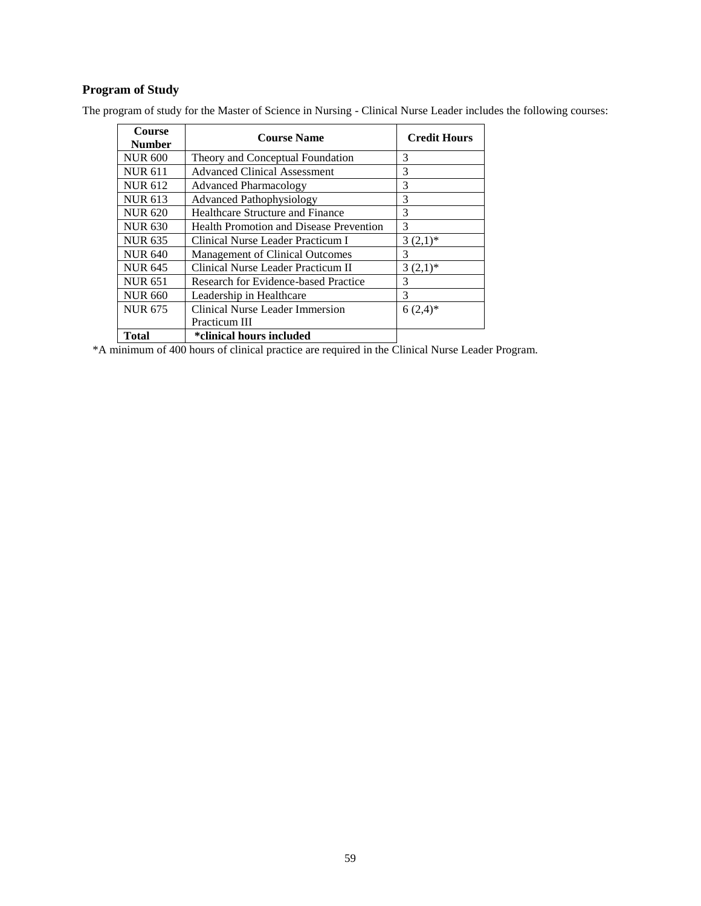# **Program of Study**

| <b>Course</b><br><b>Number</b> | <b>Course Name</b>                             | <b>Credit Hours</b>           |
|--------------------------------|------------------------------------------------|-------------------------------|
| <b>NUR 600</b>                 | Theory and Conceptual Foundation               | 3                             |
| <b>NUR 611</b>                 | <b>Advanced Clinical Assessment</b>            | 3                             |
| <b>NUR 612</b>                 | <b>Advanced Pharmacology</b>                   | 3                             |
| <b>NUR 613</b>                 | <b>Advanced Pathophysiology</b>                | 3                             |
| <b>NUR 620</b>                 | Healthcare Structure and Finance               | 3                             |
| <b>NUR 630</b>                 | <b>Health Promotion and Disease Prevention</b> | 3                             |
| <b>NUR 635</b>                 | Clinical Nurse Leader Practicum I              | $3(2,1)^*$                    |
| <b>NUR 640</b>                 | Management of Clinical Outcomes                | 3                             |
| <b>NUR 645</b>                 | Clinical Nurse Leader Practicum II             | $3(2,1)^*$                    |
| <b>NUR 651</b>                 | Research for Evidence-based Practice           | 3                             |
| <b>NUR 660</b>                 | Leadership in Healthcare                       | 3                             |
| <b>NUR 675</b>                 | Clinical Nurse Leader Immersion                | $6(2,4)$ *                    |
|                                | Practicum III                                  |                               |
| <b>Total</b>                   | <i>*clinical hours included</i>                | $\mathbf{v}$ and $\mathbf{v}$ |

The program of study for the Master of Science in Nursing - Clinical Nurse Leader includes the following courses:

\*A minimum of 400 hours of clinical practice are required in the Clinical Nurse Leader Program.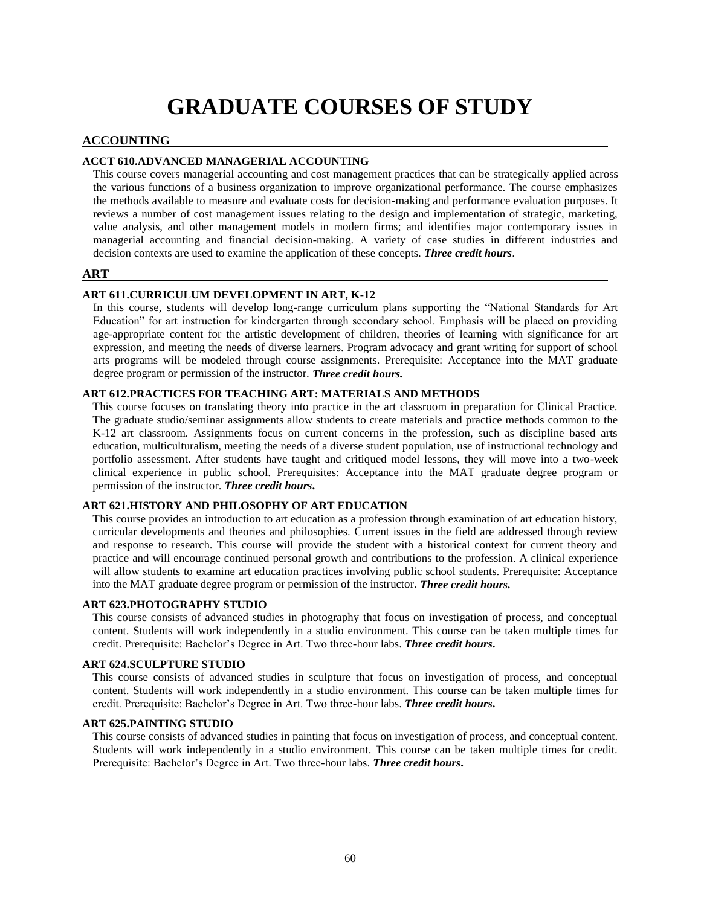# **GRADUATE COURSES OF STUDY**

## **ACCOUNTING**

## **ACCT 610.ADVANCED MANAGERIAL ACCOUNTING**

This course covers managerial accounting and cost management practices that can be strategically applied across the various functions of a business organization to improve organizational performance. The course emphasizes the methods available to measure and evaluate costs for decision-making and performance evaluation purposes. It reviews a number of cost management issues relating to the design and implementation of strategic, marketing, value analysis, and other management models in modern firms; and identifies major contemporary issues in managerial accounting and financial decision-making. A variety of case studies in different industries and decision contexts are used to examine the application of these concepts. *Three credit hours*.

## **ART**

## **ART 611.CURRICULUM DEVELOPMENT IN ART, K-12**

In this course, students will develop long-range curriculum plans supporting the "National Standards for Art Education" for art instruction for kindergarten through secondary school. Emphasis will be placed on providing age-appropriate content for the artistic development of children, theories of learning with significance for art expression, and meeting the needs of diverse learners. Program advocacy and grant writing for support of school arts programs will be modeled through course assignments. Prerequisite: Acceptance into the MAT graduate degree program or permission of the instructor. *Three credit hours.*

## **ART 612.PRACTICES FOR TEACHING ART: MATERIALS AND METHODS**

This course focuses on translating theory into practice in the art classroom in preparation for Clinical Practice. The graduate studio/seminar assignments allow students to create materials and practice methods common to the K-12 art classroom. Assignments focus on current concerns in the profession, such as discipline based arts education, multiculturalism, meeting the needs of a diverse student population, use of instructional technology and portfolio assessment. After students have taught and critiqued model lessons, they will move into a two-week clinical experience in public school. Prerequisites: Acceptance into the MAT graduate degree program or permission of the instructor. *Three credit hours***.**

#### **ART 621.HISTORY AND PHILOSOPHY OF ART EDUCATION**

This course provides an introduction to art education as a profession through examination of art education history, curricular developments and theories and philosophies. Current issues in the field are addressed through review and response to research. This course will provide the student with a historical context for current theory and practice and will encourage continued personal growth and contributions to the profession. A clinical experience will allow students to examine art education practices involving public school students. Prerequisite: Acceptance into the MAT graduate degree program or permission of the instructor. *Three credit hours.*

#### **ART 623.PHOTOGRAPHY STUDIO**

This course consists of advanced studies in photography that focus on investigation of process, and conceptual content. Students will work independently in a studio environment. This course can be taken multiple times for credit. Prerequisite: Bachelor's Degree in Art. Two three-hour labs. *Three credit hours***.**

#### **ART 624.SCULPTURE STUDIO**

This course consists of advanced studies in sculpture that focus on investigation of process, and conceptual content. Students will work independently in a studio environment. This course can be taken multiple times for credit. Prerequisite: Bachelor's Degree in Art. Two three-hour labs. *Three credit hours***.**

#### **ART 625.PAINTING STUDIO**

This course consists of advanced studies in painting that focus on investigation of process, and conceptual content. Students will work independently in a studio environment. This course can be taken multiple times for credit. Prerequisite: Bachelor's Degree in Art. Two three-hour labs. *Three credit hours***.**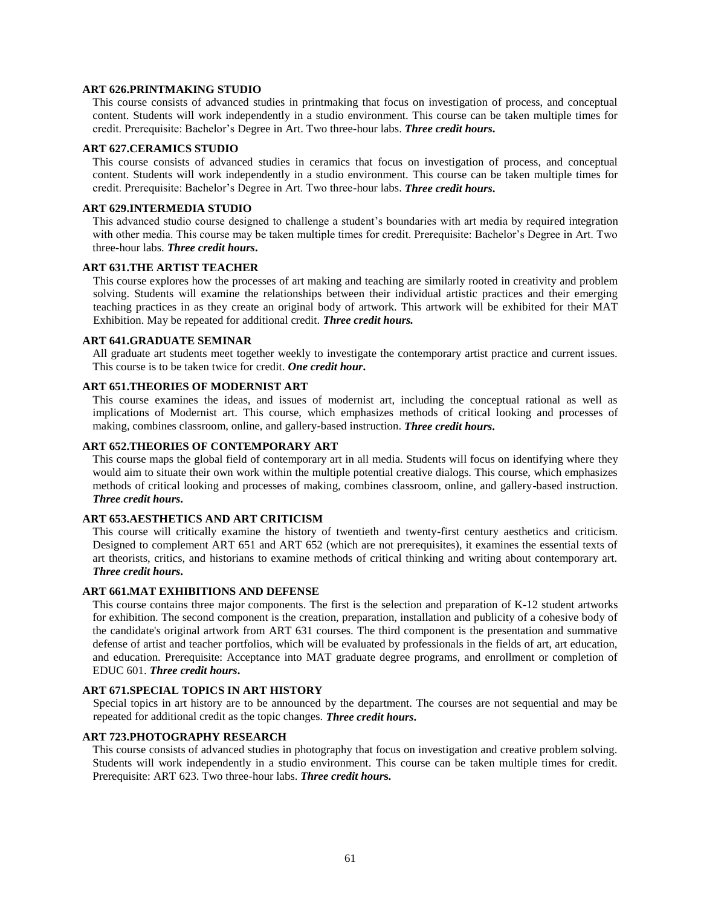#### **ART 626.PRINTMAKING STUDIO**

This course consists of advanced studies in printmaking that focus on investigation of process, and conceptual content. Students will work independently in a studio environment. This course can be taken multiple times for credit. Prerequisite: Bachelor's Degree in Art. Two three-hour labs. *Three credit hours***.**

#### **ART 627.CERAMICS STUDIO**

This course consists of advanced studies in ceramics that focus on investigation of process, and conceptual content. Students will work independently in a studio environment. This course can be taken multiple times for credit. Prerequisite: Bachelor's Degree in Art. Two three-hour labs. *Three credit hours***.**

## **ART 629.INTERMEDIA STUDIO**

This advanced studio course designed to challenge a student's boundaries with art media by required integration with other media. This course may be taken multiple times for credit. Prerequisite: Bachelor's Degree in Art. Two three-hour labs. *Three credit hours***.**

#### **ART 631.THE ARTIST TEACHER**

This course explores how the processes of art making and teaching are similarly rooted in creativity and problem solving. Students will examine the relationships between their individual artistic practices and their emerging teaching practices in as they create an original body of artwork. This artwork will be exhibited for their MAT Exhibition. May be repeated for additional credit. *Three credit hours.*

#### **ART 641.GRADUATE SEMINAR**

All graduate art students meet together weekly to investigate the contemporary artist practice and current issues. This course is to be taken twice for credit. *One credit hour***.**

### **ART 651.THEORIES OF MODERNIST ART**

This course examines the ideas, and issues of modernist art, including the conceptual rational as well as implications of Modernist art. This course, which emphasizes methods of critical looking and processes of making, combines classroom, online, and gallery-based instruction. *Three credit hours***.**

## **ART 652.THEORIES OF CONTEMPORARY ART**

This course maps the global field of contemporary art in all media. Students will focus on identifying where they would aim to situate their own work within the multiple potential creative dialogs. This course, which emphasizes methods of critical looking and processes of making, combines classroom, online, and gallery-based instruction. *Three credit hours***.**

#### **ART 653.AESTHETICS AND ART CRITICISM**

This course will critically examine the history of twentieth and twenty-first century aesthetics and criticism. Designed to complement ART 651 and ART 652 (which are not prerequisites), it examines the essential texts of art theorists, critics, and historians to examine methods of critical thinking and writing about contemporary art. *Three credit hours***.**

### **ART 661.MAT EXHIBITIONS AND DEFENSE**

This course contains three major components. The first is the selection and preparation of K-12 student artworks for exhibition. The second component is the creation, preparation, installation and publicity of a cohesive body of the candidate's original artwork from ART 631 courses. The third component is the presentation and summative defense of artist and teacher portfolios, which will be evaluated by professionals in the fields of art, art education, and education. Prerequisite: Acceptance into MAT graduate degree programs, and enrollment or completion of EDUC 601. *Three credit hours***.**

### **ART 671.SPECIAL TOPICS IN ART HISTORY**

Special topics in art history are to be announced by the department. The courses are not sequential and may be repeated for additional credit as the topic changes. *Three credit hours***.**

#### **ART 723.PHOTOGRAPHY RESEARCH**

This course consists of advanced studies in photography that focus on investigation and creative problem solving. Students will work independently in a studio environment. This course can be taken multiple times for credit. Prerequisite: ART 623. Two three-hour labs. *Three credit hour***s.**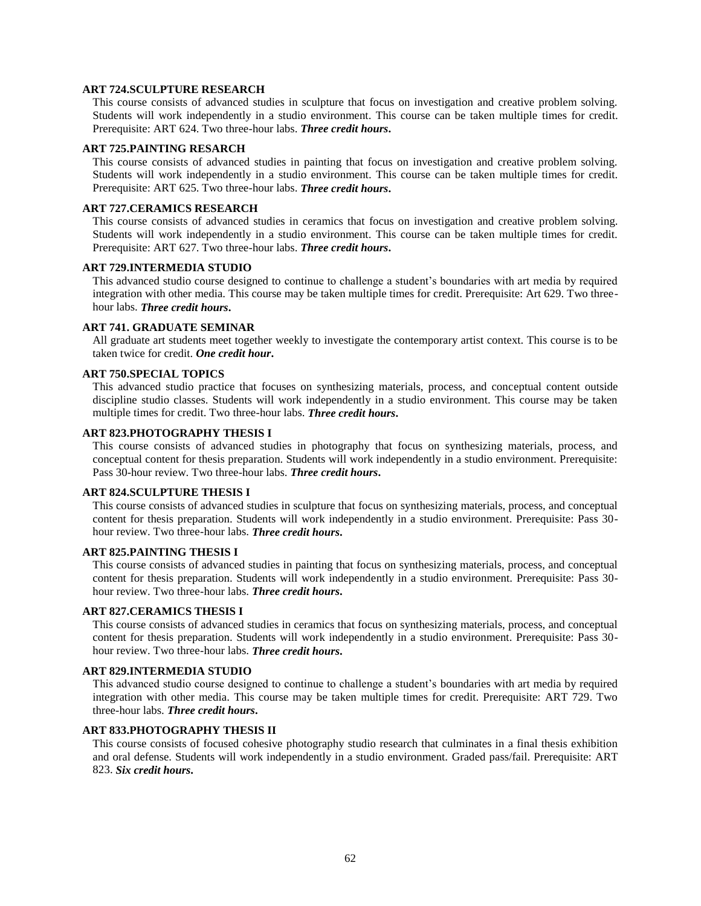#### **ART 724.SCULPTURE RESEARCH**

This course consists of advanced studies in sculpture that focus on investigation and creative problem solving. Students will work independently in a studio environment. This course can be taken multiple times for credit. Prerequisite: ART 624. Two three-hour labs. *Three credit hours***.**

#### **ART 725.PAINTING RESARCH**

This course consists of advanced studies in painting that focus on investigation and creative problem solving. Students will work independently in a studio environment. This course can be taken multiple times for credit. Prerequisite: ART 625. Two three-hour labs. *Three credit hours***.**

## **ART 727.CERAMICS RESEARCH**

This course consists of advanced studies in ceramics that focus on investigation and creative problem solving. Students will work independently in a studio environment. This course can be taken multiple times for credit. Prerequisite: ART 627. Two three-hour labs. *Three credit hours***.**

#### **ART 729.INTERMEDIA STUDIO**

This advanced studio course designed to continue to challenge a student's boundaries with art media by required integration with other media. This course may be taken multiple times for credit. Prerequisite: Art 629. Two threehour labs. *Three credit hours***.**

## **ART 741. GRADUATE SEMINAR**

All graduate art students meet together weekly to investigate the contemporary artist context. This course is to be taken twice for credit. *One credit hour***.**

## **ART 750.SPECIAL TOPICS**

This advanced studio practice that focuses on synthesizing materials, process, and conceptual content outside discipline studio classes. Students will work independently in a studio environment. This course may be taken multiple times for credit. Two three-hour labs. *Three credit hours***.**

#### **ART 823.PHOTOGRAPHY THESIS I**

This course consists of advanced studies in photography that focus on synthesizing materials, process, and conceptual content for thesis preparation. Students will work independently in a studio environment. Prerequisite: Pass 30-hour review. Two three-hour labs. *Three credit hours***.**

## **ART 824.SCULPTURE THESIS I**

This course consists of advanced studies in sculpture that focus on synthesizing materials, process, and conceptual content for thesis preparation. Students will work independently in a studio environment. Prerequisite: Pass 30 hour review. Two three-hour labs. *Three credit hours***.**

#### **ART 825.PAINTING THESIS I**

This course consists of advanced studies in painting that focus on synthesizing materials, process, and conceptual content for thesis preparation. Students will work independently in a studio environment. Prerequisite: Pass 30 hour review. Two three-hour labs. *Three credit hours***.**

#### **ART 827.CERAMICS THESIS I**

This course consists of advanced studies in ceramics that focus on synthesizing materials, process, and conceptual content for thesis preparation. Students will work independently in a studio environment. Prerequisite: Pass 30 hour review. Two three-hour labs. *Three credit hours***.**

#### **ART 829.INTERMEDIA STUDIO**

This advanced studio course designed to continue to challenge a student's boundaries with art media by required integration with other media. This course may be taken multiple times for credit. Prerequisite: ART 729. Two three-hour labs. *Three credit hours***.**

## **ART 833.PHOTOGRAPHY THESIS II**

This course consists of focused cohesive photography studio research that culminates in a final thesis exhibition and oral defense. Students will work independently in a studio environment. Graded pass/fail. Prerequisite: ART 823. *Six credit hours***.**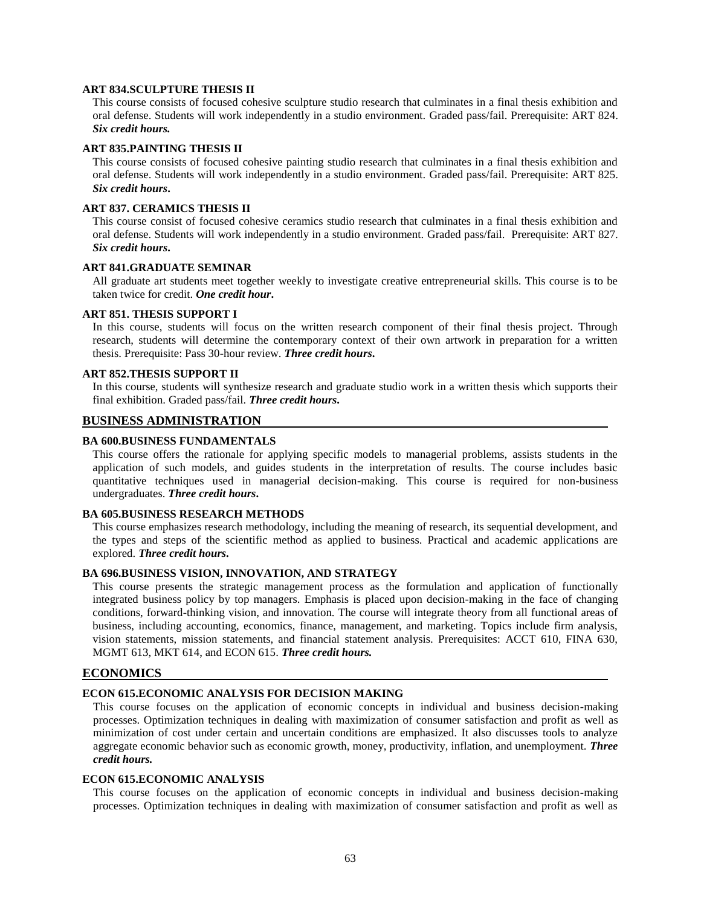#### **ART 834.SCULPTURE THESIS II**

This course consists of focused cohesive sculpture studio research that culminates in a final thesis exhibition and oral defense. Students will work independently in a studio environment. Graded pass/fail. Prerequisite: ART 824. *Six credit hours.*

#### **ART 835.PAINTING THESIS II**

This course consists of focused cohesive painting studio research that culminates in a final thesis exhibition and oral defense. Students will work independently in a studio environment. Graded pass/fail. Prerequisite: ART 825. *Six credit hours***.**

#### **ART 837. CERAMICS THESIS II**

This course consist of focused cohesive ceramics studio research that culminates in a final thesis exhibition and oral defense. Students will work independently in a studio environment. Graded pass/fail. Prerequisite: ART 827. *Six credit hours***.**

#### **ART 841.GRADUATE SEMINAR**

All graduate art students meet together weekly to investigate creative entrepreneurial skills. This course is to be taken twice for credit. *One credit hour***.**

#### **ART 851. THESIS SUPPORT I**

In this course, students will focus on the written research component of their final thesis project. Through research, students will determine the contemporary context of their own artwork in preparation for a written thesis. Prerequisite: Pass 30-hour review. *Three credit hours***.**

#### **ART 852.THESIS SUPPORT II**

In this course, students will synthesize research and graduate studio work in a written thesis which supports their final exhibition. Graded pass/fail. *Three credit hours***.**

## **BUSINESS ADMINISTRATION**

#### **BA 600.BUSINESS FUNDAMENTALS**

This course offers the rationale for applying specific models to managerial problems, assists students in the application of such models, and guides students in the interpretation of results. The course includes basic quantitative techniques used in managerial decision-making. This course is required for non-business undergraduates. *Three credit hours***.**

#### **BA 605.BUSINESS RESEARCH METHODS**

This course emphasizes research methodology, including the meaning of research, its sequential development, and the types and steps of the scientific method as applied to business. Practical and academic applications are explored. *Three credit hours***.**

## **BA 696.BUSINESS VISION, INNOVATION, AND STRATEGY**

This course presents the strategic management process as the formulation and application of functionally integrated business policy by top managers. Emphasis is placed upon decision-making in the face of changing conditions, forward-thinking vision, and innovation. The course will integrate theory from all functional areas of business, including accounting, economics, finance, management, and marketing. Topics include firm analysis, vision statements, mission statements, and financial statement analysis. Prerequisites: ACCT 610, FINA 630, MGMT 613, MKT 614, and ECON 615. *Three credit hours.*

#### **ECONOMICS**

#### **ECON 615.ECONOMIC ANALYSIS FOR DECISION MAKING**

This course focuses on the application of economic concepts in individual and business decision-making processes. Optimization techniques in dealing with maximization of consumer satisfaction and profit as well as minimization of cost under certain and uncertain conditions are emphasized. It also discusses tools to analyze aggregate economic behavior such as economic growth, money, productivity, inflation, and unemployment. *Three credit hours.*

## **ECON 615.ECONOMIC ANALYSIS**

This course focuses on the application of economic concepts in individual and business decision-making processes. Optimization techniques in dealing with maximization of consumer satisfaction and profit as well as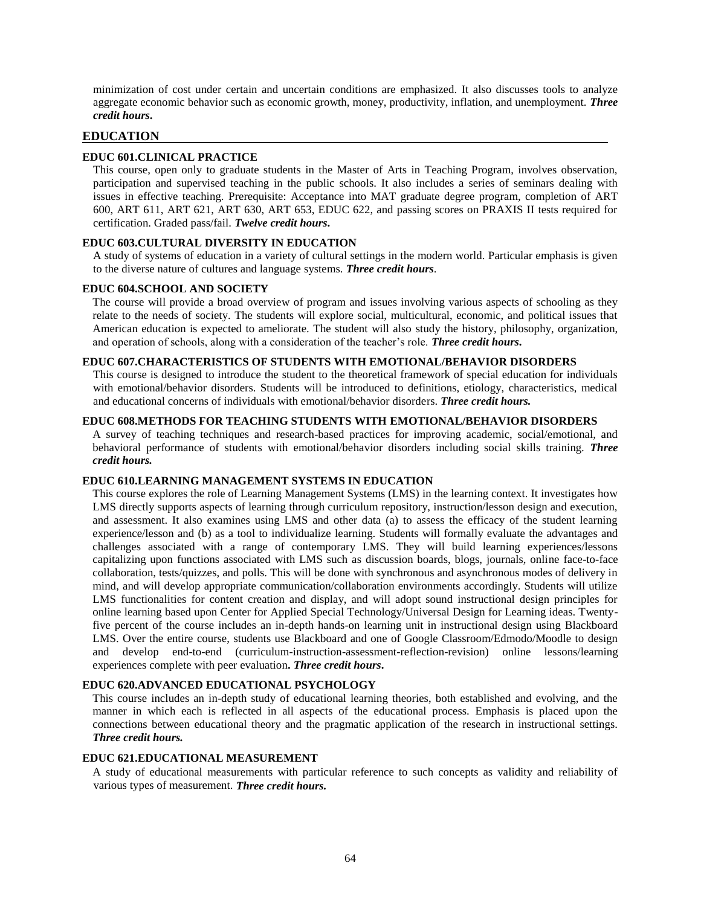minimization of cost under certain and uncertain conditions are emphasized. It also discusses tools to analyze aggregate economic behavior such as economic growth, money, productivity, inflation, and unemployment. *Three credit hours***.**

## **EDUCATION**

## **EDUC 601.CLINICAL PRACTICE**

This course, open only to graduate students in the Master of Arts in Teaching Program, involves observation, participation and supervised teaching in the public schools. It also includes a series of seminars dealing with issues in effective teaching. Prerequisite: Acceptance into MAT graduate degree program, completion of ART 600, ART 611, ART 621, ART 630, ART 653, EDUC 622, and passing scores on PRAXIS II tests required for certification. Graded pass/fail. *Twelve credit hours***.**

## **EDUC 603.CULTURAL DIVERSITY IN EDUCATION**

A study of systems of education in a variety of cultural settings in the modern world. Particular emphasis is given to the diverse nature of cultures and language systems. *Three credit hours*.

#### **EDUC 604.SCHOOL AND SOCIETY**

The course will provide a broad overview of program and issues involving various aspects of schooling as they relate to the needs of society. The students will explore social, multicultural, economic, and political issues that American education is expected to ameliorate. The student will also study the history, philosophy, organization, and operation of schools, along with a consideration of the teacher's role. *Three credit hours***.**

#### **EDUC 607.CHARACTERISTICS OF STUDENTS WITH EMOTIONAL/BEHAVIOR DISORDERS**

This course is designed to introduce the student to the theoretical framework of special education for individuals with emotional/behavior disorders. Students will be introduced to definitions, etiology, characteristics, medical and educational concerns of individuals with emotional/behavior disorders. *Three credit hours.*

#### **EDUC 608.METHODS FOR TEACHING STUDENTS WITH EMOTIONAL/BEHAVIOR DISORDERS**

A survey of teaching techniques and research-based practices for improving academic, social/emotional, and behavioral performance of students with emotional/behavior disorders including social skills training. *Three credit hours.*

## **EDUC 610.LEARNING MANAGEMENT SYSTEMS IN EDUCATION**

This course explores the role of Learning Management Systems (LMS) in the learning context. It investigates how LMS directly supports aspects of learning through curriculum repository, instruction/lesson design and execution, and assessment. It also examines using LMS and other data (a) to assess the efficacy of the student learning experience/lesson and (b) as a tool to individualize learning. Students will formally evaluate the advantages and challenges associated with a range of contemporary LMS. They will build learning experiences/lessons capitalizing upon functions associated with LMS such as discussion boards, blogs, journals, online face-to-face collaboration, tests/quizzes, and polls. This will be done with synchronous and asynchronous modes of delivery in mind, and will develop appropriate communication/collaboration environments accordingly. Students will utilize LMS functionalities for content creation and display, and will adopt sound instructional design principles for online learning based upon Center for Applied Special Technology/Universal Design for Learning ideas. Twentyfive percent of the course includes an in-depth hands-on learning unit in instructional design using Blackboard LMS. Over the entire course, students use Blackboard and one of Google Classroom/Edmodo/Moodle to design and develop end-to-end (curriculum-instruction-assessment-reflection-revision) online lessons/learning experiences complete with peer evaluation**.** *Three credit hours***.**

#### **EDUC 620.ADVANCED EDUCATIONAL PSYCHOLOGY**

This course includes an in-depth study of educational learning theories, both established and evolving, and the manner in which each is reflected in all aspects of the educational process. Emphasis is placed upon the connections between educational theory and the pragmatic application of the research in instructional settings. *Three credit hours.*

#### **EDUC 621.EDUCATIONAL MEASUREMENT**

A study of educational measurements with particular reference to such concepts as validity and reliability of various types of measurement. *Three credit hours.*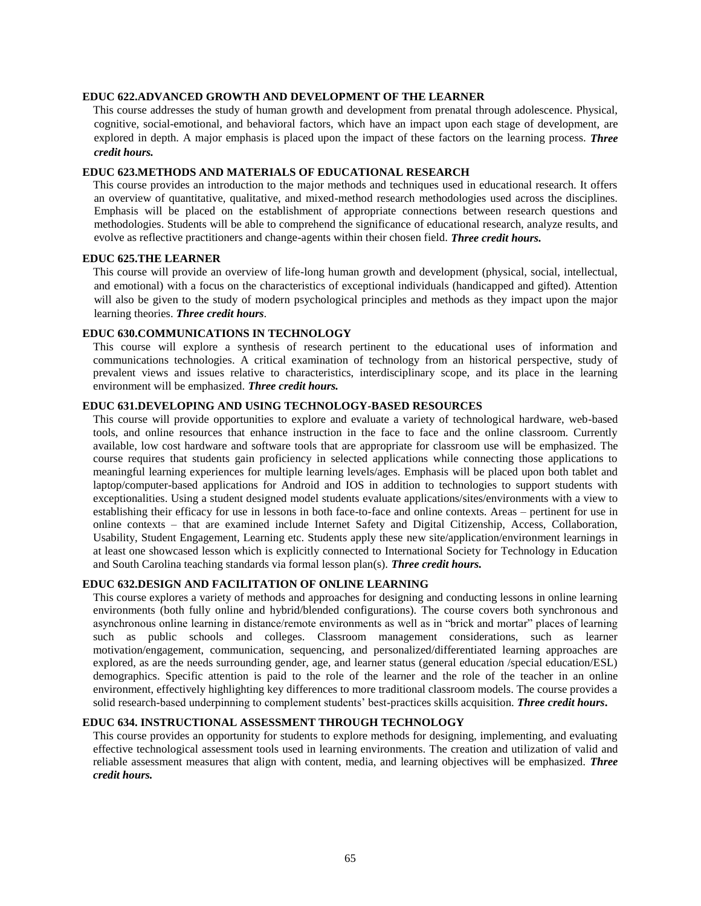#### **EDUC 622.ADVANCED GROWTH AND DEVELOPMENT OF THE LEARNER**

This course addresses the study of human growth and development from prenatal through adolescence. Physical, cognitive, social-emotional, and behavioral factors, which have an impact upon each stage of development, are explored in depth. A major emphasis is placed upon the impact of these factors on the learning process. *Three credit hours.*

#### **EDUC 623.METHODS AND MATERIALS OF EDUCATIONAL RESEARCH**

This course provides an introduction to the major methods and techniques used in educational research. It offers an overview of quantitative, qualitative, and mixed-method research methodologies used across the disciplines. Emphasis will be placed on the establishment of appropriate connections between research questions and methodologies. Students will be able to comprehend the significance of educational research, analyze results, and evolve as reflective practitioners and change-agents within their chosen field. *Three credit hours.*

## **EDUC 625.THE LEARNER**

This course will provide an overview of life-long human growth and development (physical, social, intellectual, and emotional) with a focus on the characteristics of exceptional individuals (handicapped and gifted). Attention will also be given to the study of modern psychological principles and methods as they impact upon the major learning theories. *Three credit hours*.

## **EDUC 630.COMMUNICATIONS IN TECHNOLOGY**

This course will explore a synthesis of research pertinent to the educational uses of information and communications technologies. A critical examination of technology from an historical perspective, study of prevalent views and issues relative to characteristics, interdisciplinary scope, and its place in the learning environment will be emphasized. *Three credit hours.*

## **EDUC 631.DEVELOPING AND USING TECHNOLOGY-BASED RESOURCES**

This course will provide opportunities to explore and evaluate a variety of technological hardware, web-based tools, and online resources that enhance instruction in the face to face and the online classroom. Currently available, low cost hardware and software tools that are appropriate for classroom use will be emphasized. The course requires that students gain proficiency in selected applications while connecting those applications to meaningful learning experiences for multiple learning levels/ages. Emphasis will be placed upon both tablet and laptop/computer-based applications for Android and IOS in addition to technologies to support students with exceptionalities. Using a student designed model students evaluate applications/sites/environments with a view to establishing their efficacy for use in lessons in both face-to-face and online contexts. Areas – pertinent for use in online contexts – that are examined include Internet Safety and Digital Citizenship, Access, Collaboration, Usability, Student Engagement, Learning etc. Students apply these new site/application/environment learnings in at least one showcased lesson which is explicitly connected to International Society for Technology in Education and South Carolina teaching standards via formal lesson plan(s). *Three credit hours.*

## **EDUC 632.DESIGN AND FACILITATION OF ONLINE LEARNING**

This course explores a variety of methods and approaches for designing and conducting lessons in online learning environments (both fully online and hybrid/blended configurations). The course covers both synchronous and asynchronous online learning in distance/remote environments as well as in "brick and mortar" places of learning such as public schools and colleges. Classroom management considerations, such as learner motivation/engagement, communication, sequencing, and personalized/differentiated learning approaches are explored, as are the needs surrounding gender, age, and learner status (general education /special education/ESL) demographics. Specific attention is paid to the role of the learner and the role of the teacher in an online environment, effectively highlighting key differences to more traditional classroom models. The course provides a solid research-based underpinning to complement students' best-practices skills acquisition. *Three credit hours***.**

## **EDUC 634. INSTRUCTIONAL ASSESSMENT THROUGH TECHNOLOGY**

This course provides an opportunity for students to explore methods for designing, implementing, and evaluating effective technological assessment tools used in learning environments. The creation and utilization of valid and reliable assessment measures that align with content, media, and learning objectives will be emphasized. *Three credit hours.*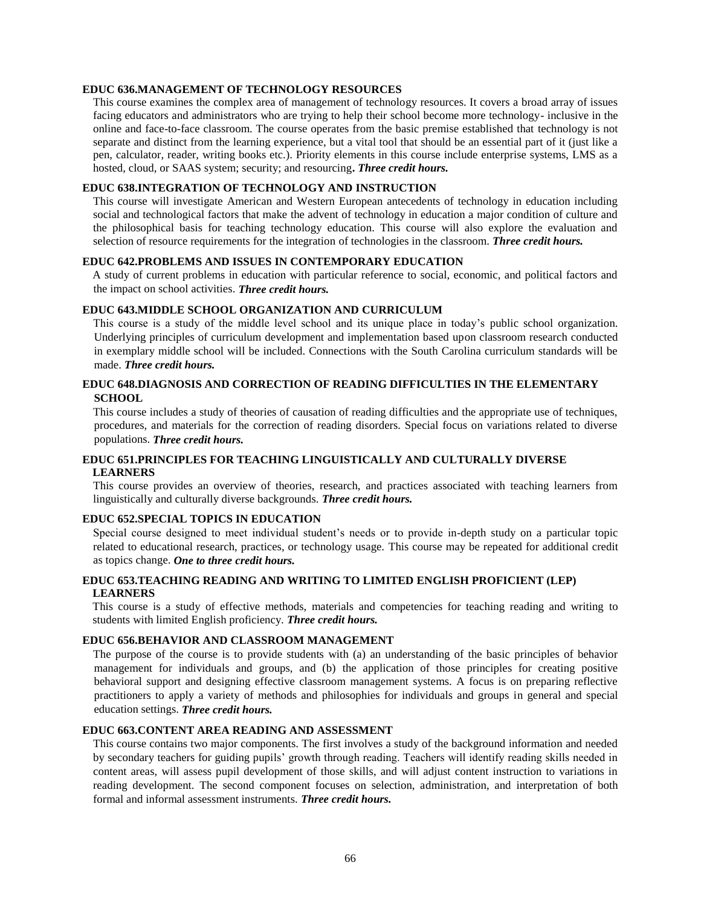## **EDUC 636.MANAGEMENT OF TECHNOLOGY RESOURCES**

This course examines the complex area of management of technology resources. It covers a broad array of issues facing educators and administrators who are trying to help their school become more technology- inclusive in the online and face-to-face classroom. The course operates from the basic premise established that technology is not separate and distinct from the learning experience, but a vital tool that should be an essential part of it (just like a pen, calculator, reader, writing books etc.). Priority elements in this course include enterprise systems, LMS as a hosted, cloud, or SAAS system; security; and resourcing**.** *Three credit hours.*

## **EDUC 638.INTEGRATION OF TECHNOLOGY AND INSTRUCTION**

This course will investigate American and Western European antecedents of technology in education including social and technological factors that make the advent of technology in education a major condition of culture and the philosophical basis for teaching technology education. This course will also explore the evaluation and selection of resource requirements for the integration of technologies in the classroom. *Three credit hours.*

## **EDUC 642.PROBLEMS AND ISSUES IN CONTEMPORARY EDUCATION**

A study of current problems in education with particular reference to social, economic, and political factors and the impact on school activities. *Three credit hours.*

## **EDUC 643.MIDDLE SCHOOL ORGANIZATION AND CURRICULUM**

This course is a study of the middle level school and its unique place in today's public school organization. Underlying principles of curriculum development and implementation based upon classroom research conducted in exemplary middle school will be included. Connections with the South Carolina curriculum standards will be made. *Three credit hours.*

## **EDUC 648.DIAGNOSIS AND CORRECTION OF READING DIFFICULTIES IN THE ELEMENTARY SCHOOL**

This course includes a study of theories of causation of reading difficulties and the appropriate use of techniques, procedures, and materials for the correction of reading disorders. Special focus on variations related to diverse populations. *Three credit hours.*

## **EDUC 651.PRINCIPLES FOR TEACHING LINGUISTICALLY AND CULTURALLY DIVERSE LEARNERS**

This course provides an overview of theories, research, and practices associated with teaching learners from linguistically and culturally diverse backgrounds. *Three credit hours.*

## **EDUC 652.SPECIAL TOPICS IN EDUCATION**

Special course designed to meet individual student's needs or to provide in-depth study on a particular topic related to educational research, practices, or technology usage. This course may be repeated for additional credit as topics change. *One to three credit hours.*

## **EDUC 653.TEACHING READING AND WRITING TO LIMITED ENGLISH PROFICIENT (LEP) LEARNERS**

This course is a study of effective methods, materials and competencies for teaching reading and writing to students with limited English proficiency. *Three credit hours.*

#### **EDUC 656.BEHAVIOR AND CLASSROOM MANAGEMENT**

The purpose of the course is to provide students with (a) an understanding of the basic principles of behavior management for individuals and groups, and (b) the application of those principles for creating positive behavioral support and designing effective classroom management systems. A focus is on preparing reflective practitioners to apply a variety of methods and philosophies for individuals and groups in general and special education settings. *Three credit hours.*

## **EDUC 663.CONTENT AREA READING AND ASSESSMENT**

This course contains two major components. The first involves a study of the background information and needed by secondary teachers for guiding pupils' growth through reading. Teachers will identify reading skills needed in content areas, will assess pupil development of those skills, and will adjust content instruction to variations in reading development. The second component focuses on selection, administration, and interpretation of both formal and informal assessment instruments. *Three credit hours.*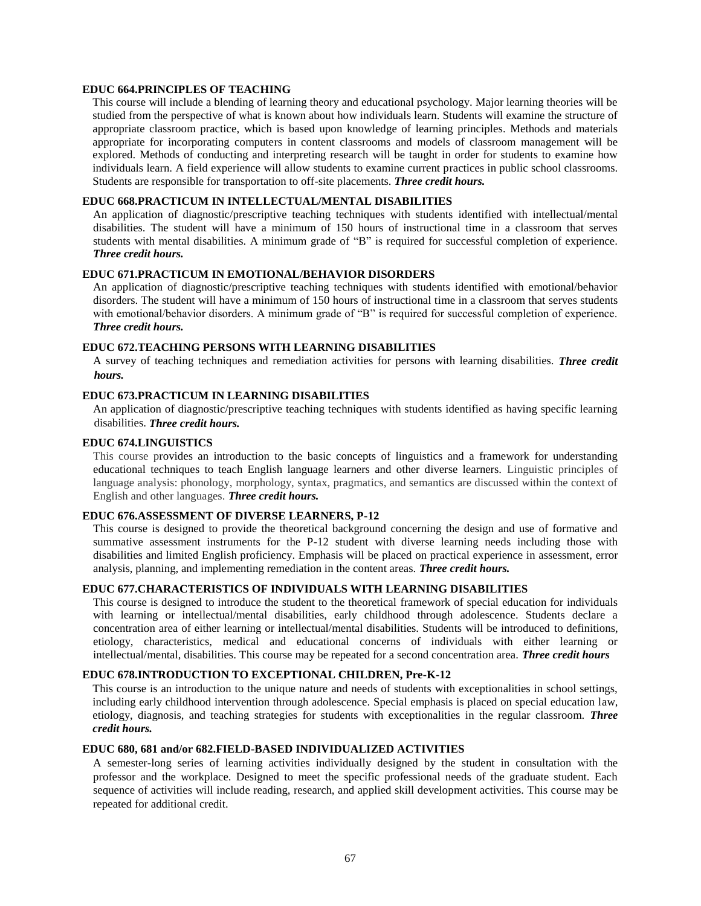## **EDUC 664.PRINCIPLES OF TEACHING**

This course will include a blending of learning theory and educational psychology. Major learning theories will be studied from the perspective of what is known about how individuals learn. Students will examine the structure of appropriate classroom practice, which is based upon knowledge of learning principles. Methods and materials appropriate for incorporating computers in content classrooms and models of classroom management will be explored. Methods of conducting and interpreting research will be taught in order for students to examine how individuals learn. A field experience will allow students to examine current practices in public school classrooms. Students are responsible for transportation to off-site placements. *Three credit hours.*

## **EDUC 668.PRACTICUM IN INTELLECTUAL/MENTAL DISABILITIES**

An application of diagnostic/prescriptive teaching techniques with students identified with intellectual/mental disabilities. The student will have a minimum of 150 hours of instructional time in a classroom that serves students with mental disabilities. A minimum grade of "B" is required for successful completion of experience. *Three credit hours.*

#### **EDUC 671.PRACTICUM IN EMOTIONAL/BEHAVIOR DISORDERS**

An application of diagnostic/prescriptive teaching techniques with students identified with emotional/behavior disorders. The student will have a minimum of 150 hours of instructional time in a classroom that serves students with emotional/behavior disorders. A minimum grade of "B" is required for successful completion of experience. *Three credit hours.*

## **EDUC 672.TEACHING PERSONS WITH LEARNING DISABILITIES**

A survey of teaching techniques and remediation activities for persons with learning disabilities. *Three credit hours.*

#### **EDUC 673.PRACTICUM IN LEARNING DISABILITIES**

An application of diagnostic/prescriptive teaching techniques with students identified as having specific learning disabilities. *Three credit hours.*

#### **EDUC 674.LINGUISTICS**

This course provides an introduction to the basic concepts of linguistics and a framework for understanding educational techniques to teach English language learners and other diverse learners. Linguistic principles of language analysis: phonology, morphology, syntax, pragmatics, and semantics are discussed within the context of English and other languages. *Three credit hours.*

#### **EDUC 676.ASSESSMENT OF DIVERSE LEARNERS, P-12**

This course is designed to provide the theoretical background concerning the design and use of formative and summative assessment instruments for the P-12 student with diverse learning needs including those with disabilities and limited English proficiency. Emphasis will be placed on practical experience in assessment, error analysis, planning, and implementing remediation in the content areas. *Three credit hours.*

#### **EDUC 677.CHARACTERISTICS OF INDIVIDUALS WITH LEARNING DISABILITIES**

This course is designed to introduce the student to the theoretical framework of special education for individuals with learning or intellectual/mental disabilities, early childhood through adolescence. Students declare a concentration area of either learning or intellectual/mental disabilities. Students will be introduced to definitions, etiology, characteristics, medical and educational concerns of individuals with either learning or intellectual/mental, disabilities. This course may be repeated for a second concentration area. *Three credit hours*

## **EDUC 678.INTRODUCTION TO EXCEPTIONAL CHILDREN, Pre-K-12**

This course is an introduction to the unique nature and needs of students with exceptionalities in school settings, including early childhood intervention through adolescence. Special emphasis is placed on special education law, etiology, diagnosis, and teaching strategies for students with exceptionalities in the regular classroom. *Three credit hours.*

## **EDUC 680, 681 and/or 682.FIELD-BASED INDIVIDUALIZED ACTIVITIES**

A semester-long series of learning activities individually designed by the student in consultation with the professor and the workplace. Designed to meet the specific professional needs of the graduate student. Each sequence of activities will include reading, research, and applied skill development activities. This course may be repeated for additional credit.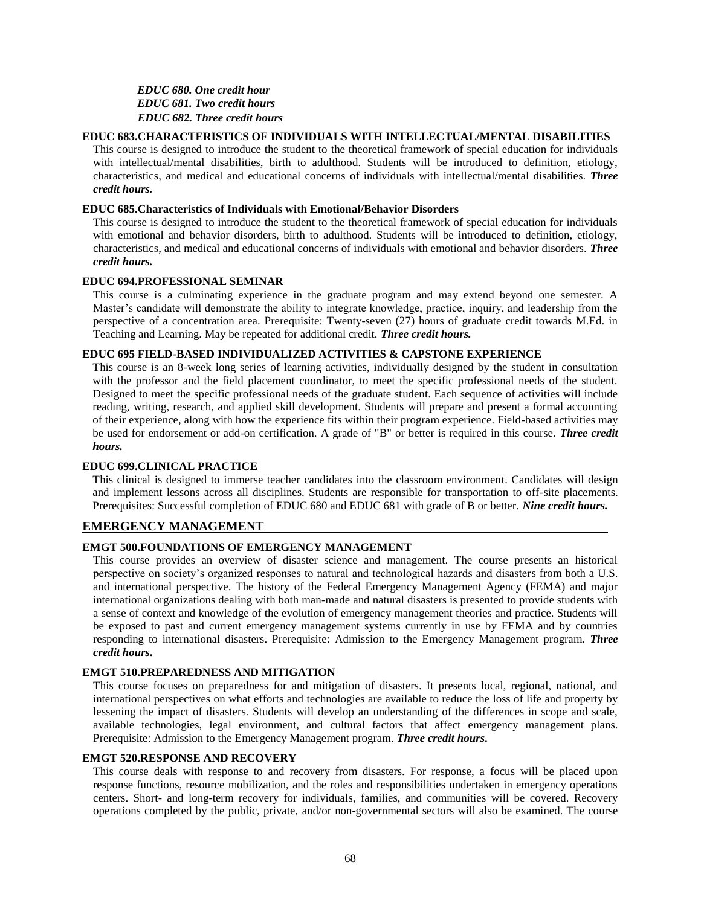*EDUC 680. One credit hour EDUC 681. Two credit hours EDUC 682. Three credit hours*

#### **EDUC 683.CHARACTERISTICS OF INDIVIDUALS WITH INTELLECTUAL/MENTAL DISABILITIES**

This course is designed to introduce the student to the theoretical framework of special education for individuals with intellectual/mental disabilities, birth to adulthood. Students will be introduced to definition, etiology, characteristics, and medical and educational concerns of individuals with intellectual/mental disabilities. *Three credit hours.*

## **EDUC 685.Characteristics of Individuals with Emotional/Behavior Disorders**

This course is designed to introduce the student to the theoretical framework of special education for individuals with emotional and behavior disorders, birth to adulthood. Students will be introduced to definition, etiology, characteristics, and medical and educational concerns of individuals with emotional and behavior disorders. *Three credit hours.*

#### **EDUC 694.PROFESSIONAL SEMINAR**

This course is a culminating experience in the graduate program and may extend beyond one semester. A Master's candidate will demonstrate the ability to integrate knowledge, practice, inquiry, and leadership from the perspective of a concentration area. Prerequisite: Twenty-seven (27) hours of graduate credit towards M.Ed. in Teaching and Learning. May be repeated for additional credit. *Three credit hours.*

#### **EDUC 695 FIELD-BASED INDIVIDUALIZED ACTIVITIES & CAPSTONE EXPERIENCE**

This course is an 8-week long series of learning activities, individually designed by the student in consultation with the professor and the field placement coordinator, to meet the specific professional needs of the student. Designed to meet the specific professional needs of the graduate student. Each sequence of activities will include reading, writing, research, and applied skill development. Students will prepare and present a formal accounting of their experience, along with how the experience fits within their program experience. Field-based activities may be used for endorsement or add-on certification. A grade of "B" or better is required in this course. *Three credit hours.*

## **EDUC 699.CLINICAL PRACTICE**

This clinical is designed to immerse teacher candidates into the classroom environment. Candidates will design and implement lessons across all disciplines. Students are responsible for transportation to off-site placements. Prerequisites: Successful completion of EDUC 680 and EDUC 681 with grade of B or better. *Nine credit hours.*

#### **EMERGENCY MANAGEMENT**

#### **EMGT 500.FOUNDATIONS OF EMERGENCY MANAGEMENT**

This course provides an overview of disaster science and management. The course presents an historical perspective on society's organized responses to natural and technological hazards and disasters from both a U.S. and international perspective. The history of the Federal Emergency Management Agency (FEMA) and major international organizations dealing with both man-made and natural disasters is presented to provide students with a sense of context and knowledge of the evolution of emergency management theories and practice. Students will be exposed to past and current emergency management systems currently in use by FEMA and by countries responding to international disasters. Prerequisite: Admission to the Emergency Management program. *Three credit hours***.**

#### **EMGT 510.PREPAREDNESS AND MITIGATION**

This course focuses on preparedness for and mitigation of disasters. It presents local, regional, national, and international perspectives on what efforts and technologies are available to reduce the loss of life and property by lessening the impact of disasters. Students will develop an understanding of the differences in scope and scale, available technologies, legal environment, and cultural factors that affect emergency management plans. Prerequisite: Admission to the Emergency Management program. *Three credit hours***.**

#### **EMGT 520.RESPONSE AND RECOVERY**

This course deals with response to and recovery from disasters. For response, a focus will be placed upon response functions, resource mobilization, and the roles and responsibilities undertaken in emergency operations centers. Short- and long-term recovery for individuals, families, and communities will be covered. Recovery operations completed by the public, private, and/or non-governmental sectors will also be examined. The course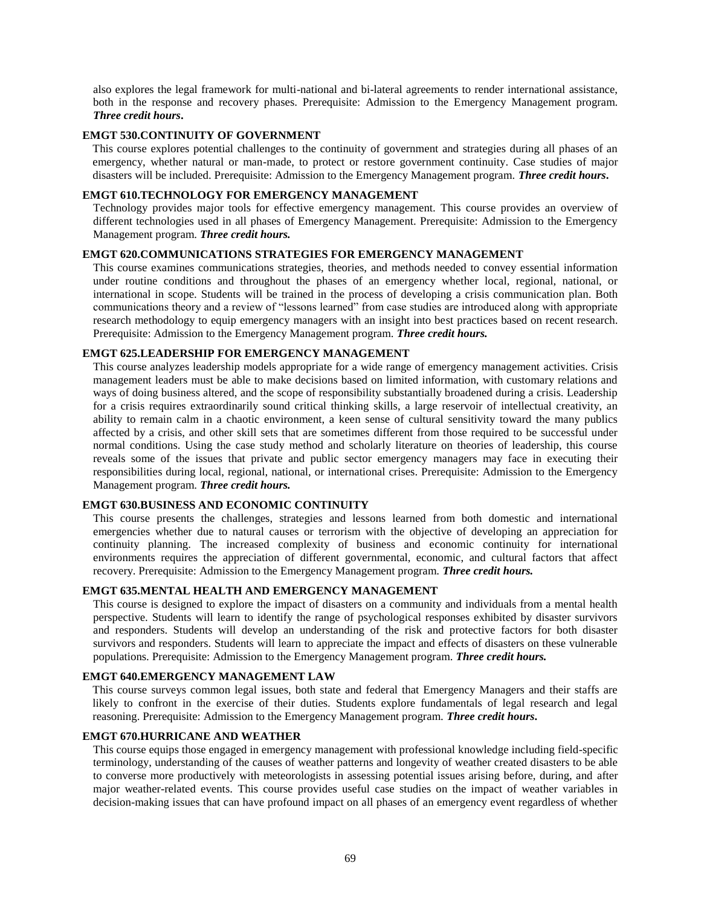also explores the legal framework for multi-national and bi-lateral agreements to render international assistance, both in the response and recovery phases. Prerequisite: Admission to the Emergency Management program. *Three credit hours***.**

#### **EMGT 530.CONTINUITY OF GOVERNMENT**

This course explores potential challenges to the continuity of government and strategies during all phases of an emergency, whether natural or man-made, to protect or restore government continuity. Case studies of major disasters will be included. Prerequisite: Admission to the Emergency Management program. *Three credit hours***.**

## **EMGT 610.TECHNOLOGY FOR EMERGENCY MANAGEMENT**

Technology provides major tools for effective emergency management. This course provides an overview of different technologies used in all phases of Emergency Management. Prerequisite: Admission to the Emergency Management program. *Three credit hours.*

## **EMGT 620.COMMUNICATIONS STRATEGIES FOR EMERGENCY MANAGEMENT**

This course examines communications strategies, theories, and methods needed to convey essential information under routine conditions and throughout the phases of an emergency whether local, regional, national, or international in scope. Students will be trained in the process of developing a crisis communication plan. Both communications theory and a review of "lessons learned" from case studies are introduced along with appropriate research methodology to equip emergency managers with an insight into best practices based on recent research. Prerequisite: Admission to the Emergency Management program. *Three credit hours.*

## **EMGT 625.LEADERSHIP FOR EMERGENCY MANAGEMENT**

This course analyzes leadership models appropriate for a wide range of emergency management activities. Crisis management leaders must be able to make decisions based on limited information, with customary relations and ways of doing business altered, and the scope of responsibility substantially broadened during a crisis. Leadership for a crisis requires extraordinarily sound critical thinking skills, a large reservoir of intellectual creativity, an ability to remain calm in a chaotic environment, a keen sense of cultural sensitivity toward the many publics affected by a crisis, and other skill sets that are sometimes different from those required to be successful under normal conditions. Using the case study method and scholarly literature on theories of leadership, this course reveals some of the issues that private and public sector emergency managers may face in executing their responsibilities during local, regional, national, or international crises. Prerequisite: Admission to the Emergency Management program. *Three credit hours.*

#### **EMGT 630.BUSINESS AND ECONOMIC CONTINUITY**

This course presents the challenges, strategies and lessons learned from both domestic and international emergencies whether due to natural causes or terrorism with the objective of developing an appreciation for continuity planning. The increased complexity of business and economic continuity for international environments requires the appreciation of different governmental, economic, and cultural factors that affect recovery. Prerequisite: Admission to the Emergency Management program. *Three credit hours.*

#### **EMGT 635.MENTAL HEALTH AND EMERGENCY MANAGEMENT**

This course is designed to explore the impact of disasters on a community and individuals from a mental health perspective. Students will learn to identify the range of psychological responses exhibited by disaster survivors and responders. Students will develop an understanding of the risk and protective factors for both disaster survivors and responders. Students will learn to appreciate the impact and effects of disasters on these vulnerable populations. Prerequisite: Admission to the Emergency Management program. *Three credit hours.*

#### **EMGT 640.EMERGENCY MANAGEMENT LAW**

This course surveys common legal issues, both state and federal that Emergency Managers and their staffs are likely to confront in the exercise of their duties. Students explore fundamentals of legal research and legal reasoning. Prerequisite: Admission to the Emergency Management program. *Three credit hours***.**

## **EMGT 670.HURRICANE AND WEATHER**

This course equips those engaged in emergency management with professional knowledge including field-specific terminology, understanding of the causes of weather patterns and longevity of weather created disasters to be able to converse more productively with meteorologists in assessing potential issues arising before, during, and after major weather-related events. This course provides useful case studies on the impact of weather variables in decision-making issues that can have profound impact on all phases of an emergency event regardless of whether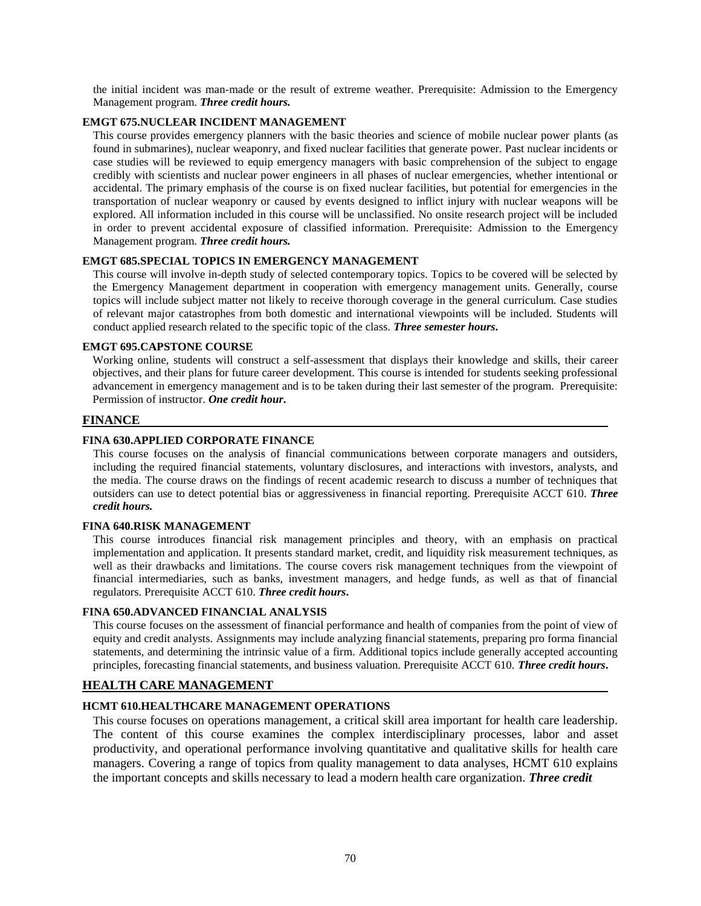the initial incident was man-made or the result of extreme weather. Prerequisite: Admission to the Emergency Management program. *Three credit hours.*

## **EMGT 675.NUCLEAR INCIDENT MANAGEMENT**

This course provides emergency planners with the basic theories and science of mobile nuclear power plants (as found in submarines), nuclear weaponry, and fixed nuclear facilities that generate power. Past nuclear incidents or case studies will be reviewed to equip emergency managers with basic comprehension of the subject to engage credibly with scientists and nuclear power engineers in all phases of nuclear emergencies, whether intentional or accidental. The primary emphasis of the course is on fixed nuclear facilities, but potential for emergencies in the transportation of nuclear weaponry or caused by events designed to inflict injury with nuclear weapons will be explored. All information included in this course will be unclassified. No onsite research project will be included in order to prevent accidental exposure of classified information. Prerequisite: Admission to the Emergency Management program. *Three credit hours.*

## **EMGT 685.SPECIAL TOPICS IN EMERGENCY MANAGEMENT**

This course will involve in-depth study of selected contemporary topics. Topics to be covered will be selected by the Emergency Management department in cooperation with emergency management units. Generally, course topics will include subject matter not likely to receive thorough coverage in the general curriculum. Case studies of relevant major catastrophes from both domestic and international viewpoints will be included. Students will conduct applied research related to the specific topic of the class. *Three semester hours***.**

## **EMGT 695.CAPSTONE COURSE**

Working online, students will construct a self-assessment that displays their knowledge and skills, their career objectives, and their plans for future career development. This course is intended for students seeking professional advancement in emergency management and is to be taken during their last semester of the program. Prerequisite: Permission of instructor. *One credit hour***.**

## **FINANCE**

## **FINA 630.APPLIED CORPORATE FINANCE**

This course focuses on the analysis of financial communications between corporate managers and outsiders, including the required financial statements, voluntary disclosures, and interactions with investors, analysts, and the media. The course draws on the findings of recent academic research to discuss a number of techniques that outsiders can use to detect potential bias or aggressiveness in financial reporting. Prerequisite ACCT 610. *Three credit hours.*

#### **FINA 640.RISK MANAGEMENT**

This course introduces financial risk management principles and theory, with an emphasis on practical implementation and application. It presents standard market, credit, and liquidity risk measurement techniques, as well as their drawbacks and limitations. The course covers risk management techniques from the viewpoint of financial intermediaries, such as banks, investment managers, and hedge funds, as well as that of financial regulators. Prerequisite ACCT 610. *Three credit hours***.**

#### **FINA 650.ADVANCED FINANCIAL ANALYSIS**

This course focuses on the assessment of financial performance and health of companies from the point of view of equity and credit analysts. Assignments may include analyzing financial statements, preparing pro forma financial statements, and determining the intrinsic value of a firm. Additional topics include generally accepted accounting principles, forecasting financial statements, and business valuation. Prerequisite ACCT 610. *Three credit hours***.**

## **HEALTH CARE MANAGEMENT**

#### **HCMT 610.HEALTHCARE MANAGEMENT OPERATIONS**

This course focuses on operations management, a critical skill area important for health care leadership. The content of this course examines the complex interdisciplinary processes, labor and asset productivity, and operational performance involving quantitative and qualitative skills for health care managers. Covering a range of topics from quality management to data analyses, HCMT 610 explains the important concepts and skills necessary to lead a modern health care organization. *Three credit*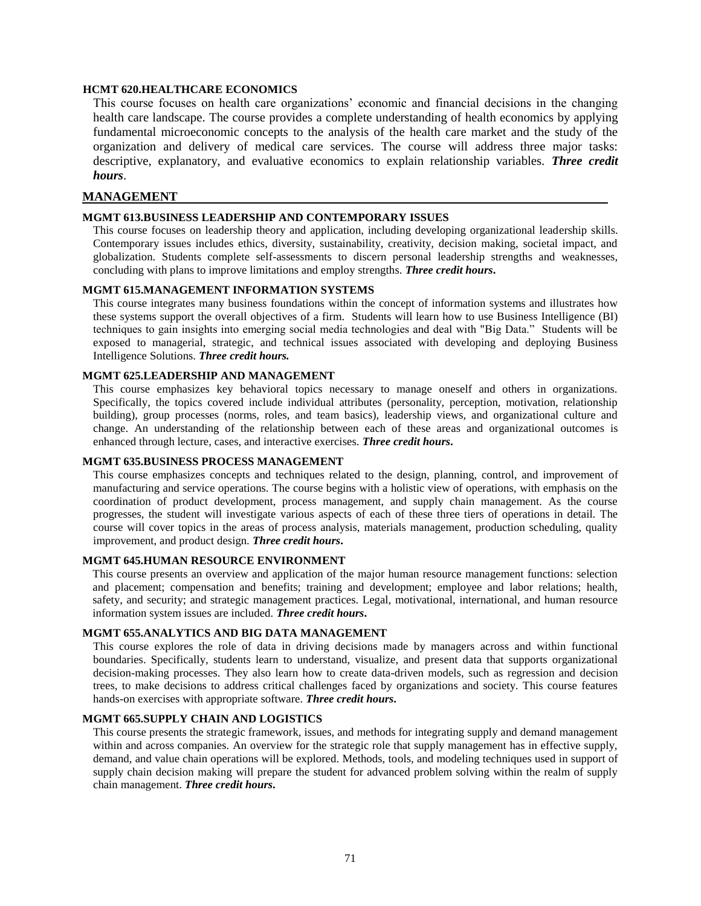## **HCMT 620.HEALTHCARE ECONOMICS**

This course focuses on health care organizations' economic and financial decisions in the changing health care landscape. The course provides a complete understanding of health economics by applying fundamental microeconomic concepts to the analysis of the health care market and the study of the organization and delivery of medical care services. The course will address three major tasks: descriptive, explanatory, and evaluative economics to explain relationship variables. *Three credit hours*.

#### **MANAGEMENT**

#### **MGMT 613.BUSINESS LEADERSHIP AND CONTEMPORARY ISSUES**

This course focuses on leadership theory and application, including developing organizational leadership skills. Contemporary issues includes ethics, diversity, sustainability, creativity, decision making, societal impact, and globalization. Students complete self-assessments to discern personal leadership strengths and weaknesses, concluding with plans to improve limitations and employ strengths. *Three credit hours***.**

## **MGMT 615.MANAGEMENT INFORMATION SYSTEMS**

This course integrates many business foundations within the concept of information systems and illustrates how these systems support the overall objectives of a firm. Students will learn how to use Business Intelligence (BI) techniques to gain insights into emerging social media technologies and deal with "Big Data." Students will be exposed to managerial, strategic, and technical issues associated with developing and deploying Business Intelligence Solutions. *Three credit hours.*

## **MGMT 625.LEADERSHIP AND MANAGEMENT**

This course emphasizes key behavioral topics necessary to manage oneself and others in organizations. Specifically, the topics covered include individual attributes (personality, perception, motivation, relationship building), group processes (norms, roles, and team basics), leadership views, and organizational culture and change. An understanding of the relationship between each of these areas and organizational outcomes is enhanced through lecture, cases, and interactive exercises. *Three credit hours***.**

#### **MGMT 635.BUSINESS PROCESS MANAGEMENT**

This course emphasizes concepts and techniques related to the design, planning, control, and improvement of manufacturing and service operations. The course begins with a holistic view of operations, with emphasis on the coordination of product development, process management, and supply chain management. As the course progresses, the student will investigate various aspects of each of these three tiers of operations in detail. The course will cover topics in the areas of process analysis, materials management, production scheduling, quality improvement, and product design. *Three credit hours***.**

## **MGMT 645.HUMAN RESOURCE ENVIRONMENT**

This course presents an overview and application of the major human resource management functions: selection and placement; compensation and benefits; training and development; employee and labor relations; health, safety, and security; and strategic management practices. Legal, motivational, international, and human resource information system issues are included. *Three credit hours***.**

## **MGMT 655.ANALYTICS AND BIG DATA MANAGEMENT**

This course explores the role of data in driving decisions made by managers across and within functional boundaries. Specifically, students learn to understand, visualize, and present data that supports organizational decision-making processes. They also learn how to create data-driven models, such as regression and decision trees, to make decisions to address critical challenges faced by organizations and society. This course features hands-on exercises with appropriate software. *Three credit hours***.**

## **MGMT 665.SUPPLY CHAIN AND LOGISTICS**

This course presents the strategic framework, issues, and methods for integrating supply and demand management within and across companies. An overview for the strategic role that supply management has in effective supply, demand, and value chain operations will be explored. Methods, tools, and modeling techniques used in support of supply chain decision making will prepare the student for advanced problem solving within the realm of supply chain management. *Three credit hours***.**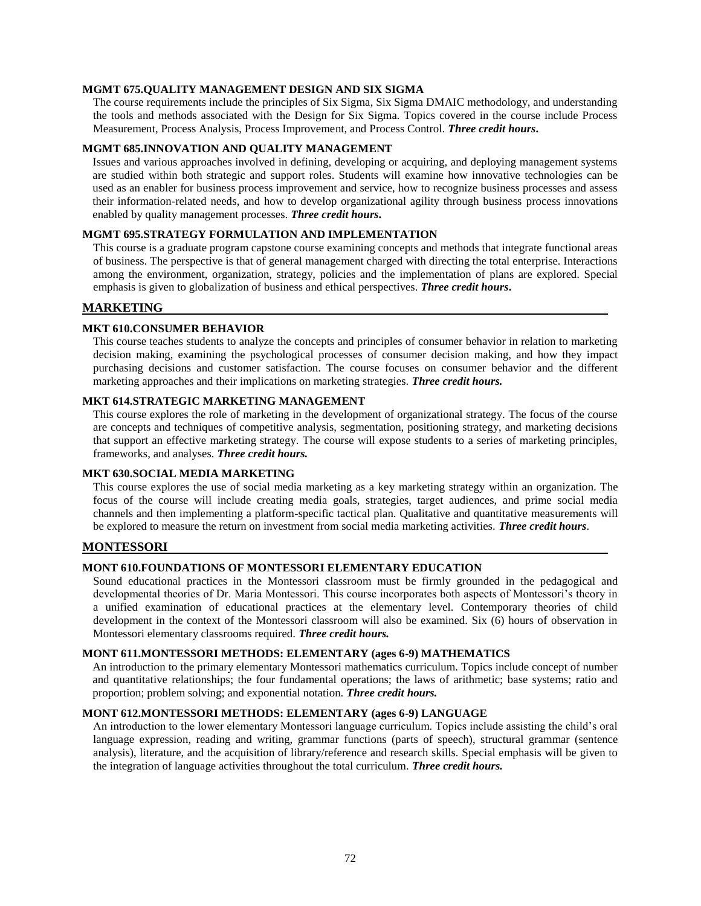## **MGMT 675.QUALITY MANAGEMENT DESIGN AND SIX SIGMA**

The course requirements include the principles of Six Sigma, Six Sigma DMAIC methodology, and understanding the tools and methods associated with the Design for Six Sigma. Topics covered in the course include Process Measurement, Process Analysis, Process Improvement, and Process Control. *Three credit hours***.**

## **MGMT 685.INNOVATION AND QUALITY MANAGEMENT**

Issues and various approaches involved in defining, developing or acquiring, and deploying management systems are studied within both strategic and support roles. Students will examine how innovative technologies can be used as an enabler for business process improvement and service, how to recognize business processes and assess their information-related needs, and how to develop organizational agility through business process innovations enabled by quality management processes. *Three credit hours***.**

## **MGMT 695.STRATEGY FORMULATION AND IMPLEMENTATION**

This course is a graduate program capstone course examining concepts and methods that integrate functional areas of business. The perspective is that of general management charged with directing the total enterprise. Interactions among the environment, organization, strategy, policies and the implementation of plans are explored. Special emphasis is given to globalization of business and ethical perspectives. *Three credit hours***.**

#### **MARKETING**

#### **MKT 610.CONSUMER BEHAVIOR**

This course teaches students to analyze the concepts and principles of consumer behavior in relation to marketing decision making, examining the psychological processes of consumer decision making, and how they impact purchasing decisions and customer satisfaction. The course focuses on consumer behavior and the different marketing approaches and their implications on marketing strategies. *Three credit hours.*

#### **MKT 614.STRATEGIC MARKETING MANAGEMENT**

This course explores the role of marketing in the development of organizational strategy. The focus of the course are concepts and techniques of competitive analysis, segmentation, positioning strategy, and marketing decisions that support an effective marketing strategy. The course will expose students to a series of marketing principles, frameworks, and analyses. *Three credit hours.*

#### **MKT 630.SOCIAL MEDIA MARKETING**

This course explores the use of social media marketing as a key marketing strategy within an organization. The focus of the course will include creating media goals, strategies, target audiences, and prime social media channels and then implementing a platform-specific tactical plan. Qualitative and quantitative measurements will be explored to measure the return on investment from social media marketing activities. *Three credit hours*.

#### **MONTESSORI**

## **MONT 610.FOUNDATIONS OF MONTESSORI ELEMENTARY EDUCATION**

Sound educational practices in the Montessori classroom must be firmly grounded in the pedagogical and developmental theories of Dr. Maria Montessori. This course incorporates both aspects of Montessori's theory in a unified examination of educational practices at the elementary level. Contemporary theories of child development in the context of the Montessori classroom will also be examined. Six (6) hours of observation in Montessori elementary classrooms required. *Three credit hours.*

#### **MONT 611.MONTESSORI METHODS: ELEMENTARY (ages 6-9) MATHEMATICS**

An introduction to the primary elementary Montessori mathematics curriculum. Topics include concept of number and quantitative relationships; the four fundamental operations; the laws of arithmetic; base systems; ratio and proportion; problem solving; and exponential notation. *Three credit hours.*

## **MONT 612.MONTESSORI METHODS: ELEMENTARY (ages 6-9) LANGUAGE**

An introduction to the lower elementary Montessori language curriculum. Topics include assisting the child's oral language expression, reading and writing, grammar functions (parts of speech), structural grammar (sentence analysis), literature, and the acquisition of library/reference and research skills. Special emphasis will be given to the integration of language activities throughout the total curriculum. *Three credit hours.*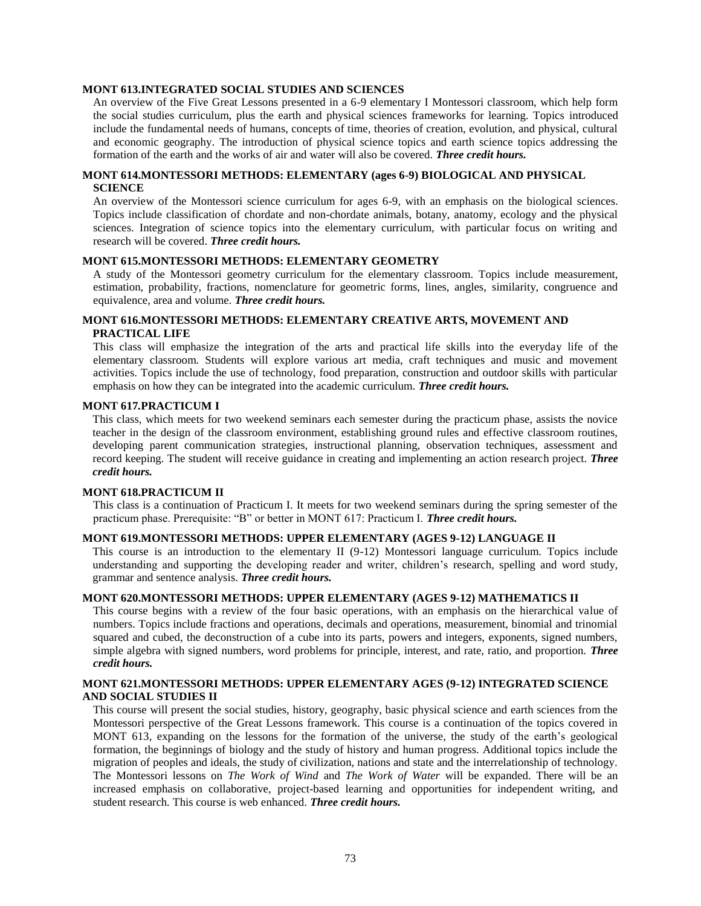## **MONT 613.INTEGRATED SOCIAL STUDIES AND SCIENCES**

An overview of the Five Great Lessons presented in a 6-9 elementary I Montessori classroom, which help form the social studies curriculum, plus the earth and physical sciences frameworks for learning. Topics introduced include the fundamental needs of humans, concepts of time, theories of creation, evolution, and physical, cultural and economic geography. The introduction of physical science topics and earth science topics addressing the formation of the earth and the works of air and water will also be covered. *Three credit hours.*

## **MONT 614.MONTESSORI METHODS: ELEMENTARY (ages 6-9) BIOLOGICAL AND PHYSICAL SCIENCE**

An overview of the Montessori science curriculum for ages 6-9, with an emphasis on the biological sciences. Topics include classification of chordate and non-chordate animals, botany, anatomy, ecology and the physical sciences. Integration of science topics into the elementary curriculum, with particular focus on writing and research will be covered. *Three credit hours.*

#### **MONT 615.MONTESSORI METHODS: ELEMENTARY GEOMETRY**

A study of the Montessori geometry curriculum for the elementary classroom. Topics include measurement, estimation, probability, fractions, nomenclature for geometric forms, lines, angles, similarity, congruence and equivalence, area and volume. *Three credit hours.*

## **MONT 616.MONTESSORI METHODS: ELEMENTARY CREATIVE ARTS, MOVEMENT AND PRACTICAL LIFE**

This class will emphasize the integration of the arts and practical life skills into the everyday life of the elementary classroom. Students will explore various art media, craft techniques and music and movement activities. Topics include the use of technology, food preparation, construction and outdoor skills with particular emphasis on how they can be integrated into the academic curriculum. *Three credit hours.*

#### **MONT 617***.***PRACTICUM I**

This class, which meets for two weekend seminars each semester during the practicum phase, assists the novice teacher in the design of the classroom environment, establishing ground rules and effective classroom routines, developing parent communication strategies, instructional planning, observation techniques, assessment and record keeping. The student will receive guidance in creating and implementing an action research project. *Three credit hours.*

#### **MONT 618.PRACTICUM II**

This class is a continuation of Practicum I. It meets for two weekend seminars during the spring semester of the practicum phase. Prerequisite: "B" or better in MONT 617: Practicum I. *Three credit hours.*

## **MONT 619.MONTESSORI METHODS: UPPER ELEMENTARY (AGES 9-12) LANGUAGE II**

This course is an introduction to the elementary II (9-12) Montessori language curriculum. Topics include understanding and supporting the developing reader and writer, children's research, spelling and word study, grammar and sentence analysis. *Three credit hours.*

## **MONT 620.MONTESSORI METHODS: UPPER ELEMENTARY (AGES 9-12) MATHEMATICS II**

This course begins with a review of the four basic operations, with an emphasis on the hierarchical value of numbers. Topics include fractions and operations, decimals and operations, measurement, binomial and trinomial squared and cubed, the deconstruction of a cube into its parts, powers and integers, exponents, signed numbers, simple algebra with signed numbers, word problems for principle, interest, and rate, ratio, and proportion. *Three credit hours.*

### **MONT 621.MONTESSORI METHODS: UPPER ELEMENTARY AGES (9-12) INTEGRATED SCIENCE AND SOCIAL STUDIES II**

This course will present the social studies, history, geography, basic physical science and earth sciences from the Montessori perspective of the Great Lessons framework. This course is a continuation of the topics covered in MONT 613, expanding on the lessons for the formation of the universe, the study of the earth's geological formation, the beginnings of biology and the study of history and human progress. Additional topics include the migration of peoples and ideals, the study of civilization, nations and state and the interrelationship of technology. The Montessori lessons on *The Work of Wind* and *The Work of Water* will be expanded. There will be an increased emphasis on collaborative, project-based learning and opportunities for independent writing, and student research*.* This course is web enhanced. *Three credit hours.*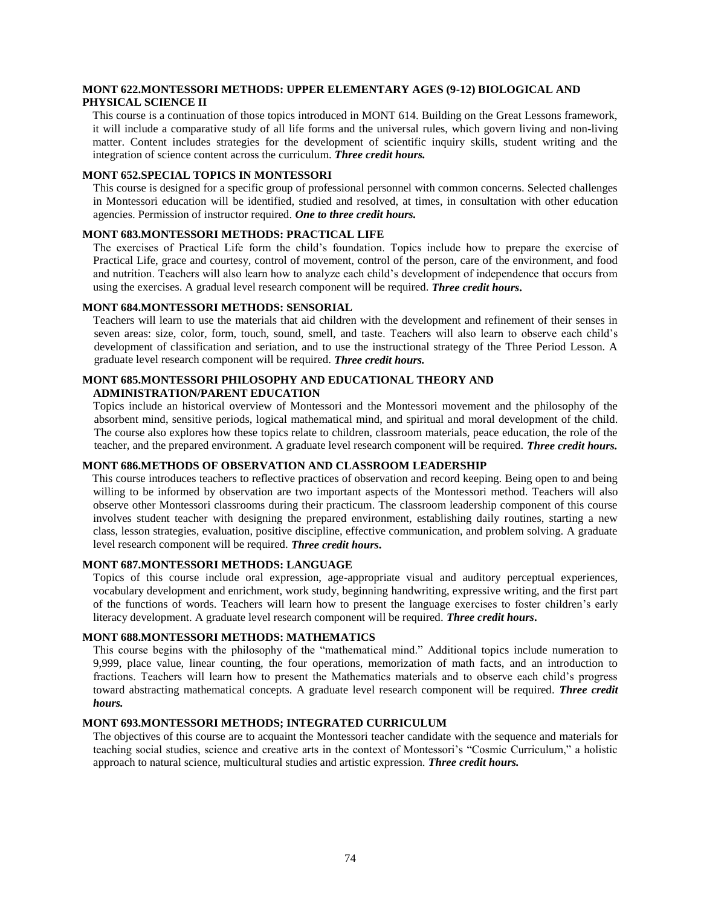## **MONT 622.MONTESSORI METHODS: UPPER ELEMENTARY AGES (9-12) BIOLOGICAL AND PHYSICAL SCIENCE II**

This course is a continuation of those topics introduced in MONT 614. Building on the Great Lessons framework, it will include a comparative study of all life forms and the universal rules, which govern living and non-living matter. Content includes strategies for the development of scientific inquiry skills, student writing and the integration of science content across the curriculum. *Three credit hours.*

#### **MONT 652.SPECIAL TOPICS IN MONTESSORI**

This course is designed for a specific group of professional personnel with common concerns. Selected challenges in Montessori education will be identified, studied and resolved, at times, in consultation with other education agencies. Permission of instructor required. *One to three credit hours.*

## **MONT 683.MONTESSORI METHODS: PRACTICAL LIFE**

The exercises of Practical Life form the child's foundation. Topics include how to prepare the exercise of Practical Life, grace and courtesy, control of movement, control of the person, care of the environment, and food and nutrition. Teachers will also learn how to analyze each child's development of independence that occurs from using the exercises. A gradual level research component will be required. *Three credit hours***.**

## **MONT 684.MONTESSORI METHODS: SENSORIAL**

Teachers will learn to use the materials that aid children with the development and refinement of their senses in seven areas: size, color, form, touch, sound, smell, and taste. Teachers will also learn to observe each child's development of classification and seriation, and to use the instructional strategy of the Three Period Lesson. A graduate level research component will be required. *Three credit hours.*

## **MONT 685.MONTESSORI PHILOSOPHY AND EDUCATIONAL THEORY AND ADMINISTRATION/PARENT EDUCATION**

Topics include an historical overview of Montessori and the Montessori movement and the philosophy of the absorbent mind, sensitive periods, logical mathematical mind, and spiritual and moral development of the child. The course also explores how these topics relate to children, classroom materials, peace education, the role of the teacher, and the prepared environment. A graduate level research component will be required. *Three credit hours.*

### **MONT 686.METHODS OF OBSERVATION AND CLASSROOM LEADERSHIP**

This course introduces teachers to reflective practices of observation and record keeping. Being open to and being willing to be informed by observation are two important aspects of the Montessori method. Teachers will also observe other Montessori classrooms during their practicum. The classroom leadership component of this course involves student teacher with designing the prepared environment, establishing daily routines, starting a new class, lesson strategies, evaluation, positive discipline, effective communication, and problem solving. A graduate level research component will be required. *Three credit hours***.**

## **MONT 687.MONTESSORI METHODS: LANGUAGE**

Topics of this course include oral expression, age-appropriate visual and auditory perceptual experiences, vocabulary development and enrichment, work study, beginning handwriting, expressive writing, and the first part of the functions of words. Teachers will learn how to present the language exercises to foster children's early literacy development. A graduate level research component will be required. *Three credit hours***.**

#### **MONT 688.MONTESSORI METHODS: MATHEMATICS**

This course begins with the philosophy of the "mathematical mind." Additional topics include numeration to 9,999, place value, linear counting, the four operations, memorization of math facts, and an introduction to fractions. Teachers will learn how to present the Mathematics materials and to observe each child's progress toward abstracting mathematical concepts. A graduate level research component will be required. *Three credit hours.*

## **MONT 693.MONTESSORI METHODS; INTEGRATED CURRICULUM**

The objectives of this course are to acquaint the Montessori teacher candidate with the sequence and materials for teaching social studies, science and creative arts in the context of Montessori's "Cosmic Curriculum," a holistic approach to natural science, multicultural studies and artistic expression. *Three credit hours.*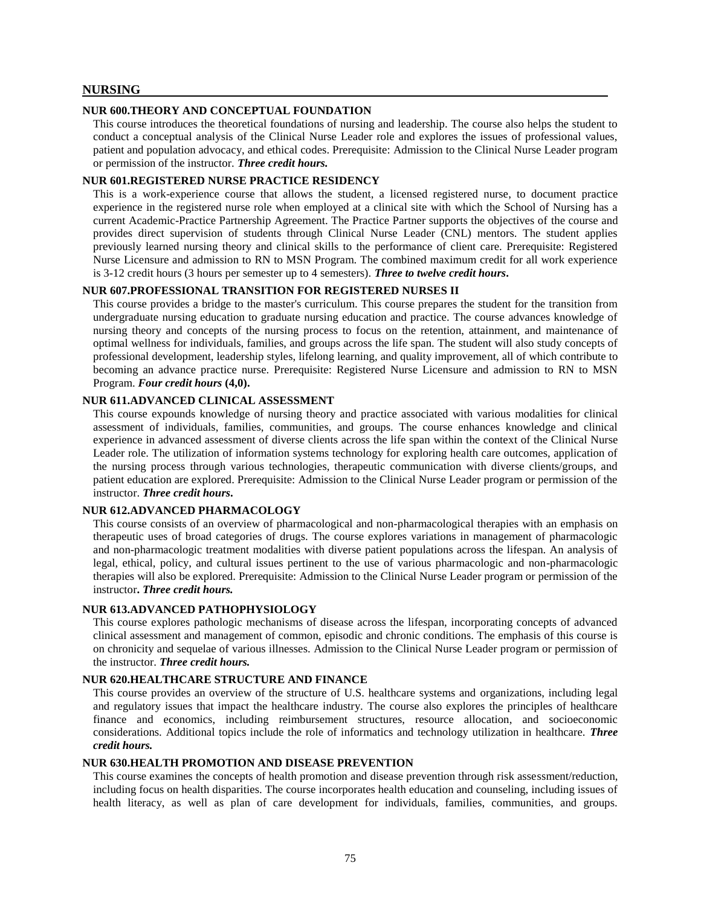#### **NURSING**

#### **NUR 600.THEORY AND CONCEPTUAL FOUNDATION**

This course introduces the theoretical foundations of nursing and leadership. The course also helps the student to conduct a conceptual analysis of the Clinical Nurse Leader role and explores the issues of professional values, patient and population advocacy, and ethical codes. Prerequisite: Admission to the Clinical Nurse Leader program or permission of the instructor. *Three credit hours.*

#### **NUR 601.REGISTERED NURSE PRACTICE RESIDENCY**

This is a work-experience course that allows the student, a licensed registered nurse, to document practice experience in the registered nurse role when employed at a clinical site with which the School of Nursing has a current Academic-Practice Partnership Agreement. The Practice Partner supports the objectives of the course and provides direct supervision of students through Clinical Nurse Leader (CNL) mentors. The student applies previously learned nursing theory and clinical skills to the performance of client care. Prerequisite: Registered Nurse Licensure and admission to RN to MSN Program. The combined maximum credit for all work experience is 3-12 credit hours (3 hours per semester up to 4 semesters). *Three to twelve credit hours***.**

## **NUR 607.PROFESSIONAL TRANSITION FOR REGISTERED NURSES II**

This course provides a bridge to the master's curriculum. This course prepares the student for the transition from undergraduate nursing education to graduate nursing education and practice. The course advances knowledge of nursing theory and concepts of the nursing process to focus on the retention, attainment, and maintenance of optimal wellness for individuals, families, and groups across the life span. The student will also study concepts of professional development, leadership styles, lifelong learning, and quality improvement, all of which contribute to becoming an advance practice nurse. Prerequisite: Registered Nurse Licensure and admission to RN to MSN Program. *Four credit hours* **(4,0).**

#### **NUR 611.ADVANCED CLINICAL ASSESSMENT**

This course expounds knowledge of nursing theory and practice associated with various modalities for clinical assessment of individuals, families, communities, and groups. The course enhances knowledge and clinical experience in advanced assessment of diverse clients across the life span within the context of the Clinical Nurse Leader role. The utilization of information systems technology for exploring health care outcomes, application of the nursing process through various technologies, therapeutic communication with diverse clients/groups, and patient education are explored. Prerequisite: Admission to the Clinical Nurse Leader program or permission of the instructor. *Three credit hours***.**

## **NUR 612.ADVANCED PHARMACOLOGY**

This course consists of an overview of pharmacological and non-pharmacological therapies with an emphasis on therapeutic uses of broad categories of drugs. The course explores variations in management of pharmacologic and non-pharmacologic treatment modalities with diverse patient populations across the lifespan. An analysis of legal, ethical, policy, and cultural issues pertinent to the use of various pharmacologic and non-pharmacologic therapies will also be explored. Prerequisite: Admission to the Clinical Nurse Leader program or permission of the instructor**.** *Three credit hours.*

#### **NUR 613.ADVANCED PATHOPHYSIOLOGY**

This course explores pathologic mechanisms of disease across the lifespan, incorporating concepts of advanced clinical assessment and management of common, episodic and chronic conditions. The emphasis of this course is on chronicity and sequelae of various illnesses. Admission to the Clinical Nurse Leader program or permission of the instructor. *Three credit hours.*

#### **NUR 620.HEALTHCARE STRUCTURE AND FINANCE**

This course provides an overview of the structure of U.S. healthcare systems and organizations, including legal and regulatory issues that impact the healthcare industry. The course also explores the principles of healthcare finance and economics, including reimbursement structures, resource allocation, and socioeconomic considerations. Additional topics include the role of informatics and technology utilization in healthcare. *Three credit hours.*

#### **NUR 630.HEALTH PROMOTION AND DISEASE PREVENTION**

This course examines the concepts of health promotion and disease prevention through risk assessment/reduction, including focus on health disparities. The course incorporates health education and counseling, including issues of health literacy, as well as plan of care development for individuals, families, communities, and groups.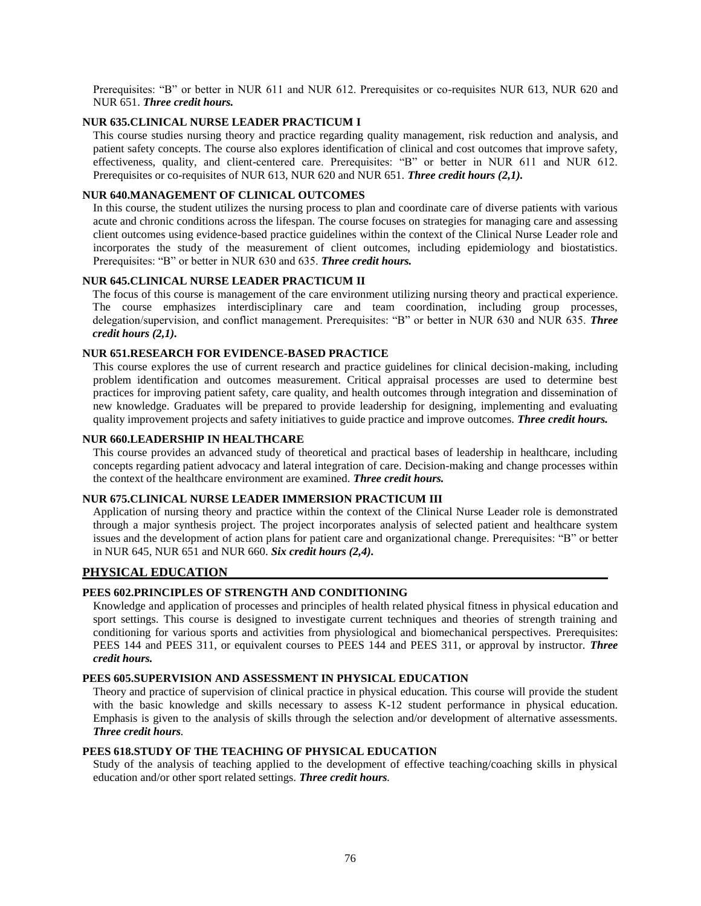Prerequisites: "B" or better in NUR 611 and NUR 612. Prerequisites or co-requisites NUR 613, NUR 620 and NUR 651. *Three credit hours.*

## **NUR 635.CLINICAL NURSE LEADER PRACTICUM I**

This course studies nursing theory and practice regarding quality management, risk reduction and analysis, and patient safety concepts. The course also explores identification of clinical and cost outcomes that improve safety, effectiveness, quality, and client-centered care. Prerequisites: "B" or better in NUR 611 and NUR 612. Prerequisites or co-requisites of NUR 613, NUR 620 and NUR 651. *Three credit hours (2,1).*

## **NUR 640.MANAGEMENT OF CLINICAL OUTCOMES**

In this course, the student utilizes the nursing process to plan and coordinate care of diverse patients with various acute and chronic conditions across the lifespan. The course focuses on strategies for managing care and assessing client outcomes using evidence-based practice guidelines within the context of the Clinical Nurse Leader role and incorporates the study of the measurement of client outcomes, including epidemiology and biostatistics. Prerequisites: "B" or better in NUR 630 and 635. *Three credit hours.*

### **NUR 645.CLINICAL NURSE LEADER PRACTICUM II**

The focus of this course is management of the care environment utilizing nursing theory and practical experience. The course emphasizes interdisciplinary care and team coordination, including group processes, delegation/supervision, and conflict management. Prerequisites: "B" or better in NUR 630 and NUR 635. *Three credit hours (2,1).*

## **NUR 651.RESEARCH FOR EVIDENCE-BASED PRACTICE**

This course explores the use of current research and practice guidelines for clinical decision-making, including problem identification and outcomes measurement. Critical appraisal processes are used to determine best practices for improving patient safety, care quality, and health outcomes through integration and dissemination of new knowledge. Graduates will be prepared to provide leadership for designing, implementing and evaluating quality improvement projects and safety initiatives to guide practice and improve outcomes. *Three credit hours.*

#### **NUR 660.LEADERSHIP IN HEALTHCARE**

This course provides an advanced study of theoretical and practical bases of leadership in healthcare, including concepts regarding patient advocacy and lateral integration of care. Decision-making and change processes within the context of the healthcare environment are examined. *Three credit hours.*

## **NUR 675.CLINICAL NURSE LEADER IMMERSION PRACTICUM III**

Application of nursing theory and practice within the context of the Clinical Nurse Leader role is demonstrated through a major synthesis project. The project incorporates analysis of selected patient and healthcare system issues and the development of action plans for patient care and organizational change. Prerequisites: "B" or better in NUR 645, NUR 651 and NUR 660. *Six credit hours (2,4).*

## **PHYSICAL EDUCATION**

# **PEES 602.PRINCIPLES OF STRENGTH AND CONDITIONING**

Knowledge and application of processes and principles of health related physical fitness in physical education and sport settings. This course is designed to investigate current techniques and theories of strength training and conditioning for various sports and activities from physiological and biomechanical perspectives. Prerequisites: PEES 144 and PEES 311, or equivalent courses to PEES 144 and PEES 311, or approval by instructor. *Three credit hours.*

## **PEES 605.SUPERVISION AND ASSESSMENT IN PHYSICAL EDUCATION**

Theory and practice of supervision of clinical practice in physical education. This course will provide the student with the basic knowledge and skills necessary to assess K-12 student performance in physical education. Emphasis is given to the analysis of skills through the selection and/or development of alternative assessments. *Three credit hours.*

## **PEES 618.STUDY OF THE TEACHING OF PHYSICAL EDUCATION**

Study of the analysis of teaching applied to the development of effective teaching/coaching skills in physical education and/or other sport related settings. *Three credit hours.*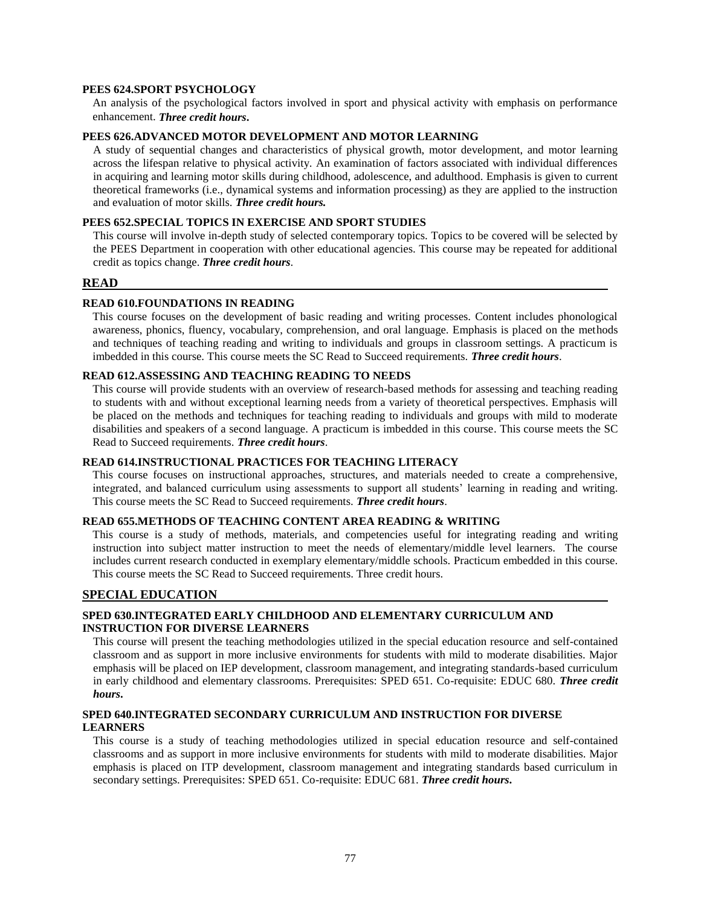## **PEES 624.SPORT PSYCHOLOGY**

An analysis of the psychological factors involved in sport and physical activity with emphasis on performance enhancement. *Three credit hours***.**

## **PEES 626.ADVANCED MOTOR DEVELOPMENT AND MOTOR LEARNING**

A study of sequential changes and characteristics of physical growth, motor development, and motor learning across the lifespan relative to physical activity. An examination of factors associated with individual differences in acquiring and learning motor skills during childhood, adolescence, and adulthood. Emphasis is given to current theoretical frameworks (i.e., dynamical systems and information processing) as they are applied to the instruction and evaluation of motor skills. *Three credit hours.*

#### **PEES 652.SPECIAL TOPICS IN EXERCISE AND SPORT STUDIES**

This course will involve in-depth study of selected contemporary topics. Topics to be covered will be selected by the PEES Department in cooperation with other educational agencies. This course may be repeated for additional credit as topics change. *Three credit hours*.

#### **READ**

#### **READ 610.FOUNDATIONS IN READING**

This course focuses on the development of basic reading and writing processes. Content includes phonological awareness, phonics, fluency, vocabulary, comprehension, and oral language. Emphasis is placed on the methods and techniques of teaching reading and writing to individuals and groups in classroom settings. A practicum is imbedded in this course. This course meets the SC Read to Succeed requirements. *Three credit hours*.

## **READ 612.ASSESSING AND TEACHING READING TO NEEDS**

This course will provide students with an overview of research-based methods for assessing and teaching reading to students with and without exceptional learning needs from a variety of theoretical perspectives. Emphasis will be placed on the methods and techniques for teaching reading to individuals and groups with mild to moderate disabilities and speakers of a second language. A practicum is imbedded in this course. This course meets the SC Read to Succeed requirements. *Three credit hours*.

## **READ 614.INSTRUCTIONAL PRACTICES FOR TEACHING LITERACY**

This course focuses on instructional approaches, structures, and materials needed to create a comprehensive, integrated, and balanced curriculum using assessments to support all students' learning in reading and writing. This course meets the SC Read to Succeed requirements. *Three credit hours*.

#### **READ 655.METHODS OF TEACHING CONTENT AREA READING & WRITING**

This course is a study of methods, materials, and competencies useful for integrating reading and writing instruction into subject matter instruction to meet the needs of elementary/middle level learners. The course includes current research conducted in exemplary elementary/middle schools. Practicum embedded in this course. This course meets the SC Read to Succeed requirements. Three credit hours.

#### **SPECIAL EDUCATION**

## **SPED 630.INTEGRATED EARLY CHILDHOOD AND ELEMENTARY CURRICULUM AND INSTRUCTION FOR DIVERSE LEARNERS**

This course will present the teaching methodologies utilized in the special education resource and self-contained classroom and as support in more inclusive environments for students with mild to moderate disabilities. Major emphasis will be placed on IEP development, classroom management, and integrating standards-based curriculum in early childhood and elementary classrooms. Prerequisites: SPED 651. Co-requisite: EDUC 680. *Three credit hours***.**

## **SPED 640.INTEGRATED SECONDARY CURRICULUM AND INSTRUCTION FOR DIVERSE LEARNERS**

This course is a study of teaching methodologies utilized in special education resource and self-contained classrooms and as support in more inclusive environments for students with mild to moderate disabilities. Major emphasis is placed on ITP development, classroom management and integrating standards based curriculum in secondary settings. Prerequisites: SPED 651. Co-requisite: EDUC 681. *Three credit hours***.**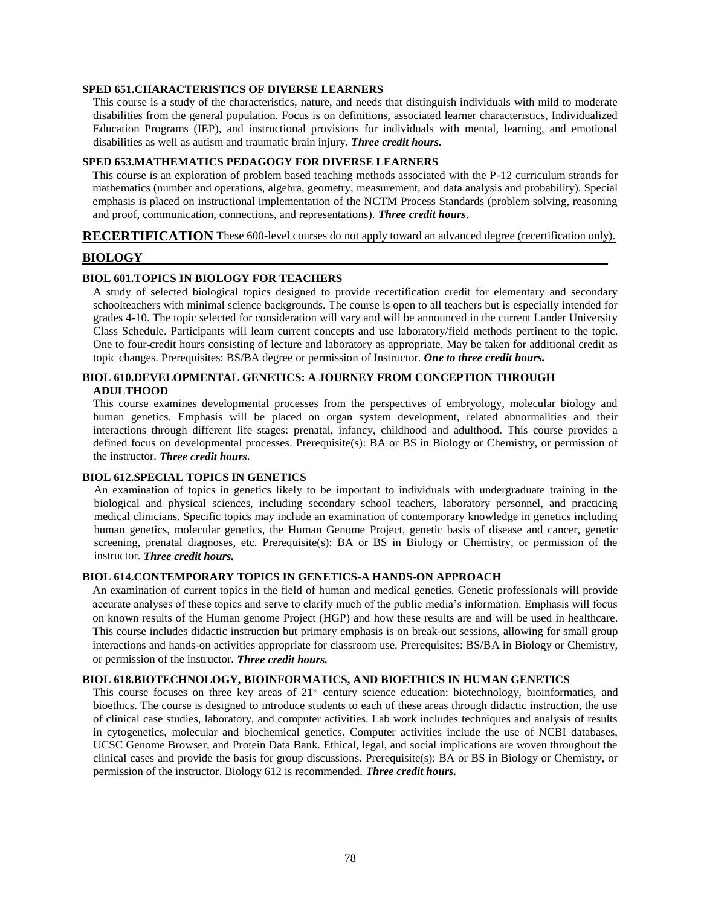#### **SPED 651.CHARACTERISTICS OF DIVERSE LEARNERS**

This course is a study of the characteristics, nature, and needs that distinguish individuals with mild to moderate disabilities from the general population. Focus is on definitions, associated learner characteristics, Individualized Education Programs (IEP), and instructional provisions for individuals with mental, learning, and emotional disabilities as well as autism and traumatic brain injury. *Three credit hours.*

#### **SPED 653.MATHEMATICS PEDAGOGY FOR DIVERSE LEARNERS**

This course is an exploration of problem based teaching methods associated with the P-12 curriculum strands for mathematics (number and operations, algebra, geometry, measurement, and data analysis and probability). Special emphasis is placed on instructional implementation of the NCTM Process Standards (problem solving, reasoning and proof, communication, connections, and representations). *Three credit hours*.

#### **RECERTIFICATION** These 600-level courses do not apply toward an advanced degree (recertification only).

## **BIOLOGY**

## **BIOL 601.TOPICS IN BIOLOGY FOR TEACHERS**

A study of selected biological topics designed to provide recertification credit for elementary and secondary schoolteachers with minimal science backgrounds. The course is open to all teachers but is especially intended for grades 4-10. The topic selected for consideration will vary and will be announced in the current Lander University Class Schedule. Participants will learn current concepts and use laboratory/field methods pertinent to the topic. One to four credit hours consisting of lecture and laboratory as appropriate. May be taken for additional credit as topic changes. Prerequisites: BS/BA degree or permission of Instructor. *One to three credit hours.*

# **BIOL 610.DEVELOPMENTAL GENETICS: A JOURNEY FROM CONCEPTION THROUGH ADULTHOOD**

This course examines developmental processes from the perspectives of embryology, molecular biology and human genetics. Emphasis will be placed on organ system development, related abnormalities and their interactions through different life stages: prenatal, infancy, childhood and adulthood. This course provides a defined focus on developmental processes. Prerequisite(s): BA or BS in Biology or Chemistry, or permission of the instructor. *Three credit hours*.

#### **BIOL 612.SPECIAL TOPICS IN GENETICS**

An examination of topics in genetics likely to be important to individuals with undergraduate training in the biological and physical sciences, including secondary school teachers, laboratory personnel, and practicing medical clinicians. Specific topics may include an examination of contemporary knowledge in genetics including human genetics, molecular genetics, the Human Genome Project, genetic basis of disease and cancer, genetic screening, prenatal diagnoses, etc. Prerequisite(s): BA or BS in Biology or Chemistry, or permission of the instructor. *Three credit hours.*

#### **BIOL 614.CONTEMPORARY TOPICS IN GENETICS-A HANDS-ON APPROACH**

An examination of current topics in the field of human and medical genetics. Genetic professionals will provide accurate analyses of these topics and serve to clarify much of the public media's information. Emphasis will focus on known results of the Human genome Project (HGP) and how these results are and will be used in healthcare. This course includes didactic instruction but primary emphasis is on break-out sessions, allowing for small group interactions and hands-on activities appropriate for classroom use. Prerequisites: BS/BA in Biology or Chemistry, or permission of the instructor. *Three credit hours.*

## **BIOL 618.BIOTECHNOLOGY, BIOINFORMATICS, AND BIOETHICS IN HUMAN GENETICS**

This course focuses on three key areas of 21<sup>st</sup> century science education: biotechnology, bioinformatics, and bioethics. The course is designed to introduce students to each of these areas through didactic instruction, the use of clinical case studies, laboratory, and computer activities. Lab work includes techniques and analysis of results in cytogenetics, molecular and biochemical genetics. Computer activities include the use of NCBI databases, UCSC Genome Browser, and Protein Data Bank. Ethical, legal, and social implications are woven throughout the clinical cases and provide the basis for group discussions. Prerequisite(s): BA or BS in Biology or Chemistry, or permission of the instructor. Biology 612 is recommended. *Three credit hours.*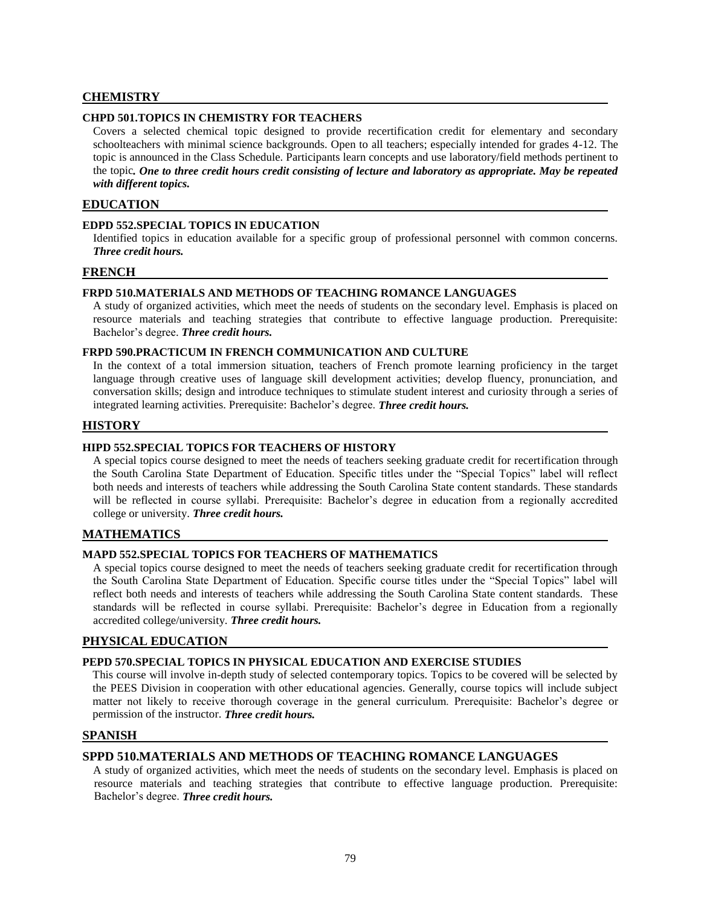# **CHEMISTRY**

## **CHPD 501.TOPICS IN CHEMISTRY FOR TEACHERS**

Covers a selected chemical topic designed to provide recertification credit for elementary and secondary schoolteachers with minimal science backgrounds. Open to all teachers; especially intended for grades 4-12. The topic is announced in the Class Schedule. Participants learn concepts and use laboratory/field methods pertinent to the topic*. One to three credit hours credit consisting of lecture and laboratory as appropriate. May be repeated with different topics.*

# **EDUCATION**

## **EDPD 552.SPECIAL TOPICS IN EDUCATION**

Identified topics in education available for a specific group of professional personnel with common concerns. *Three credit hours.*

#### **FRENCH**

## **FRPD 510.MATERIALS AND METHODS OF TEACHING ROMANCE LANGUAGES**

A study of organized activities, which meet the needs of students on the secondary level. Emphasis is placed on resource materials and teaching strategies that contribute to effective language production. Prerequisite: Bachelor's degree. *Three credit hours.*

### **FRPD 590.PRACTICUM IN FRENCH COMMUNICATION AND CULTURE**

In the context of a total immersion situation, teachers of French promote learning proficiency in the target language through creative uses of language skill development activities; develop fluency, pronunciation, and conversation skills; design and introduce techniques to stimulate student interest and curiosity through a series of integrated learning activities. Prerequisite: Bachelor's degree. *Three credit hours.*

## **HISTORY**

## **HIPD 552.SPECIAL TOPICS FOR TEACHERS OF HISTORY**

A special topics course designed to meet the needs of teachers seeking graduate credit for recertification through the South Carolina State Department of Education. Specific titles under the "Special Topics" label will reflect both needs and interests of teachers while addressing the South Carolina State content standards. These standards will be reflected in course syllabi. Prerequisite: Bachelor's degree in education from a regionally accredited college or university. *Three credit hours.*

## **MATHEMATICS**

## **MAPD 552.SPECIAL TOPICS FOR TEACHERS OF MATHEMATICS**

A special topics course designed to meet the needs of teachers seeking graduate credit for recertification through the South Carolina State Department of Education. Specific course titles under the "Special Topics" label will reflect both needs and interests of teachers while addressing the South Carolina State content standards. These standards will be reflected in course syllabi. Prerequisite: Bachelor's degree in Education from a regionally accredited college/university. *Three credit hours.*

# **PHYSICAL EDUCATION**

#### **PEPD 570.SPECIAL TOPICS IN PHYSICAL EDUCATION AND EXERCISE STUDIES**

This course will involve in-depth study of selected contemporary topics. Topics to be covered will be selected by the PEES Division in cooperation with other educational agencies. Generally, course topics will include subject matter not likely to receive thorough coverage in the general curriculum. Prerequisite: Bachelor's degree or permission of the instructor. *Three credit hours.*

# **SPANISH**

#### **SPPD 510.MATERIALS AND METHODS OF TEACHING ROMANCE LANGUAGES**

A study of organized activities, which meet the needs of students on the secondary level. Emphasis is placed on resource materials and teaching strategies that contribute to effective language production. Prerequisite: Bachelor's degree. *Three credit hours.*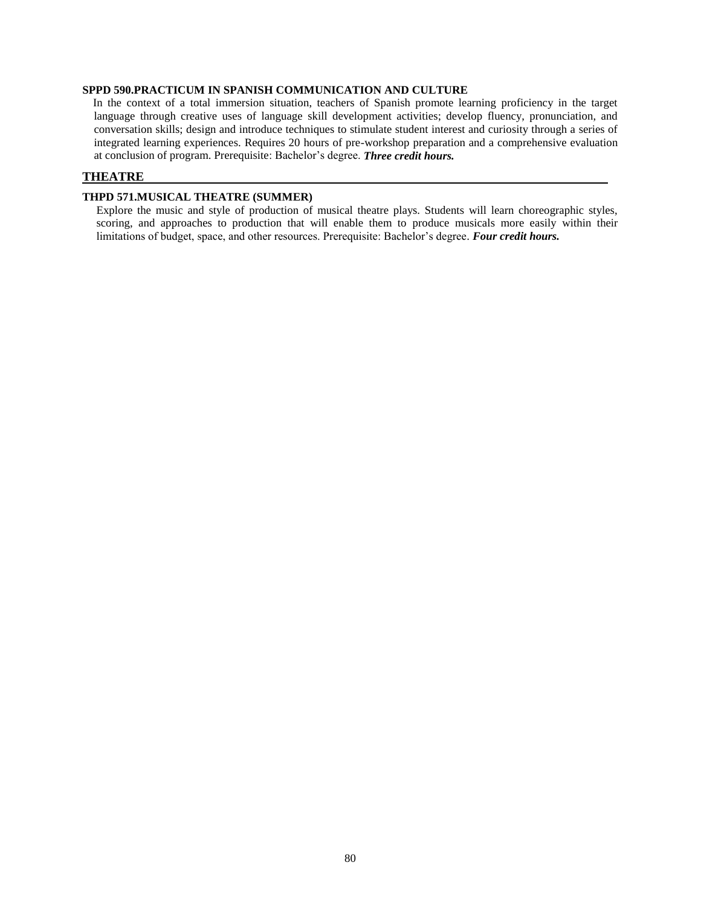## **SPPD 590.PRACTICUM IN SPANISH COMMUNICATION AND CULTURE**

In the context of a total immersion situation, teachers of Spanish promote learning proficiency in the target language through creative uses of language skill development activities; develop fluency, pronunciation, and conversation skills; design and introduce techniques to stimulate student interest and curiosity through a series of integrated learning experiences. Requires 20 hours of pre-workshop preparation and a comprehensive evaluation at conclusion of program. Prerequisite: Bachelor's degree. *Three credit hours.*

# **THEATRE**

## **THPD 571.MUSICAL THEATRE (SUMMER)**

Explore the music and style of production of musical theatre plays. Students will learn choreographic styles, scoring, and approaches to production that will enable them to produce musicals more easily within their limitations of budget, space, and other resources. Prerequisite: Bachelor's degree*. Four credit hours.*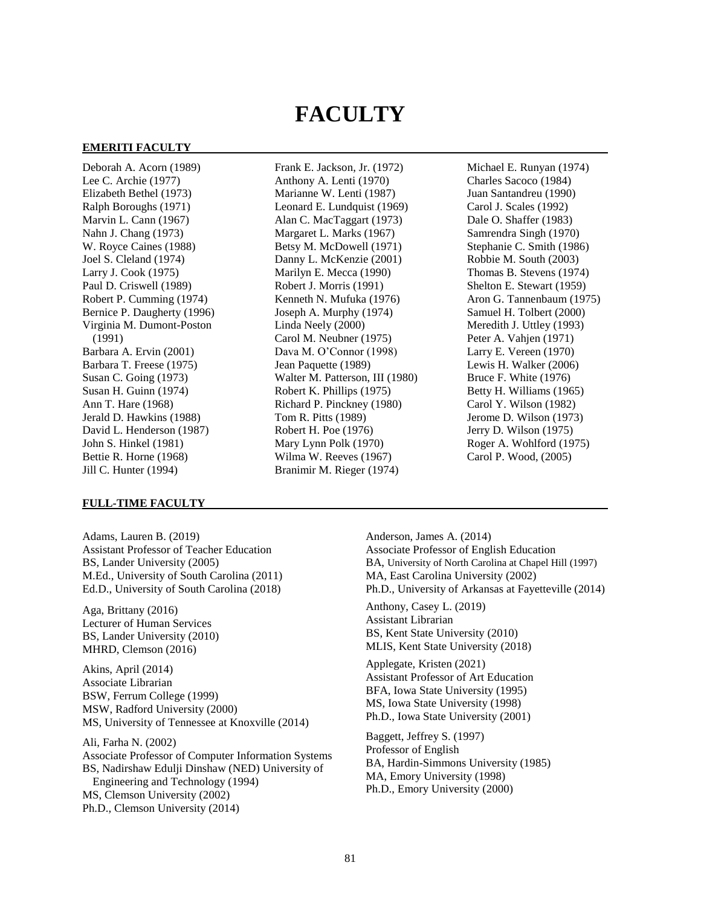# **FACULTY**

#### **EMERITI FACULTY**

Deborah A. Acorn (1989) Lee C. Archie (1977) Elizabeth Bethel (1973) Ralph Boroughs (1971) Marvin L. Cann (1967) Nahn J. Chang (1973) W. Royce Caines (1988) Joel S. Cleland (1974) Larry J. Cook (1975) Paul D. Criswell (1989) Robert P. Cumming (1974) Bernice P. Daugherty (1996) Virginia M. Dumont-Poston (1991) Barbara A. Ervin (2001) Barbara T. Freese (1975) Susan C. Going (1973) Susan H. Guinn (1974) Ann T. Hare (1968) Jerald D. Hawkins (1988) David L. Henderson (1987) John S. Hinkel (1981) Bettie R. Horne (1968) Jill C. Hunter (1994)

#### **FULL-TIME FACULTY**

Adams, Lauren B. (2019) Assistant Professor of Teacher Education BS, Lander University (2005) M.Ed., University of South Carolina (2011) Ed.D., University of South Carolina (2018)

Aga, Brittany (2016) Lecturer of Human Services BS, Lander University (2010) MHRD, Clemson (2016)

Akins, April (2014) Associate Librarian BSW, Ferrum College (1999) MSW, Radford University (2000) MS, University of Tennessee at Knoxville (2014)

Ali, Farha N. (2002) Associate Professor of Computer Information Systems BS, Nadirshaw Edulji Dinshaw (NED) University of Engineering and Technology (1994) MS, Clemson University (2002) Ph.D., Clemson University (2014)

Frank E. Jackson, Jr. (1972) Anthony A. Lenti (1970) Marianne W. Lenti (1987) Leonard E. Lundquist (1969) Alan C. MacTaggart (1973) Margaret L. Marks (1967) Betsy M. McDowell (1971) Danny L. McKenzie (2001) Marilyn E. Mecca (1990) Robert J. Morris (1991) Kenneth N. Mufuka (1976) Joseph A. Murphy (1974) Linda Neely (2000) Carol M. Neubner (1975) Dava M. O'Connor (1998) Jean Paquette (1989) Walter M. Patterson, III (1980) Robert K. Phillips (1975) Richard P. Pinckney (1980) Tom R. Pitts (1989) Robert H. Poe (1976) Mary Lynn Polk (1970) Wilma W. Reeves (1967) Branimir M. Rieger (1974)

Michael E. Runyan (1974) Charles Sacoco (1984) Juan Santandreu (1990) Carol J. Scales (1992) Dale O. Shaffer (1983) Samrendra Singh (1970) Stephanie C. Smith (1986) Robbie M. South (2003) Thomas B. Stevens (1974) Shelton E. Stewart (1959) Aron G. Tannenbaum (1975) Samuel H. Tolbert (2000) Meredith J. Uttley (1993) Peter A. Vahjen (1971) Larry E. Vereen (1970) Lewis H. Walker (2006) Bruce F. White (1976) Betty H. Williams (1965) Carol Y. Wilson (1982) Jerome D. Wilson (1973) Jerry D. Wilson (1975) Roger A. Wohlford (1975) Carol P. Wood, (2005)

Anderson, James A. (2014) Associate Professor of English Education BA, University of North Carolina at Chapel Hill (1997) MA, East Carolina University (2002) Ph.D., University of Arkansas at Fayetteville (2014) Anthony, Casey L. (2019) Assistant Librarian BS, Kent State University (2010) MLIS, Kent State University (2018) Applegate, Kristen (2021) Assistant Professor of Art Education BFA, Iowa State University (1995) MS, Iowa State University (1998) Ph.D., Iowa State University (2001) Baggett, Jeffrey S. (1997) Professor of English BA, Hardin-Simmons University (1985) MA, Emory University (1998) Ph.D., Emory University (2000)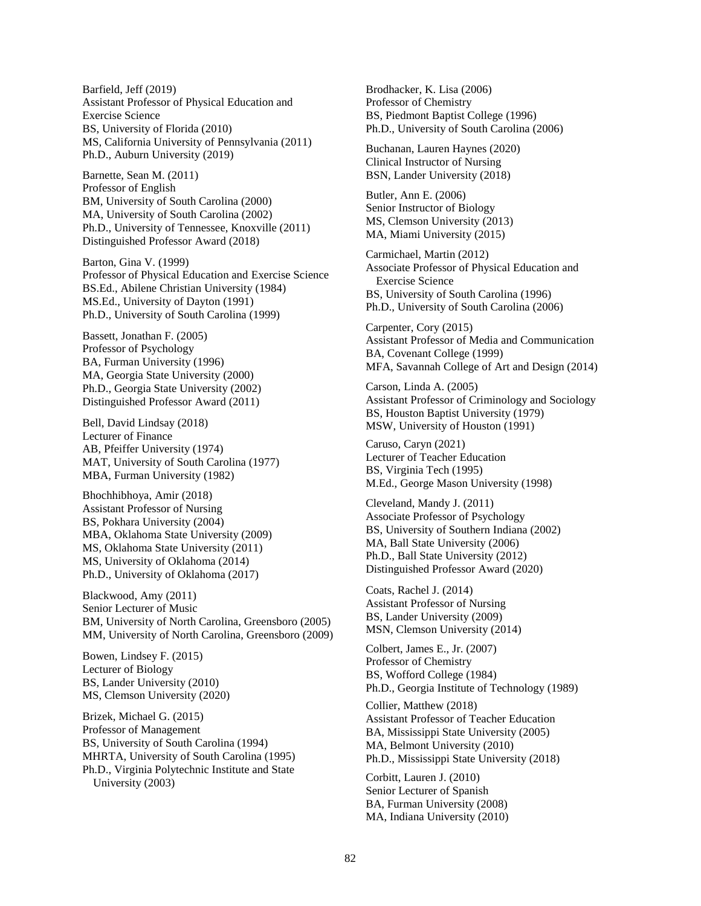Barfield, Jeff (2019) Assistant Professor of Physical Education and Exercise Science BS, University of Florida (2010) MS, California University of Pennsylvania (2011) Ph.D., Auburn University (2019)

Barnette, Sean M. (2011) Professor of English BM, University of South Carolina (2000) MA, University of South Carolina (2002) Ph.D., University of Tennessee, Knoxville (2011) Distinguished Professor Award (2018)

Barton, Gina V. (1999) Professor of Physical Education and Exercise Science BS.Ed., Abilene Christian University (1984) MS.Ed., University of Dayton (1991) Ph.D., University of South Carolina (1999)

Bassett, Jonathan F. (2005) Professor of Psychology BA, Furman University (1996) MA, Georgia State University (2000) Ph.D., Georgia State University (2002) Distinguished Professor Award (2011)

Bell, David Lindsay (2018) Lecturer of Finance AB, Pfeiffer University (1974) MAT, University of South Carolina (1977) MBA, Furman University (1982)

Bhochhibhoya, Amir (2018) Assistant Professor of Nursing BS, Pokhara University (2004) MBA, Oklahoma State University (2009) MS, Oklahoma State University (2011) MS, University of Oklahoma (2014) Ph.D., University of Oklahoma (2017)

Blackwood, Amy (2011) Senior Lecturer of Music BM, University of North Carolina, Greensboro (2005) MM, University of North Carolina, Greensboro (2009)

Bowen, Lindsey F. (2015) Lecturer of Biology BS, Lander University (2010) MS, Clemson University (2020)

Brizek, Michael G. (2015) Professor of Management BS, University of South Carolina (1994) MHRTA, University of South Carolina (1995) Ph.D., Virginia Polytechnic Institute and State University (2003)

Brodhacker, K. Lisa (2006) Professor of Chemistry BS, Piedmont Baptist College (1996) Ph.D., University of South Carolina (2006)

Buchanan, Lauren Haynes (2020) Clinical Instructor of Nursing BSN, Lander University (2018)

Butler, Ann E. (2006) Senior Instructor of Biology MS, Clemson University (2013) MA, Miami University (2015)

Carmichael, Martin (2012) Associate Professor of Physical Education and Exercise Science BS, University of South Carolina (1996) Ph.D., University of South Carolina (2006)

Carpenter, Cory (2015) Assistant Professor of Media and Communication BA, Covenant College (1999) MFA, Savannah College of Art and Design (2014)

Carson, Linda A. (2005) Assistant Professor of Criminology and Sociology BS, Houston Baptist University (1979) MSW, University of Houston (1991)

Caruso, Caryn (2021) Lecturer of Teacher Education BS, Virginia Tech (1995) M.Ed., George Mason University (1998)

Cleveland, Mandy J. (2011) Associate Professor of Psychology BS, University of Southern Indiana (2002) MA, Ball State University (2006) Ph.D., Ball State University (2012) Distinguished Professor Award (2020)

Coats, Rachel J. (2014) Assistant Professor of Nursing BS, Lander University (2009) MSN, Clemson University (2014)

Colbert, James E., Jr. (2007) Professor of Chemistry BS, Wofford College (1984) Ph.D., Georgia Institute of Technology (1989)

Collier, Matthew (2018) Assistant Professor of Teacher Education BA, Mississippi State University (2005) MA, Belmont University (2010) Ph.D., Mississippi State University (2018)

Corbitt, Lauren J. (2010) Senior Lecturer of Spanish BA, Furman University (2008) MA, Indiana University (2010)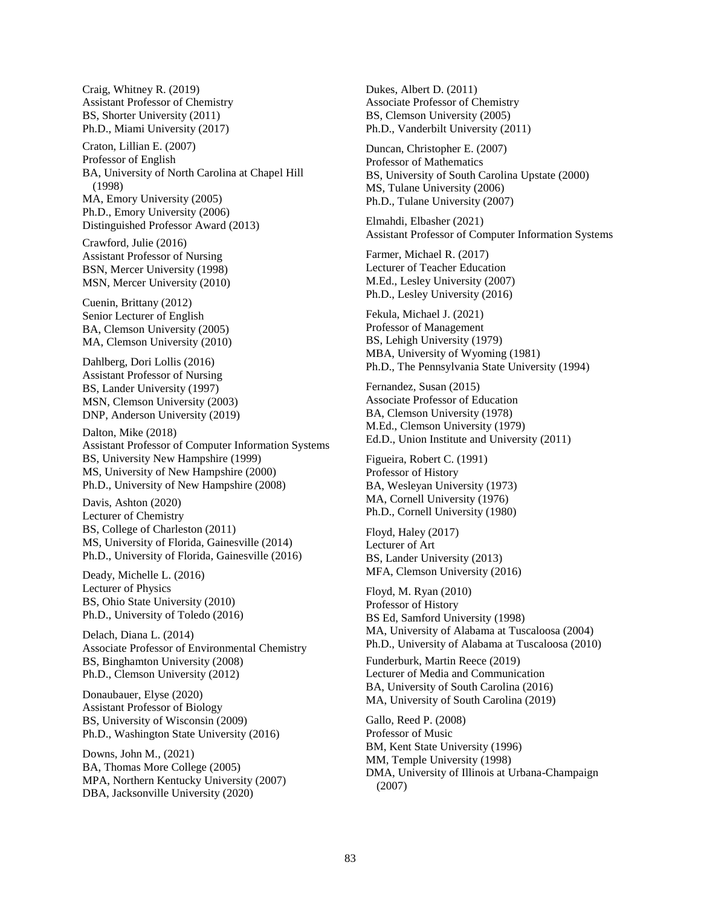Craig, Whitney R. (2019) Assistant Professor of Chemistry BS, Shorter University (2011) Ph.D., Miami University (2017)

Craton, Lillian E. (2007) Professor of English BA, University of North Carolina at Chapel Hill (1998) MA, Emory University (2005) Ph.D., Emory University (2006) Distinguished Professor Award (2013)

Crawford, Julie (2016) Assistant Professor of Nursing BSN, Mercer University (1998) MSN, Mercer University (2010)

Cuenin, Brittany (2012) Senior Lecturer of English BA, Clemson University (2005) MA, Clemson University (2010)

Dahlberg, Dori Lollis (2016) Assistant Professor of Nursing BS, Lander University (1997) MSN, Clemson University (2003) DNP, Anderson University (2019)

Dalton, Mike (2018) Assistant Professor of Computer Information Systems BS, University New Hampshire (1999) MS, University of New Hampshire (2000) Ph.D., University of New Hampshire (2008)

Davis, Ashton (2020) Lecturer of Chemistry BS, College of Charleston (2011) MS, University of Florida, Gainesville (2014) Ph.D., University of Florida, Gainesville (2016)

Deady, Michelle L. (2016) Lecturer of Physics BS, Ohio State University (2010) Ph.D., University of Toledo (2016)

Delach, Diana L. (2014) Associate Professor of Environmental Chemistry BS, Binghamton University (2008) Ph.D., Clemson University (2012)

Donaubauer, Elyse (2020) Assistant Professor of Biology BS, University of Wisconsin (2009) Ph.D., Washington State University (2016)

Downs, John M., (2021) BA, Thomas More College (2005) MPA, Northern Kentucky University (2007) DBA, Jacksonville University (2020)

Dukes, Albert D. (2011) Associate Professor of Chemistry BS, Clemson University (2005) Ph.D., Vanderbilt University (2011)

Duncan, Christopher E. (2007) Professor of Mathematics BS, University of South Carolina Upstate (2000) MS, Tulane University (2006) Ph.D., Tulane University (2007)

Elmahdi, Elbasher (2021) Assistant Professor of Computer Information Systems

Farmer, Michael R. (2017) Lecturer of Teacher Education M.Ed., Lesley University (2007) Ph.D., Lesley University (2016)

Fekula, Michael J. (2021) Professor of Management BS, Lehigh University (1979) MBA, University of Wyoming (1981) Ph.D., The Pennsylvania State University (1994)

Fernandez, Susan (2015) Associate Professor of Education BA, Clemson University (1978) M.Ed., Clemson University (1979) Ed.D., Union Institute and University (2011)

Figueira, Robert C. (1991) Professor of History BA, Wesleyan University (1973) MA, Cornell University (1976) Ph.D., Cornell University (1980)

Floyd, Haley (2017) Lecturer of Art BS, Lander University (2013) MFA, Clemson University (2016)

Floyd, M. Ryan (2010) Professor of History BS Ed, Samford University (1998) MA, University of Alabama at Tuscaloosa (2004) Ph.D., University of Alabama at Tuscaloosa (2010) Funderburk, Martin Reece (2019) Lecturer of Media and Communication BA, University of South Carolina (2016) MA, University of South Carolina (2019) Gallo, Reed P. (2008)

Professor of Music BM, Kent State University (1996) MM, Temple University (1998) DMA, University of Illinois at Urbana-Champaign (2007)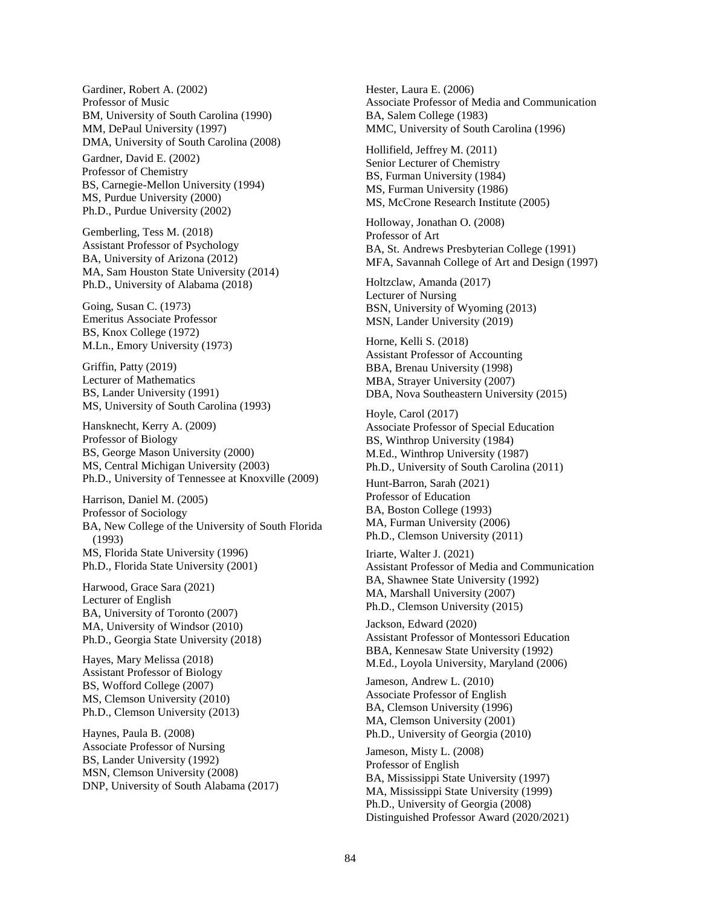Gardiner, Robert A. (2002) Professor of Music BM, University of South Carolina (1990) MM, DePaul University (1997) DMA, University of South Carolina (2008)

Gardner, David E. (2002) Professor of Chemistry BS, Carnegie-Mellon University (1994) MS, Purdue University (2000) Ph.D., Purdue University (2002)

Gemberling, Tess M. (2018) Assistant Professor of Psychology BA, University of Arizona (2012) MA, Sam Houston State University (2014) Ph.D., University of Alabama (2018)

Going, Susan C. (1973) Emeritus Associate Professor BS, Knox College (1972) M.Ln., Emory University (1973)

Griffin, Patty (2019) Lecturer of Mathematics BS, Lander University (1991) MS, University of South Carolina (1993)

Hansknecht, Kerry A. (2009) Professor of Biology BS, George Mason University (2000) MS, Central Michigan University (2003) Ph.D., University of Tennessee at Knoxville (2009)

Harrison, Daniel M. (2005) Professor of Sociology BA, New College of the University of South Florida (1993) MS, Florida State University (1996) Ph.D., Florida State University (2001)

Harwood, Grace Sara (2021) Lecturer of English BA, University of Toronto (2007) MA, University of Windsor (2010) Ph.D., Georgia State University (2018)

Hayes, Mary Melissa (2018) Assistant Professor of Biology BS, Wofford College (2007) MS, Clemson University (2010) Ph.D., Clemson University (2013)

Haynes, Paula B. (2008) Associate Professor of Nursing BS, Lander University (1992) MSN, Clemson University (2008) DNP, University of South Alabama (2017) Hester, Laura E. (2006) Associate Professor of Media and Communication BA, Salem College (1983) MMC, University of South Carolina (1996)

Hollifield, Jeffrey M. (2011) Senior Lecturer of Chemistry BS, Furman University (1984) MS, Furman University (1986) MS, McCrone Research Institute (2005)

Holloway, Jonathan O. (2008) Professor of Art BA, St. Andrews Presbyterian College (1991) MFA, Savannah College of Art and Design (1997)

Holtzclaw, Amanda (2017) Lecturer of Nursing BSN, University of Wyoming (2013) MSN, Lander University (2019)

Horne, Kelli S. (2018) Assistant Professor of Accounting BBA, Brenau University (1998) MBA, Strayer University (2007) DBA, Nova Southeastern University (2015)

Hoyle, Carol (2017) Associate Professor of Special Education BS, Winthrop University (1984) M.Ed., Winthrop University (1987) Ph.D., University of South Carolina (2011)

Hunt-Barron, Sarah (2021) Professor of Education BA, Boston College (1993) MA, Furman University (2006) Ph.D., Clemson University (2011)

Iriarte, Walter J. (2021) Assistant Professor of Media and Communication BA, Shawnee State University (1992) MA, Marshall University (2007) Ph.D., Clemson University (2015)

Jackson, Edward (2020) Assistant Professor of Montessori Education BBA, Kennesaw State University (1992) M.Ed., Loyola University, Maryland (2006)

Jameson, Andrew L. (2010) Associate Professor of English BA, Clemson University (1996) MA, Clemson University (2001) Ph.D., University of Georgia (2010)

Jameson, Misty L. (2008) Professor of English BA, Mississippi State University (1997) MA, Mississippi State University (1999) Ph.D., University of Georgia (2008) Distinguished Professor Award (2020/2021)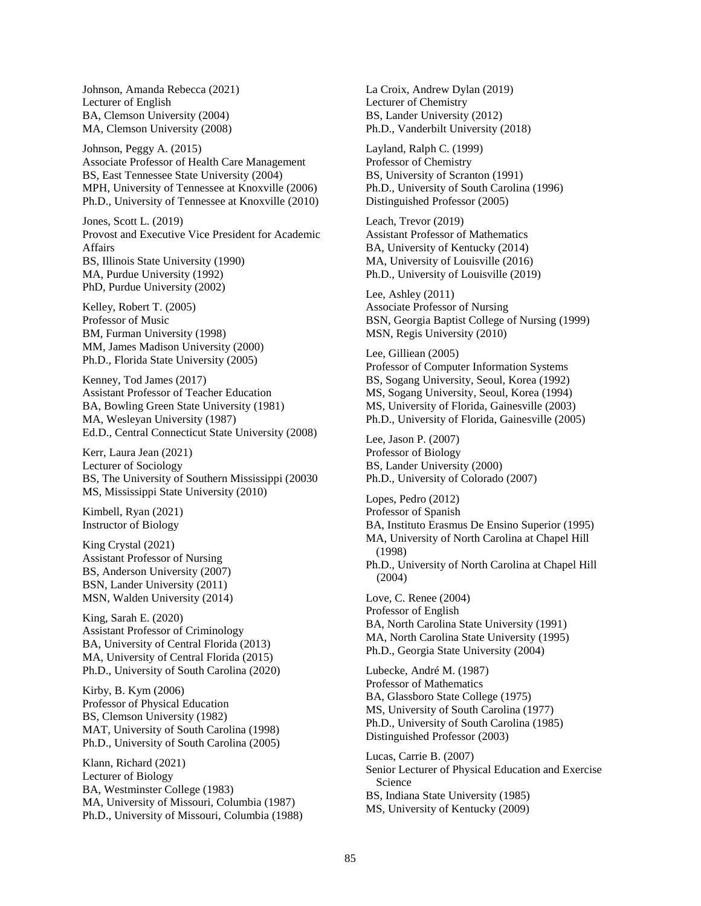Johnson, Amanda Rebecca (2021) Lecturer of English BA, Clemson University (2004) MA, Clemson University (2008)

Johnson, Peggy A. (2015) Associate Professor of Health Care Management BS, East Tennessee State University (2004) MPH, University of Tennessee at Knoxville (2006) Ph.D., University of Tennessee at Knoxville (2010)

Jones, Scott L. (2019) Provost and Executive Vice President for Academic Affairs BS, Illinois State University (1990) MA, Purdue University (1992) PhD, Purdue University (2002)

Kelley, Robert T. (2005) Professor of Music BM, Furman University (1998) MM, James Madison University (2000) Ph.D., Florida State University (2005)

Kenney, Tod James (2017) Assistant Professor of Teacher Education BA, Bowling Green State University (1981) MA, Wesleyan University (1987) Ed.D., Central Connecticut State University (2008)

Kerr, Laura Jean (2021) Lecturer of Sociology BS, The University of Southern Mississippi (20030 MS, Mississippi State University (2010)

Kimbell, Ryan (2021) Instructor of Biology

King Crystal (2021) Assistant Professor of Nursing BS, Anderson University (2007) BSN, Lander University (2011) MSN, Walden University (2014)

King, Sarah E. (2020) Assistant Professor of Criminology BA, University of Central Florida (2013) MA, University of Central Florida (2015) Ph.D., University of South Carolina (2020)

Kirby, B. Kym (2006) Professor of Physical Education BS, Clemson University (1982) MAT, University of South Carolina (1998) Ph.D., University of South Carolina (2005)

Klann, Richard (2021) Lecturer of Biology BA, Westminster College (1983) MA, University of Missouri, Columbia (1987) Ph.D., University of Missouri, Columbia (1988) La Croix, Andrew Dylan (2019) Lecturer of Chemistry BS, Lander University (2012) Ph.D., Vanderbilt University (2018)

Layland, Ralph C. (1999) Professor of Chemistry BS, University of Scranton (1991) Ph.D., University of South Carolina (1996) Distinguished Professor (2005)

Leach, Trevor (2019) Assistant Professor of Mathematics BA, University of Kentucky (2014) MA, University of Louisville (2016) Ph.D., University of Louisville (2019)

Lee, Ashley (2011) Associate Professor of Nursing BSN, Georgia Baptist College of Nursing (1999) MSN, Regis University (2010)

Lee, Gilliean (2005) Professor of Computer Information Systems BS, Sogang University, Seoul, Korea (1992) MS, Sogang University, Seoul, Korea (1994) MS, University of Florida, Gainesville (2003) Ph.D., University of Florida, Gainesville (2005)

Lee, Jason P. (2007) Professor of Biology BS, Lander University (2000) Ph.D., University of Colorado (2007)

Lopes, Pedro (2012) Professor of Spanish BA, Instituto Erasmus De Ensino Superior (1995) MA, University of North Carolina at Chapel Hill (1998) Ph.D., University of North Carolina at Chapel Hill (2004) Love, C. Renee (2004) Professor of English BA, North Carolina State University (1991) MA, North Carolina State University (1995) Ph.D., Georgia State University (2004) Lubecke, André M. (1987) Professor of Mathematics BA, Glassboro State College (1975) MS, University of South Carolina (1977) Ph.D., University of South Carolina (1985) Distinguished Professor (2003) Lucas, Carrie B. (2007) Senior Lecturer of Physical Education and Exercise Science BS, Indiana State University (1985)

MS, University of Kentucky (2009)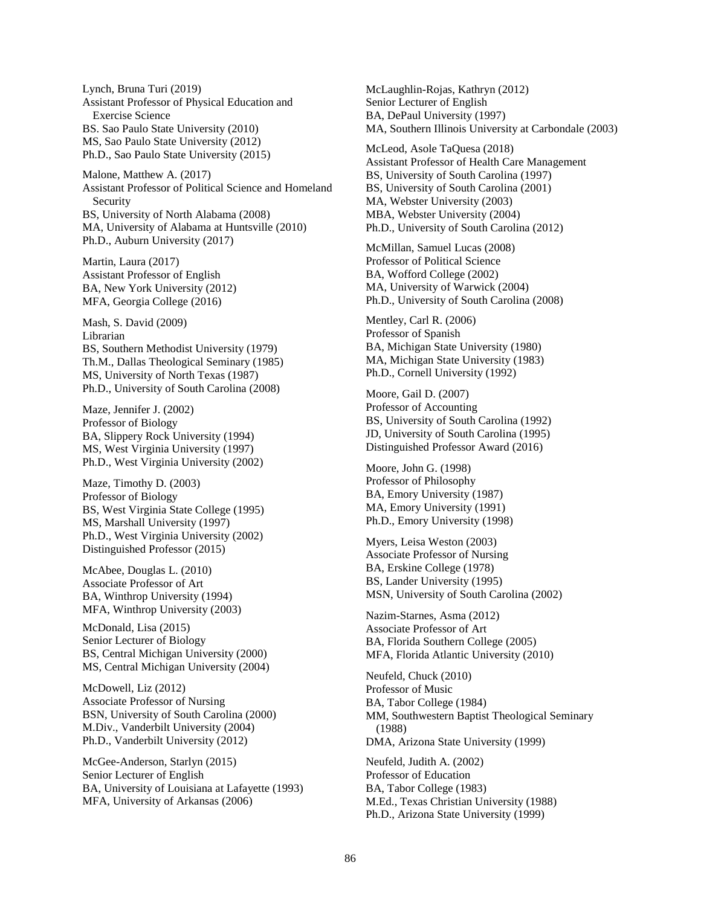Lynch, Bruna Turi (2019) Assistant Professor of Physical Education and Exercise Science BS. Sao Paulo State University (2010) MS, Sao Paulo State University (2012) Ph.D., Sao Paulo State University (2015)

Malone, Matthew A. (2017) Assistant Professor of Political Science and Homeland Security BS, University of North Alabama (2008) MA, University of Alabama at Huntsville (2010) Ph.D., Auburn University (2017)

Martin, Laura (2017) Assistant Professor of English BA, New York University (2012) MFA, Georgia College (2016)

Mash, S. David (2009) Librarian BS, Southern Methodist University (1979) Th.M., Dallas Theological Seminary (1985) MS, University of North Texas (1987) Ph.D., University of South Carolina (2008)

Maze, Jennifer J. (2002) Professor of Biology BA, Slippery Rock University (1994) MS, West Virginia University (1997) Ph.D., West Virginia University (2002)

Maze, Timothy D. (2003) Professor of Biology BS, West Virginia State College (1995) MS, Marshall University (1997) Ph.D., West Virginia University (2002) Distinguished Professor (2015)

McAbee, Douglas L. (2010) Associate Professor of Art BA, Winthrop University (1994) MFA, Winthrop University (2003)

McDonald, Lisa (2015) Senior Lecturer of Biology BS, Central Michigan University (2000) MS, Central Michigan University (2004)

McDowell, Liz (2012) Associate Professor of Nursing BSN, University of South Carolina (2000) M.Div., Vanderbilt University (2004) Ph.D., Vanderbilt University (2012)

McGee-Anderson, Starlyn (2015) Senior Lecturer of English BA, University of Louisiana at Lafayette (1993) MFA, University of Arkansas (2006)

McLaughlin-Rojas, Kathryn (2012) Senior Lecturer of English BA, DePaul University (1997) MA, Southern Illinois University at Carbondale (2003)

McLeod, Asole TaQuesa (2018) Assistant Professor of Health Care Management BS, University of South Carolina (1997) BS, University of South Carolina (2001) MA, Webster University (2003) MBA, Webster University (2004) Ph.D., University of South Carolina (2012)

McMillan, Samuel Lucas (2008) Professor of Political Science BA, Wofford College (2002) MA, University of Warwick (2004) Ph.D., University of South Carolina (2008)

Mentley, Carl R. (2006) Professor of Spanish BA, Michigan State University (1980) MA, Michigan State University (1983) Ph.D., Cornell University (1992)

Moore, Gail D. (2007) Professor of Accounting BS, University of South Carolina (1992) JD, University of South Carolina (1995) Distinguished Professor Award (2016)

Moore, John G. (1998) Professor of Philosophy BA, Emory University (1987) MA, Emory University (1991) Ph.D., Emory University (1998)

Myers, Leisa Weston (2003) Associate Professor of Nursing BA, Erskine College (1978) BS, Lander University (1995) MSN, University of South Carolina (2002)

Nazim-Starnes, Asma (2012) Associate Professor of Art BA, Florida Southern College (2005) MFA, Florida Atlantic University (2010)

Neufeld, Chuck (2010) Professor of Music BA, Tabor College (1984) MM, Southwestern Baptist Theological Seminary (1988) DMA, Arizona State University (1999)

Neufeld, Judith A. (2002) Professor of Education BA, Tabor College (1983) M.Ed., Texas Christian University (1988) Ph.D., Arizona State University (1999)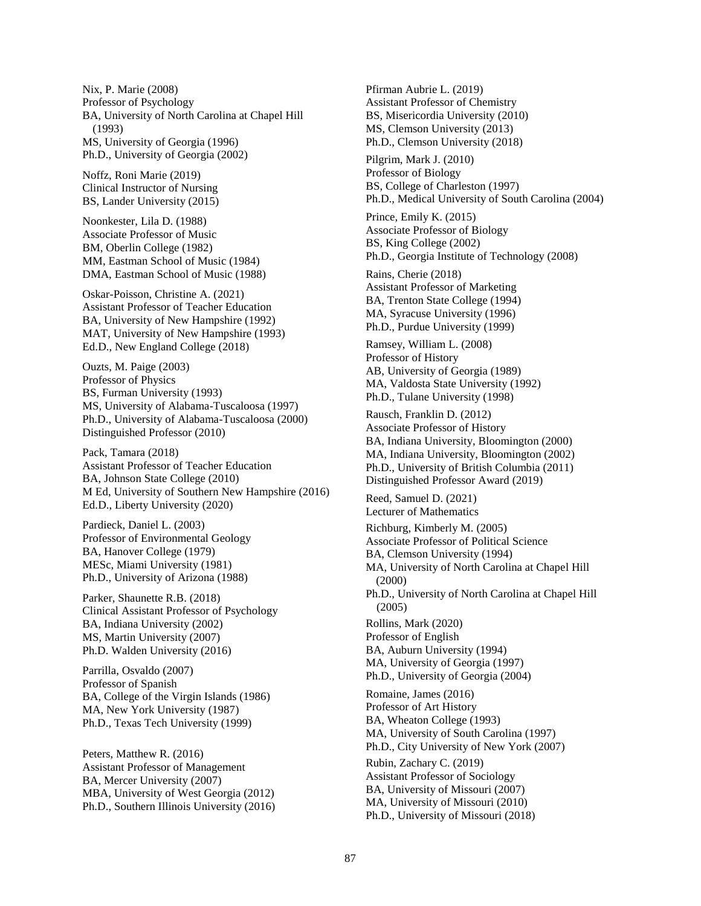Nix, P. Marie (2008) Professor of Psychology BA, University of North Carolina at Chapel Hill (1993) MS, University of Georgia (1996) Ph.D., University of Georgia (2002)

Noffz, Roni Marie (2019) Clinical Instructor of Nursing BS, Lander University (2015)

Noonkester, Lila D. (1988) Associate Professor of Music BM, Oberlin College (1982) MM, Eastman School of Music (1984) DMA, Eastman School of Music (1988)

Oskar-Poisson, Christine A. (2021) Assistant Professor of Teacher Education BA, University of New Hampshire (1992) MAT, University of New Hampshire (1993) Ed.D., New England College (2018)

Ouzts, M. Paige (2003) Professor of Physics BS, Furman University (1993) MS, University of Alabama-Tuscaloosa (1997) Ph.D., University of Alabama-Tuscaloosa (2000) Distinguished Professor (2010)

Pack, Tamara (2018) Assistant Professor of Teacher Education BA, Johnson State College (2010) M Ed, University of Southern New Hampshire (2016) Ed.D., Liberty University (2020)

Pardieck, Daniel L. (2003) Professor of Environmental Geology BA, Hanover College (1979) MESc, Miami University (1981) Ph.D., University of Arizona (1988)

Parker, Shaunette R.B. (2018) Clinical Assistant Professor of Psychology BA, Indiana University (2002) MS, Martin University (2007) Ph.D. Walden University (2016)

Parrilla, Osvaldo (2007) Professor of Spanish BA, College of the Virgin Islands (1986) MA, New York University (1987) Ph.D., Texas Tech University (1999)

Peters, Matthew R. (2016) Assistant Professor of Management BA, Mercer University (2007) MBA, University of West Georgia (2012) Ph.D., Southern Illinois University (2016) Pfirman Aubrie L. (2019) Assistant Professor of Chemistry BS, Misericordia University (2010) MS, Clemson University (2013) Ph.D., Clemson University (2018) Pilgrim, Mark J. (2010)

Professor of Biology BS, College of Charleston (1997) Ph.D., Medical University of South Carolina (2004)

Prince, Emily K. (2015) Associate Professor of Biology BS, King College (2002) Ph.D., Georgia Institute of Technology (2008)

Rains, Cherie (2018) Assistant Professor of Marketing BA, Trenton State College (1994) MA, Syracuse University (1996) Ph.D., Purdue University (1999)

Ramsey, William L. (2008) Professor of History AB, University of Georgia (1989) MA, Valdosta State University (1992) Ph.D., Tulane University (1998)

Rausch, Franklin D. (2012) Associate Professor of History BA, Indiana University, Bloomington (2000) MA, Indiana University, Bloomington (2002) Ph.D., University of British Columbia (2011) Distinguished Professor Award (2019)

Reed, Samuel D. (2021) Lecturer of Mathematics

Richburg, Kimberly M. (2005) Associate Professor of Political Science BA, Clemson University (1994)

MA, University of North Carolina at Chapel Hill (2000) Ph.D., University of North Carolina at Chapel Hill (2005)

Rollins, Mark (2020) Professor of English BA, Auburn University (1994) MA, University of Georgia (1997) Ph.D., University of Georgia (2004)

Romaine, James (2016) Professor of Art History BA, Wheaton College (1993) MA, University of South Carolina (1997) Ph.D., City University of New York (2007) Rubin, Zachary C. (2019) Assistant Professor of Sociology BA, University of Missouri (2007) MA, University of Missouri (2010) Ph.D., University of Missouri (2018)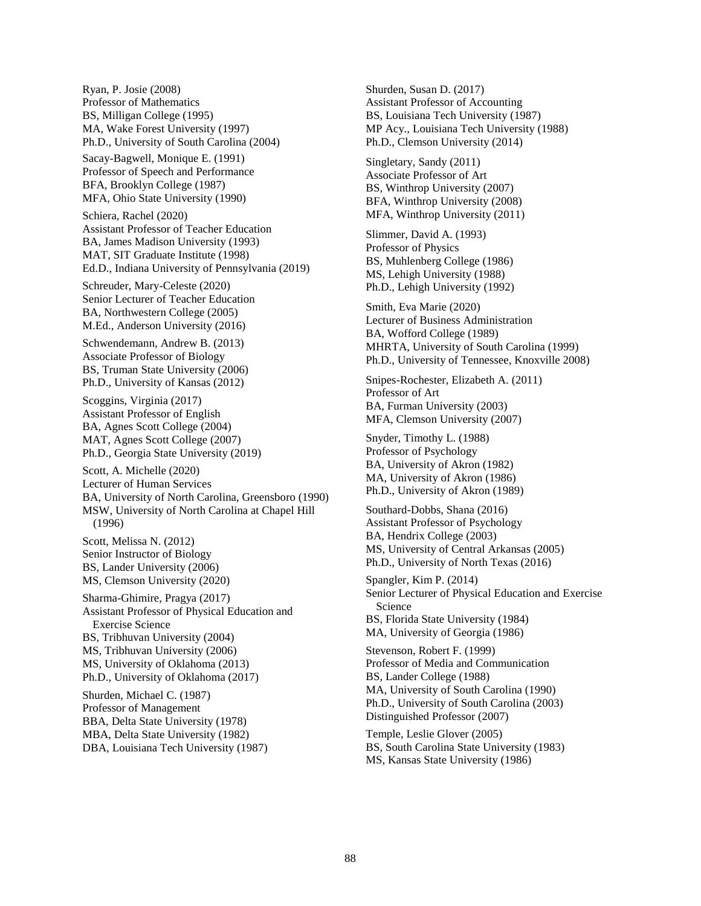Ryan, P. Josie (2008) Professor of Mathematics BS, Milligan College (1995) MA, Wake Forest University (1997) Ph.D., University of South Carolina (2004)

Sacay-Bagwell, Monique E. (1991) Professor of Speech and Performance BFA, Brooklyn College (1987) MFA, Ohio State University (1990)

Schiera, Rachel (2020) Assistant Professor of Teacher Education BA, James Madison University (1993) MAT, SIT Graduate Institute (1998) Ed.D., Indiana University of Pennsylvania (2019)

Schreuder, Mary-Celeste (2020) Senior Lecturer of Teacher Education BA, Northwestern College (2005) M.Ed., Anderson University (2016)

Schwendemann, Andrew B. (2013) Associate Professor of Biology BS, Truman State University (2006) Ph.D., University of Kansas (2012)

Scoggins, Virginia (2017) Assistant Professor of English BA, Agnes Scott College (2004) MAT, Agnes Scott College (2007) Ph.D., Georgia State University (2019)

Scott, A. Michelle (2020) Lecturer of Human Services BA, University of North Carolina, Greensboro (1990) MSW, University of North Carolina at Chapel Hill (1996)

Scott, Melissa N. (2012) Senior Instructor of Biology BS, Lander University (2006) MS, Clemson University (2020)

Sharma-Ghimire, Pragya (2017) Assistant Professor of Physical Education and Exercise Science BS, Tribhuvan University (2004) MS, Tribhuvan University (2006) MS, University of Oklahoma (2013) Ph.D., University of Oklahoma (2017)

Shurden, Michael C. (1987) Professor of Management BBA, Delta State University (1978) MBA, Delta State University (1982) DBA, Louisiana Tech University (1987) Shurden, Susan D. (2017) Assistant Professor of Accounting BS, Louisiana Tech University (1987) MP Acy., Louisiana Tech University (1988) Ph.D., Clemson University (2014)

Singletary, Sandy (2011) Associate Professor of Art BS, Winthrop University (2007) BFA, Winthrop University (2008) MFA, Winthrop University (2011)

Slimmer, David A. (1993) Professor of Physics BS, Muhlenberg College (1986) MS, Lehigh University (1988) Ph.D., Lehigh University (1992)

Smith, Eva Marie (2020) Lecturer of Business Administration BA, Wofford College (1989) MHRTA, University of South Carolina (1999) Ph.D., University of Tennessee, Knoxville 2008)

Snipes-Rochester, Elizabeth A. (2011) Professor of Art BA, Furman University (2003) MFA, Clemson University (2007)

Snyder, Timothy L. (1988) Professor of Psychology BA, University of Akron (1982) MA, University of Akron (1986) Ph.D., University of Akron (1989)

Southard-Dobbs, Shana (2016) Assistant Professor of Psychology BA, Hendrix College (2003) MS, University of Central Arkansas (2005) Ph.D., University of North Texas (2016)

Spangler, Kim P. (2014) Senior Lecturer of Physical Education and Exercise Science BS, Florida State University (1984) MA, University of Georgia (1986)

Stevenson, Robert F. (1999) Professor of Media and Communication BS, Lander College (1988) MA, University of South Carolina (1990) Ph.D., University of South Carolina (2003) Distinguished Professor (2007)

Temple, Leslie Glover (2005) BS, South Carolina State University (1983) MS, Kansas State University (1986)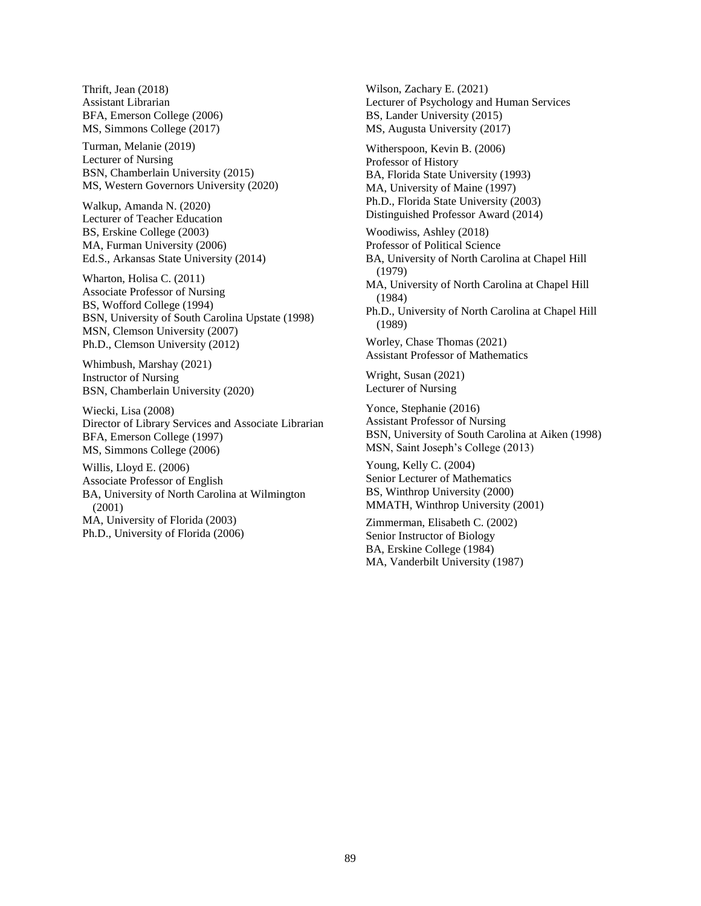Thrift, Jean (2018) Assistant Librarian BFA, Emerson College (2006) MS, Simmons College (2017)

Turman, Melanie (2019) Lecturer of Nursing BSN, Chamberlain University (2015) MS, Western Governors University (2020)

Walkup, Amanda N. (2020) Lecturer of Teacher Education BS, Erskine College (2003) MA, Furman University (2006) Ed.S., Arkansas State University (2014)

Wharton, Holisa C. (2011) Associate Professor of Nursing BS, Wofford College (1994) BSN, University of South Carolina Upstate (1998) MSN, Clemson University (2007) Ph.D., Clemson University (2012)

Whimbush, Marshay (2021) Instructor of Nursing BSN, Chamberlain University (2020)

Wiecki, Lisa (2008) Director of Library Services and Associate Librarian BFA, Emerson College (1997) MS, Simmons College (2006)

Willis, Lloyd E. (2006) Associate Professor of English BA, University of North Carolina at Wilmington (2001) MA, University of Florida (2003) Ph.D., University of Florida (2006)

Wilson, Zachary E. (2021) Lecturer of Psychology and Human Services BS, Lander University (2015) MS, Augusta University (2017) Witherspoon, Kevin B. (2006) Professor of History BA, Florida State University (1993) MA, University of Maine (1997) Ph.D., Florida State University (2003) Distinguished Professor Award (2014) Woodiwiss, Ashley (2018) Professor of Political Science BA, University of North Carolina at Chapel Hill (1979) MA, University of North Carolina at Chapel Hill (1984) Ph.D., University of North Carolina at Chapel Hill (1989) Worley, Chase Thomas (2021) Assistant Professor of Mathematics Wright, Susan (2021) Lecturer of Nursing Yonce, Stephanie (2016) Assistant Professor of Nursing BSN, University of South Carolina at Aiken (1998) MSN, Saint Joseph's College (2013) Young, Kelly C. (2004) Senior Lecturer of Mathematics BS, Winthrop University (2000) MMATH, Winthrop University (2001)

Zimmerman, Elisabeth C. (2002) Senior Instructor of Biology BA, Erskine College (1984) MA, Vanderbilt University (1987)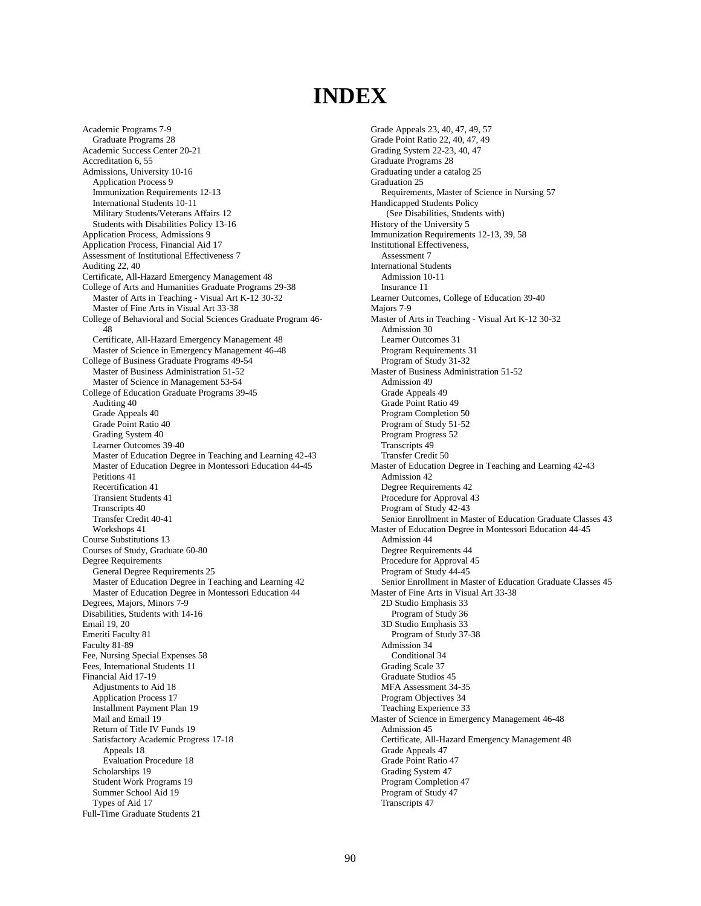# **INDEX**

Academic Programs 7-9 Graduate Programs 28 Academic Success Center 20-21 Accreditation 6, 55 Admissions, University 10-16 Application Process 9 Immunization Requirements 12-13 International Students 10-11 Military Students/Veterans Affairs 12 Students with Disabilities Policy 13-16 Application Process, Admissions 9 Application Process, Financial Aid 17 Assessment of Institutional Effectiveness 7 Auditing 22, 40 Certificate, All-Hazard Emergency Management 48 College of Arts and Humanities Graduate Programs 29-38 Master of Arts in Teaching - Visual Art K-12 30-32 Master of Fine Arts in Visual Art 33-38 College of Behavioral and Social Sciences Graduate Program 46- 48 Certificate, All-Hazard Emergency Management 48 Master of Science in Emergency Management 46-48 College of Business Graduate Programs 49-54 Master of Business Administration 51-52 Master of Science in Management 53-54 College of Education Graduate Programs 39-45 Auditing 40 Grade Appeals 40 Grade Point Ratio 40 Grading System 40 Learner Outcomes 39-40 Master of Education Degree in Teaching and Learning 42-43 Master of Education Degree in Montessori Education 44-45 Petitions 41 Recertification 41 Transient Students 41 Transcripts 40 Transfer Credit 40-41 Workshops 41 Course Substitutions 13 Courses of Study, Graduate 60-80 Degree Requirements General Degree Requirements 25 Master of Education Degree in Teaching and Learning 42 Master of Education Degree in Montessori Education 44 Degrees, Majors, Minors 7-9 Disabilities, Students with 14-16 Email 19, 20 Emeriti Faculty 81 Faculty 81-89 Fee, Nursing Special Expenses 58 Fees, International Students 11 Financial Aid 17-19 Adjustments to Aid 18 Application Process 17 Installment Payment Plan 19 Mail and Email 19 Return of Title IV Funds 19 Satisfactory Academic Progress 17-18 Appeals 18 Evaluation Procedure 18 Scholarships 19 Student Work Programs 19 Summer School Aid 19 Types of Aid 17 Full-Time Graduate Students 21

Grade Appeals 23, 40, 47, 49, 57 Grade Point Ratio 22, 40, 47, 49 Grading System 22-23, 40, 47 Graduate Programs 28 Graduating under a catalog 25 Graduation 25 Requirements, Master of Science in Nursing 57 Handicapped Students Policy (See Disabilities, Students with) History of the University 5 Immunization Requirements 12-13, 39, 58 Institutional Effectiveness, Assessment 7 International Students Admission 10-11 Insurance 11 Learner Outcomes, College of Education 39-40 Majors 7-9 Master of Arts in Teaching - Visual Art K-12 30-32 Admission 30 Learner Outcomes 31 Program Requirements 31 Program of Study 31-32 Master of Business Administration 51-52 Admission 49 Grade Appeals 49 Grade Point Ratio 49 Program Completion 50 Program of Study 51-52 Program Progress 52 Transcripts 49 Transfer Credit 50 Master of Education Degree in Teaching and Learning 42-43 Admission 42 Degree Requirements 42 Procedure for Approval 43 Program of Study 42-43 Senior Enrollment in Master of Education Graduate Classes 43 Master of Education Degree in Montessori Education 44-45 Admission 44 Degree Requirements 44 Procedure for Approval 45 Program of Study 44-45 Senior Enrollment in Master of Education Graduate Classes 45 Master of Fine Arts in Visual Art 33-38 2D Studio Emphasis 33 Program of Study 36 3D Studio Emphasis 33 Program of Study 37-38 Admission 34 Conditional 34 Grading Scale 37 Graduate Studios 45 MFA Assessment 34-35 Program Objectives 34 Teaching Experience 33 Master of Science in Emergency Management 46-48 Admission 45 Certificate, All-Hazard Emergency Management 48 Grade Appeals 47 Grade Point Ratio 47 Grading System 47 Program Completion 47 Program of Study 47 Transcripts 47